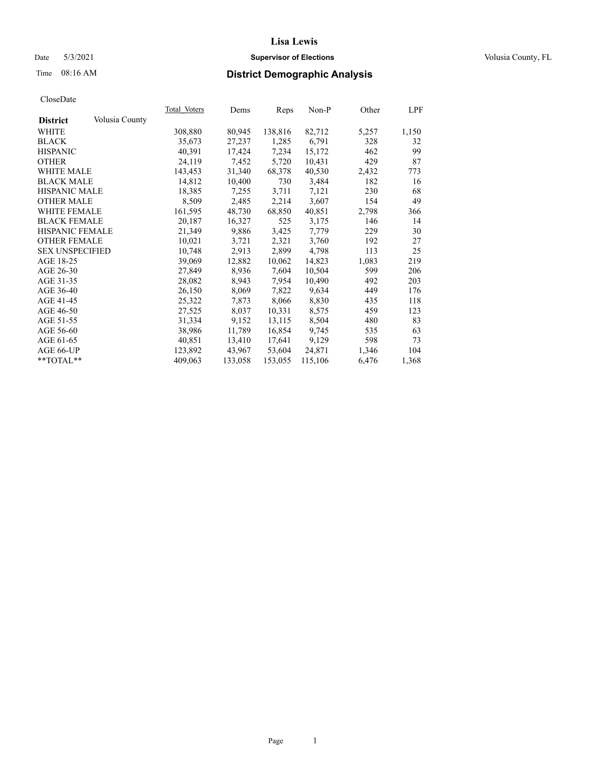## Date 5/3/2021 **Supervisor of Elections Supervisor of Elections** Volusia County, FL

## Time 08:16 AM **District Demographic Analysis**

|                        |                | Total Voters | Dems    | Reps    | Non-P   | Other | LPF   |
|------------------------|----------------|--------------|---------|---------|---------|-------|-------|
| <b>District</b>        | Volusia County |              |         |         |         |       |       |
| WHITE                  |                | 308,880      | 80,945  | 138,816 | 82,712  | 5,257 | 1,150 |
| <b>BLACK</b>           |                | 35,673       | 27,237  | 1,285   | 6,791   | 328   | 32    |
| <b>HISPANIC</b>        |                | 40,391       | 17,424  | 7,234   | 15,172  | 462   | 99    |
| <b>OTHER</b>           |                | 24,119       | 7,452   | 5,720   | 10,431  | 429   | 87    |
| <b>WHITE MALE</b>      |                | 143,453      | 31,340  | 68,378  | 40,530  | 2,432 | 773   |
| <b>BLACK MALE</b>      |                | 14,812       | 10,400  | 730     | 3,484   | 182   | 16    |
| <b>HISPANIC MALE</b>   |                | 18,385       | 7,255   | 3,711   | 7,121   | 230   | 68    |
| <b>OTHER MALE</b>      |                | 8,509        | 2,485   | 2,214   | 3,607   | 154   | 49    |
| <b>WHITE FEMALE</b>    |                | 161,595      | 48,730  | 68,850  | 40,851  | 2,798 | 366   |
| <b>BLACK FEMALE</b>    |                | 20,187       | 16,327  | 525     | 3,175   | 146   | 14    |
| HISPANIC FEMALE        |                | 21,349       | 9,886   | 3,425   | 7,779   | 229   | 30    |
| <b>OTHER FEMALE</b>    |                | 10,021       | 3,721   | 2,321   | 3,760   | 192   | 27    |
| <b>SEX UNSPECIFIED</b> |                | 10.748       | 2,913   | 2,899   | 4,798   | 113   | 25    |
| AGE 18-25              |                | 39,069       | 12,882  | 10,062  | 14,823  | 1,083 | 219   |
| AGE 26-30              |                | 27,849       | 8,936   | 7,604   | 10,504  | 599   | 206   |
| AGE 31-35              |                | 28,082       | 8,943   | 7,954   | 10,490  | 492   | 203   |
| AGE 36-40              |                | 26,150       | 8,069   | 7,822   | 9,634   | 449   | 176   |
| AGE 41-45              |                | 25,322       | 7,873   | 8,066   | 8,830   | 435   | 118   |
| AGE 46-50              |                | 27,525       | 8,037   | 10,331  | 8,575   | 459   | 123   |
| AGE 51-55              |                | 31,334       | 9,152   | 13,115  | 8,504   | 480   | 83    |
| AGE 56-60              |                | 38,986       | 11,789  | 16,854  | 9,745   | 535   | 63    |
| AGE 61-65              |                | 40,851       | 13,410  | 17,641  | 9,129   | 598   | 73    |
| AGE 66-UP              |                | 123,892      | 43,967  | 53,604  | 24,871  | 1,346 | 104   |
| $*$ TOTAL $*$          |                | 409,063      | 133,058 | 153,055 | 115,106 | 6,476 | 1,368 |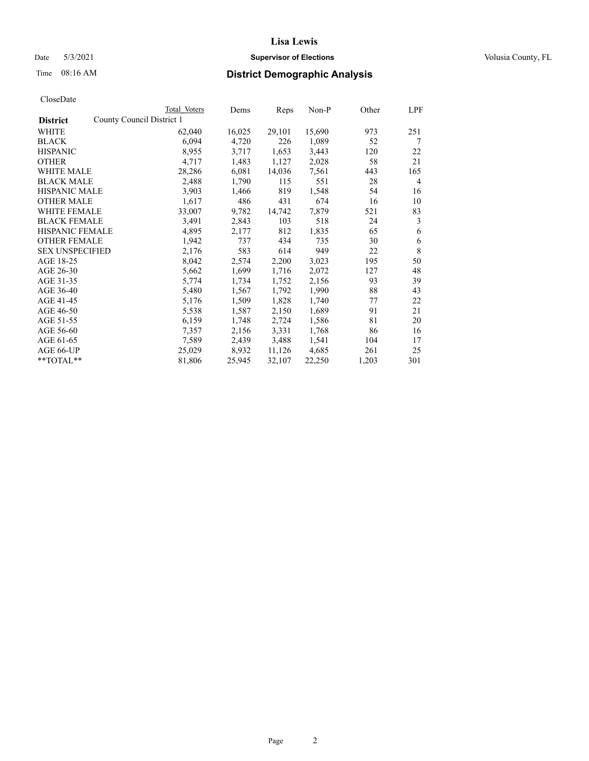## Date 5/3/2021 **Supervisor of Elections Supervisor of Elections** Volusia County, FL

## Time 08:16 AM **District Demographic Analysis**

|                        | Total Voters              | Dems   | Reps   | Non-P  | Other | LPF |
|------------------------|---------------------------|--------|--------|--------|-------|-----|
| <b>District</b>        | County Council District 1 |        |        |        |       |     |
| WHITE                  | 62,040                    | 16,025 | 29,101 | 15,690 | 973   | 251 |
| <b>BLACK</b>           | 6,094                     | 4,720  | 226    | 1,089  | 52    | 7   |
| <b>HISPANIC</b>        | 8,955                     | 3,717  | 1,653  | 3,443  | 120   | 22  |
| <b>OTHER</b>           | 4,717                     | 1,483  | 1,127  | 2,028  | 58    | 21  |
| WHITE MALE             | 28,286                    | 6,081  | 14,036 | 7,561  | 443   | 165 |
| <b>BLACK MALE</b>      | 2,488                     | 1,790  | 115    | 551    | 28    | 4   |
| <b>HISPANIC MALE</b>   | 3,903                     | 1,466  | 819    | 1,548  | 54    | 16  |
| <b>OTHER MALE</b>      | 1,617                     | 486    | 431    | 674    | 16    | 10  |
| <b>WHITE FEMALE</b>    | 33,007                    | 9,782  | 14,742 | 7,879  | 521   | 83  |
| <b>BLACK FEMALE</b>    | 3,491                     | 2,843  | 103    | 518    | 24    | 3   |
| <b>HISPANIC FEMALE</b> | 4,895                     | 2,177  | 812    | 1,835  | 65    | 6   |
| <b>OTHER FEMALE</b>    | 1,942                     | 737    | 434    | 735    | 30    | 6   |
| <b>SEX UNSPECIFIED</b> | 2,176                     | 583    | 614    | 949    | 22    | 8   |
| AGE 18-25              | 8,042                     | 2,574  | 2,200  | 3,023  | 195   | 50  |
| AGE 26-30              | 5,662                     | 1,699  | 1,716  | 2,072  | 127   | 48  |
| AGE 31-35              | 5,774                     | 1,734  | 1,752  | 2,156  | 93    | 39  |
| AGE 36-40              | 5,480                     | 1,567  | 1,792  | 1,990  | 88    | 43  |
| AGE 41-45              | 5,176                     | 1,509  | 1,828  | 1,740  | 77    | 22  |
| AGE 46-50              | 5,538                     | 1,587  | 2,150  | 1,689  | 91    | 21  |
| AGE 51-55              | 6,159                     | 1,748  | 2,724  | 1,586  | 81    | 20  |
| AGE 56-60              | 7,357                     | 2,156  | 3,331  | 1,768  | 86    | 16  |
| AGE 61-65              | 7,589                     | 2,439  | 3,488  | 1,541  | 104   | 17  |
| AGE 66-UP              | 25,029                    | 8,932  | 11,126 | 4,685  | 261   | 25  |
| $*$ $TOTAL**$          | 81,806                    | 25,945 | 32,107 | 22,250 | 1,203 | 301 |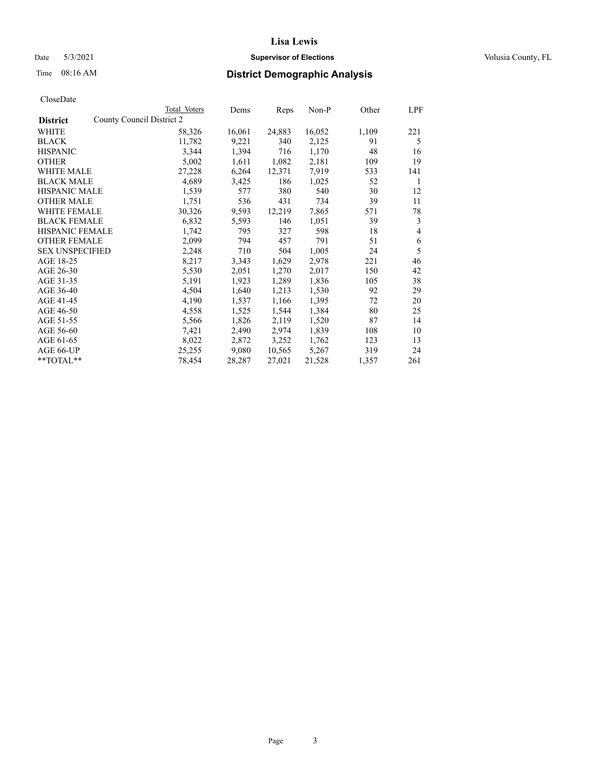## Date 5/3/2021 **Supervisor of Elections Supervisor of Elections** Volusia County, FL

## Time 08:16 AM **District Demographic Analysis**

|                        | Total Voters              | Dems   | Reps   | Non-P  | Other | LPF |
|------------------------|---------------------------|--------|--------|--------|-------|-----|
| <b>District</b>        | County Council District 2 |        |        |        |       |     |
| WHITE                  | 58,326                    | 16,061 | 24,883 | 16,052 | 1,109 | 221 |
| <b>BLACK</b>           | 11,782                    | 9,221  | 340    | 2,125  | 91    | 5   |
| <b>HISPANIC</b>        | 3,344                     | 1,394  | 716    | 1,170  | 48    | 16  |
| <b>OTHER</b>           | 5,002                     | 1,611  | 1,082  | 2,181  | 109   | 19  |
| <b>WHITE MALE</b>      | 27,228                    | 6,264  | 12,371 | 7,919  | 533   | 141 |
| <b>BLACK MALE</b>      | 4,689                     | 3,425  | 186    | 1,025  | 52    | 1   |
| <b>HISPANIC MALE</b>   | 1,539                     | 577    | 380    | 540    | 30    | 12  |
| <b>OTHER MALE</b>      | 1,751                     | 536    | 431    | 734    | 39    | 11  |
| <b>WHITE FEMALE</b>    | 30,326                    | 9,593  | 12,219 | 7,865  | 571   | 78  |
| <b>BLACK FEMALE</b>    | 6,832                     | 5,593  | 146    | 1,051  | 39    | 3   |
| <b>HISPANIC FEMALE</b> | 1,742                     | 795    | 327    | 598    | 18    | 4   |
| <b>OTHER FEMALE</b>    | 2,099                     | 794    | 457    | 791    | 51    | 6   |
| <b>SEX UNSPECIFIED</b> | 2,248                     | 710    | 504    | 1,005  | 24    | 5   |
| AGE 18-25              | 8,217                     | 3,343  | 1,629  | 2,978  | 221   | 46  |
| AGE 26-30              | 5,530                     | 2,051  | 1,270  | 2,017  | 150   | 42  |
| AGE 31-35              | 5,191                     | 1,923  | 1,289  | 1,836  | 105   | 38  |
| AGE 36-40              | 4,504                     | 1,640  | 1,213  | 1,530  | 92    | 29  |
| AGE 41-45              | 4,190                     | 1,537  | 1,166  | 1,395  | 72    | 20  |
| AGE 46-50              | 4,558                     | 1,525  | 1,544  | 1,384  | 80    | 25  |
| AGE 51-55              | 5,566                     | 1,826  | 2,119  | 1,520  | 87    | 14  |
| AGE 56-60              | 7,421                     | 2,490  | 2,974  | 1,839  | 108   | 10  |
| AGE 61-65              | 8,022                     | 2,872  | 3,252  | 1,762  | 123   | 13  |
| AGE 66-UP              | 25,255                    | 9,080  | 10,565 | 5,267  | 319   | 24  |
| $*$ $TOTAL**$          | 78,454                    | 28,287 | 27,021 | 21,528 | 1,357 | 261 |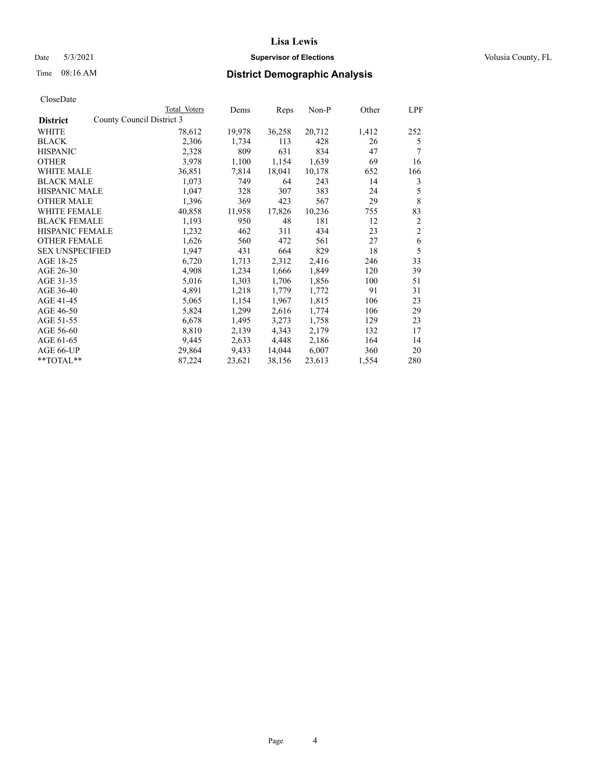## Date 5/3/2021 **Supervisor of Elections Supervisor of Elections** Volusia County, FL

| CloseDate |
|-----------|
|-----------|

|                                              | Total Voters | Dems   | Reps   | Non-P  | Other | LPF            |
|----------------------------------------------|--------------|--------|--------|--------|-------|----------------|
| County Council District 3<br><b>District</b> |              |        |        |        |       |                |
| WHITE                                        | 78,612       | 19,978 | 36,258 | 20,712 | 1,412 | 252            |
| <b>BLACK</b>                                 | 2,306        | 1,734  | 113    | 428    | 26    | 5              |
| <b>HISPANIC</b>                              | 2,328        | 809    | 631    | 834    | 47    | 7              |
| <b>OTHER</b>                                 | 3,978        | 1,100  | 1,154  | 1,639  | 69    | 16             |
| <b>WHITE MALE</b>                            | 36,851       | 7,814  | 18,041 | 10,178 | 652   | 166            |
| <b>BLACK MALE</b>                            | 1,073        | 749    | 64     | 243    | 14    | 3              |
| <b>HISPANIC MALE</b>                         | 1,047        | 328    | 307    | 383    | 24    | 5              |
| <b>OTHER MALE</b>                            | 1,396        | 369    | 423    | 567    | 29    | $\,$ 8 $\,$    |
| <b>WHITE FEMALE</b>                          | 40,858       | 11,958 | 17,826 | 10,236 | 755   | 83             |
| <b>BLACK FEMALE</b>                          | 1,193        | 950    | 48     | 181    | 12    | 2              |
| HISPANIC FEMALE                              | 1,232        | 462    | 311    | 434    | 23    | $\overline{c}$ |
| <b>OTHER FEMALE</b>                          | 1,626        | 560    | 472    | 561    | 27    | 6              |
| <b>SEX UNSPECIFIED</b>                       | 1,947        | 431    | 664    | 829    | 18    | 5              |
| AGE 18-25                                    | 6,720        | 1,713  | 2,312  | 2,416  | 246   | 33             |
| AGE 26-30                                    | 4,908        | 1,234  | 1,666  | 1,849  | 120   | 39             |
| AGE 31-35                                    | 5,016        | 1,303  | 1,706  | 1,856  | 100   | 51             |
| AGE 36-40                                    | 4,891        | 1,218  | 1,779  | 1,772  | 91    | 31             |
| AGE 41-45                                    | 5,065        | 1,154  | 1,967  | 1,815  | 106   | 23             |
| AGE 46-50                                    | 5,824        | 1,299  | 2,616  | 1,774  | 106   | 29             |
| AGE 51-55                                    | 6,678        | 1,495  | 3,273  | 1,758  | 129   | 23             |
| AGE 56-60                                    | 8,810        | 2,139  | 4,343  | 2,179  | 132   | 17             |
| AGE 61-65                                    | 9,445        | 2,633  | 4,448  | 2,186  | 164   | 14             |
| AGE 66-UP                                    | 29,864       | 9,433  | 14,044 | 6,007  | 360   | 20             |
| $**TOTAL**$                                  | 87,224       | 23,621 | 38,156 | 23,613 | 1,554 | 280            |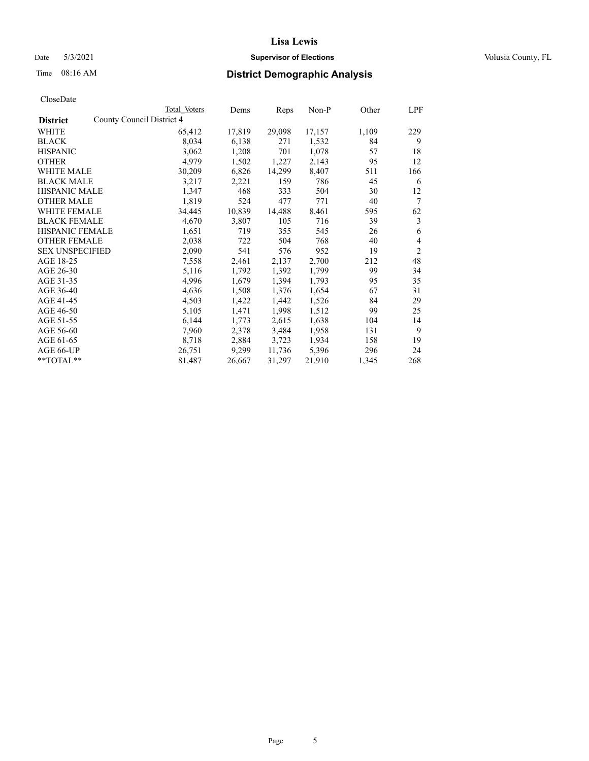## Date 5/3/2021 **Supervisor of Elections Supervisor of Elections** Volusia County, FL

| CloseDate |
|-----------|
|-----------|

|                                              | Total Voters | Dems   | Reps   | Non-P  | Other | LPF            |
|----------------------------------------------|--------------|--------|--------|--------|-------|----------------|
| County Council District 4<br><b>District</b> |              |        |        |        |       |                |
| WHITE                                        | 65,412       | 17,819 | 29,098 | 17,157 | 1,109 | 229            |
| <b>BLACK</b>                                 | 8,034        | 6,138  | 271    | 1,532  | 84    | 9              |
| <b>HISPANIC</b>                              | 3,062        | 1,208  | 701    | 1,078  | 57    | 18             |
| <b>OTHER</b>                                 | 4,979        | 1,502  | 1,227  | 2,143  | 95    | 12             |
| <b>WHITE MALE</b>                            | 30,209       | 6,826  | 14,299 | 8,407  | 511   | 166            |
| <b>BLACK MALE</b>                            | 3,217        | 2,221  | 159    | 786    | 45    | 6              |
| <b>HISPANIC MALE</b>                         | 1,347        | 468    | 333    | 504    | 30    | 12             |
| <b>OTHER MALE</b>                            | 1,819        | 524    | 477    | 771    | 40    | 7              |
| <b>WHITE FEMALE</b>                          | 34,445       | 10,839 | 14,488 | 8,461  | 595   | 62             |
| <b>BLACK FEMALE</b>                          | 4,670        | 3,807  | 105    | 716    | 39    | 3              |
| <b>HISPANIC FEMALE</b>                       | 1,651        | 719    | 355    | 545    | 26    | 6              |
| <b>OTHER FEMALE</b>                          | 2,038        | 722    | 504    | 768    | 40    | 4              |
| <b>SEX UNSPECIFIED</b>                       | 2,090        | 541    | 576    | 952    | 19    | $\overline{2}$ |
| AGE 18-25                                    | 7,558        | 2,461  | 2,137  | 2,700  | 212   | 48             |
| AGE 26-30                                    | 5,116        | 1,792  | 1,392  | 1,799  | 99    | 34             |
| AGE 31-35                                    | 4,996        | 1,679  | 1,394  | 1,793  | 95    | 35             |
| AGE 36-40                                    | 4,636        | 1,508  | 1,376  | 1,654  | 67    | 31             |
| AGE 41-45                                    | 4,503        | 1,422  | 1,442  | 1,526  | 84    | 29             |
| AGE 46-50                                    | 5,105        | 1,471  | 1,998  | 1,512  | 99    | 25             |
| AGE 51-55                                    | 6,144        | 1,773  | 2,615  | 1,638  | 104   | 14             |
| AGE 56-60                                    | 7,960        | 2,378  | 3,484  | 1,958  | 131   | 9              |
| AGE 61-65                                    | 8,718        | 2,884  | 3,723  | 1,934  | 158   | 19             |
| AGE 66-UP                                    | 26,751       | 9,299  | 11,736 | 5,396  | 296   | 24             |
| $**TOTAL**$                                  | 81,487       | 26,667 | 31,297 | 21,910 | 1,345 | 268            |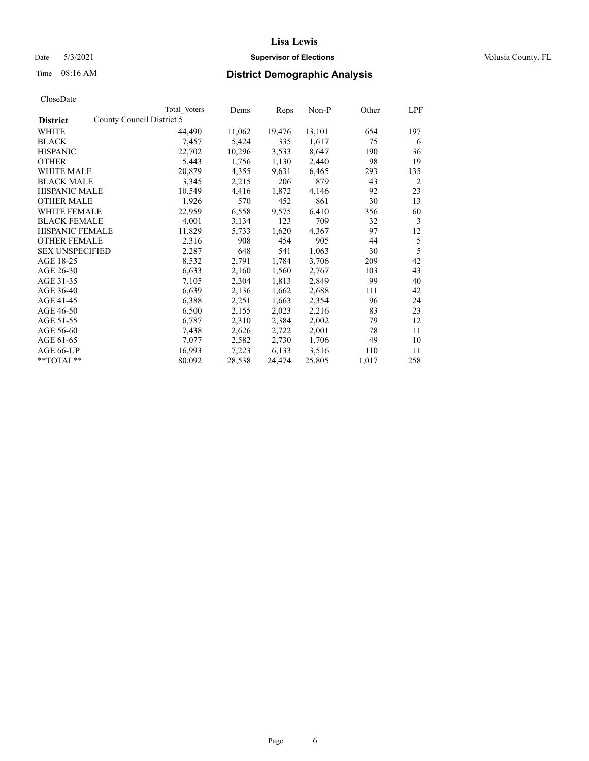## Date 5/3/2021 **Supervisor of Elections Supervisor of Elections** Volusia County, FL

## Time 08:16 AM **District Demographic Analysis**

|                        | Total Voters              | Dems   | Reps   | Non-P  | Other | LPF |
|------------------------|---------------------------|--------|--------|--------|-------|-----|
| <b>District</b>        | County Council District 5 |        |        |        |       |     |
| WHITE                  | 44,490                    | 11,062 | 19,476 | 13,101 | 654   | 197 |
| <b>BLACK</b>           | 7,457                     | 5,424  | 335    | 1,617  | 75    | 6   |
| <b>HISPANIC</b>        | 22,702                    | 10,296 | 3,533  | 8,647  | 190   | 36  |
| <b>OTHER</b>           | 5,443                     | 1,756  | 1,130  | 2,440  | 98    | 19  |
| WHITE MALE             | 20,879                    | 4,355  | 9,631  | 6,465  | 293   | 135 |
| <b>BLACK MALE</b>      | 3,345                     | 2,215  | 206    | 879    | 43    | 2   |
| <b>HISPANIC MALE</b>   | 10,549                    | 4,416  | 1,872  | 4,146  | 92    | 23  |
| <b>OTHER MALE</b>      | 1,926                     | 570    | 452    | 861    | 30    | 13  |
| WHITE FEMALE           | 22,959                    | 6,558  | 9,575  | 6,410  | 356   | 60  |
| <b>BLACK FEMALE</b>    | 4,001                     | 3,134  | 123    | 709    | 32    | 3   |
| <b>HISPANIC FEMALE</b> | 11,829                    | 5,733  | 1,620  | 4,367  | 97    | 12  |
| <b>OTHER FEMALE</b>    | 2,316                     | 908    | 454    | 905    | 44    | 5   |
| <b>SEX UNSPECIFIED</b> | 2,287                     | 648    | 541    | 1,063  | 30    | 5   |
| AGE 18-25              | 8,532                     | 2,791  | 1,784  | 3,706  | 209   | 42  |
| AGE 26-30              | 6,633                     | 2,160  | 1,560  | 2,767  | 103   | 43  |
| AGE 31-35              | 7,105                     | 2,304  | 1,813  | 2,849  | 99    | 40  |
| AGE 36-40              | 6,639                     | 2,136  | 1,662  | 2,688  | 111   | 42  |
| AGE 41-45              | 6,388                     | 2,251  | 1,663  | 2,354  | 96    | 24  |
| AGE 46-50              | 6,500                     | 2,155  | 2,023  | 2,216  | 83    | 23  |
| AGE 51-55              | 6,787                     | 2,310  | 2,384  | 2,002  | 79    | 12  |
| AGE 56-60              | 7,438                     | 2,626  | 2,722  | 2,001  | 78    | 11  |
| AGE 61-65              | 7,077                     | 2,582  | 2,730  | 1,706  | 49    | 10  |
| AGE 66-UP              | 16,993                    | 7,223  | 6,133  | 3,516  | 110   | 11  |
| $*$ $TOTAL**$          | 80,092                    | 28,538 | 24,474 | 25,805 | 1,017 | 258 |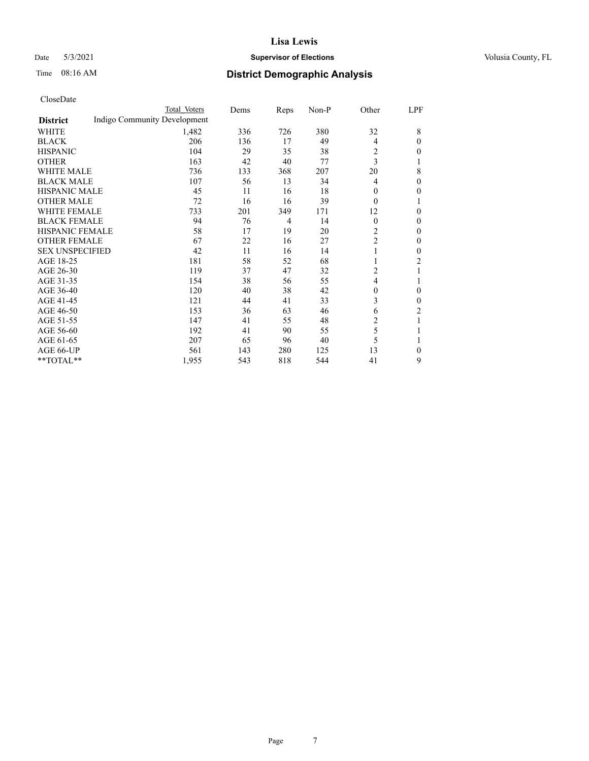## Date 5/3/2021 **Supervisor of Elections Supervisor of Elections** Volusia County, FL

## Time 08:16 AM **District Demographic Analysis**

|                        | Total Voters                 | Dems | Reps | Non-P | Other          | LPF            |
|------------------------|------------------------------|------|------|-------|----------------|----------------|
| <b>District</b>        | Indigo Community Development |      |      |       |                |                |
| WHITE                  | 1,482                        | 336  | 726  | 380   | 32             | 8              |
| <b>BLACK</b>           | 206                          | 136  | 17   | 49    | 4              | $\theta$       |
| <b>HISPANIC</b>        | 104                          | 29   | 35   | 38    | 2              | 0              |
| <b>OTHER</b>           | 163                          | 42   | 40   | 77    | 3              | 1              |
| <b>WHITE MALE</b>      | 736                          | 133  | 368  | 207   | 20             | 8              |
| <b>BLACK MALE</b>      | 107                          | 56   | 13   | 34    | 4              | $\theta$       |
| <b>HISPANIC MALE</b>   | 45                           | 11   | 16   | 18    | $\mathbf{0}$   | 0              |
| <b>OTHER MALE</b>      | 72                           | 16   | 16   | 39    | $\theta$       | 1              |
| <b>WHITE FEMALE</b>    | 733                          | 201  | 349  | 171   | 12             | $\mathbf{0}$   |
| <b>BLACK FEMALE</b>    | 94                           | 76   | 4    | 14    | $\mathbf{0}$   | $\theta$       |
| <b>HISPANIC FEMALE</b> | 58                           | 17   | 19   | 20    | 2              | 0              |
| <b>OTHER FEMALE</b>    | 67                           | 22   | 16   | 27    | $\overline{c}$ | $\theta$       |
| <b>SEX UNSPECIFIED</b> | 42                           | 11   | 16   | 14    |                | $\theta$       |
| AGE 18-25              | 181                          | 58   | 52   | 68    |                | $\overline{2}$ |
| AGE 26-30              | 119                          | 37   | 47   | 32    | 2              | 1              |
| AGE 31-35              | 154                          | 38   | 56   | 55    | 4              |                |
| AGE 36-40              | 120                          | 40   | 38   | 42    | $\mathbf{0}$   | $\theta$       |
| AGE 41-45              | 121                          | 44   | 41   | 33    | 3              | 0              |
| AGE 46-50              | 153                          | 36   | 63   | 46    | 6              | $\overline{c}$ |
| AGE 51-55              | 147                          | 41   | 55   | 48    | 2              | 1              |
| AGE 56-60              | 192                          | 41   | 90   | 55    | 5              | 1              |
| AGE 61-65              | 207                          | 65   | 96   | 40    | 5              | 1              |
| AGE 66-UP              | 561                          | 143  | 280  | 125   | 13             | 0              |
| **TOTAL**              | 1,955                        | 543  | 818  | 544   | 41             | 9              |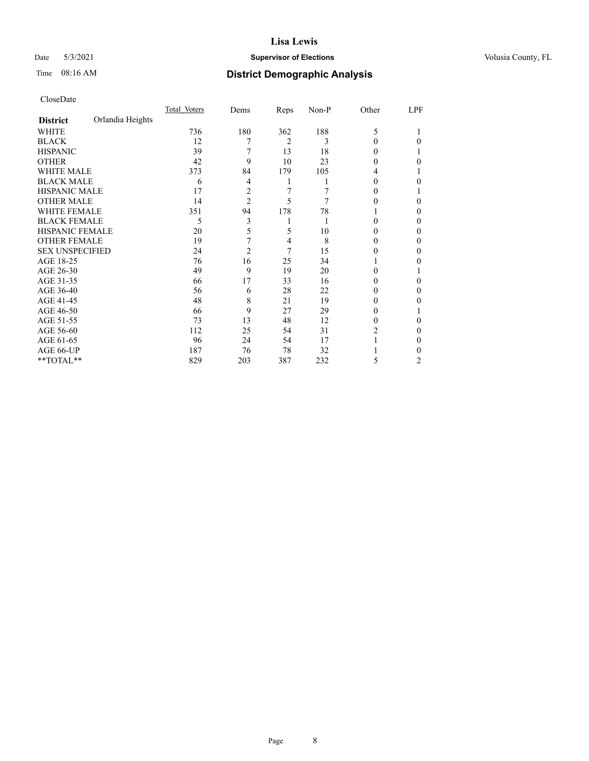## Date 5/3/2021 **Supervisor of Elections Supervisor of Elections** Volusia County, FL

## Time 08:16 AM **District Demographic Analysis**

|                        |                  | Total Voters | Dems           | Reps | Non-P | Other  | LPF |
|------------------------|------------------|--------------|----------------|------|-------|--------|-----|
| <b>District</b>        | Orlandia Heights |              |                |      |       |        |     |
| WHITE                  |                  | 736          | 180            | 362  | 188   | 5      |     |
| <b>BLACK</b>           |                  | 12           | 7              | 2    | 3     | 0      | 0   |
| <b>HISPANIC</b>        |                  | 39           |                | 13   | 18    | 0      |     |
| <b>OTHER</b>           |                  | 42           | 9              | 10   | 23    | 0      | 0   |
| <b>WHITE MALE</b>      |                  | 373          | 84             | 179  | 105   | 4      |     |
| <b>BLACK MALE</b>      |                  | 6            | 4              | 1    |       | $_{0}$ | 0   |
| <b>HISPANIC MALE</b>   |                  | 17           | 2              | 7    |       | 0      |     |
| <b>OTHER MALE</b>      |                  | 14           | $\overline{2}$ | 5    | 7     | 0      | 0   |
| <b>WHITE FEMALE</b>    |                  | 351          | 94             | 178  | 78    |        | 0   |
| <b>BLACK FEMALE</b>    |                  | 5            | 3              | 1    |       | 0      | 0   |
| <b>HISPANIC FEMALE</b> |                  | 20           | 5              | 5    | 10    | 0      | 0   |
| <b>OTHER FEMALE</b>    |                  | 19           | 7              | 4    | 8     | 0      | 0   |
| <b>SEX UNSPECIFIED</b> |                  | 24           | $\overline{2}$ | 7    | 15    | 0      | 0   |
| AGE 18-25              |                  | 76           | 16             | 25   | 34    |        | 0   |
| AGE 26-30              |                  | 49           | 9              | 19   | 20    | 0      |     |
| AGE 31-35              |                  | 66           | 17             | 33   | 16    | 0      | 0   |
| AGE 36-40              |                  | 56           | 6              | 28   | 22    | 0      | 0   |
| AGE 41-45              |                  | 48           | 8              | 21   | 19    | 0      | 0   |
| AGE 46-50              |                  | 66           | 9              | 27   | 29    | 0      |     |
| AGE 51-55              |                  | 73           | 13             | 48   | 12    | 0      | 0   |
| AGE 56-60              |                  | 112          | 25             | 54   | 31    | 2      | 0   |
| AGE 61-65              |                  | 96           | 24             | 54   | 17    |        | 0   |
| AGE 66-UP              |                  | 187          | 76             | 78   | 32    |        | 0   |
| **TOTAL**              |                  | 829          | 203            | 387  | 232   | 5      | 2   |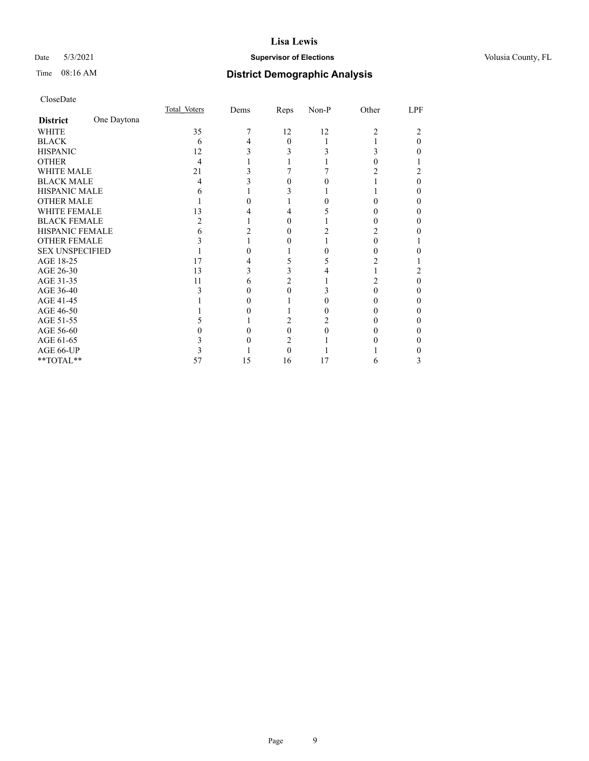## Date 5/3/2021 **Supervisor of Elections Supervisor of Elections** Volusia County, FL

## Time 08:16 AM **District Demographic Analysis**

|                        |             | Total Voters | Dems | Reps     | Non-P | Other          | LPF |
|------------------------|-------------|--------------|------|----------|-------|----------------|-----|
| <b>District</b>        | One Daytona |              |      |          |       |                |     |
| WHITE                  |             | 35           |      | 12       | 12    | $\overline{c}$ |     |
| <b>BLACK</b>           |             | 6            |      | $\Omega$ |       |                | 0   |
| <b>HISPANIC</b>        |             | 12           |      |          |       | 3              |     |
| <b>OTHER</b>           |             | 4            |      |          |       |                |     |
| <b>WHITE MALE</b>      |             | 21           |      |          |       |                |     |
| <b>BLACK MALE</b>      |             | 4            |      |          |       |                | 0   |
| <b>HISPANIC MALE</b>   |             | h            |      |          |       |                |     |
| <b>OTHER MALE</b>      |             |              |      |          |       |                | 0   |
| <b>WHITE FEMALE</b>    |             | 13           |      |          |       |                |     |
| <b>BLACK FEMALE</b>    |             |              |      |          |       |                | 0   |
| <b>HISPANIC FEMALE</b> |             |              |      |          |       |                |     |
| <b>OTHER FEMALE</b>    |             |              |      |          |       | 0              |     |
| <b>SEX UNSPECIFIED</b> |             |              |      |          |       |                |     |
| AGE 18-25              |             | 17           |      |          |       |                |     |
| AGE 26-30              |             | 13           |      |          |       |                |     |
| AGE 31-35              |             | 11           |      |          |       | 2              | 0   |
| AGE 36-40              |             |              |      |          |       |                | 0   |
| AGE 41-45              |             |              |      |          |       |                |     |
| AGE 46-50              |             |              |      |          |       | 0              | 0   |
| AGE 51-55              |             |              |      |          |       |                |     |
| AGE 56-60              |             |              |      |          |       |                |     |
| AGE 61-65              |             |              |      |          |       |                |     |
| AGE 66-UP              |             |              |      | 0        |       |                |     |
| **TOTAL**              |             | 57           | 15   | 16       | 17    | 6              | 3   |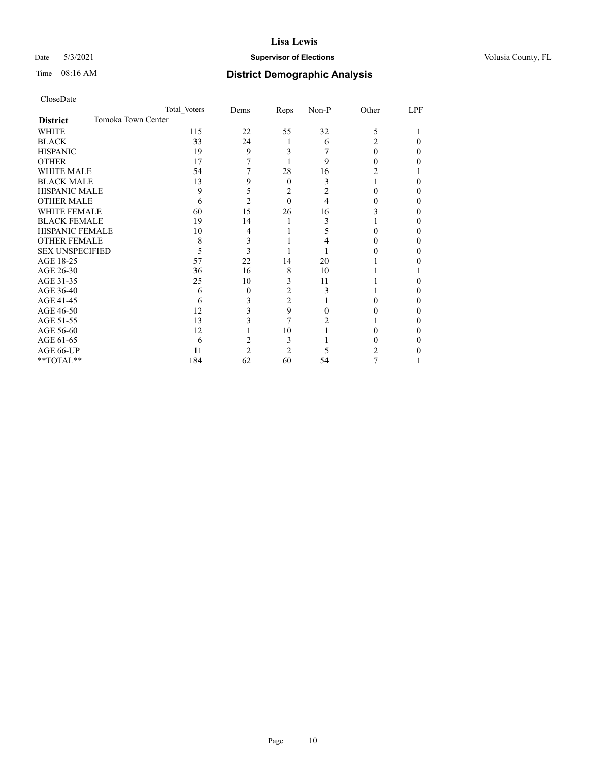## Date 5/3/2021 **Supervisor of Elections Supervisor of Elections** Volusia County, FL

## Time 08:16 AM **District Demographic Analysis**

|                                       | Total Voters | Dems           | Reps           | Non-P | Other | LPF |
|---------------------------------------|--------------|----------------|----------------|-------|-------|-----|
| Tomoka Town Center<br><b>District</b> |              |                |                |       |       |     |
| WHITE                                 | 115          | 22             | 55             | 32    | 5     |     |
| <b>BLACK</b>                          | 33           | 24             | 1              | 6     | 2     | 0   |
| <b>HISPANIC</b>                       | 19           | 9              | 3              |       | 0     | 0   |
| <b>OTHER</b>                          | 17           |                |                | 9     |       |     |
| <b>WHITE MALE</b>                     | 54           |                | 28             | 16    |       |     |
| <b>BLACK MALE</b>                     | 13           | 9              | $\theta$       | 3     |       | 0   |
| <b>HISPANIC MALE</b>                  | 9            | 5              | 2              | 2     |       |     |
| <b>OTHER MALE</b>                     | 6            | $\overline{2}$ | $\theta$       | 4     |       | 0   |
| <b>WHITE FEMALE</b>                   | 60           | 15             | 26             | 16    |       |     |
| <b>BLACK FEMALE</b>                   | 19           | 14             |                | 3     |       | 0   |
| <b>HISPANIC FEMALE</b>                | 10           | 4              |                | 5     |       |     |
| <b>OTHER FEMALE</b>                   | 8            | 3              |                | 4     |       | 0   |
| <b>SEX UNSPECIFIED</b>                | 5            | 3              |                |       |       |     |
| AGE 18-25                             | 57           | 22             | 14             | 20    |       |     |
| AGE 26-30                             | 36           | 16             | 8              | 10    |       |     |
| AGE 31-35                             | 25           | 10             | 3              | 11    |       |     |
| AGE 36-40                             | 6            | $\theta$       | $\overline{2}$ | 3     |       | 0   |
| AGE 41-45                             | 6            | 3              | $\overline{c}$ |       |       |     |
| AGE 46-50                             | 12           | 3              | 9              | 0     |       | 0   |
| AGE 51-55                             | 13           |                |                |       |       | 0   |
| AGE 56-60                             | 12           |                | 10             |       |       | 0   |
| AGE 61-65                             | 6            |                | 3              |       |       | 0   |
| AGE 66-UP                             | 11           | 2              | $\overline{c}$ |       |       |     |
| **TOTAL**                             | 184          | 62             | 60             | 54    | 7     |     |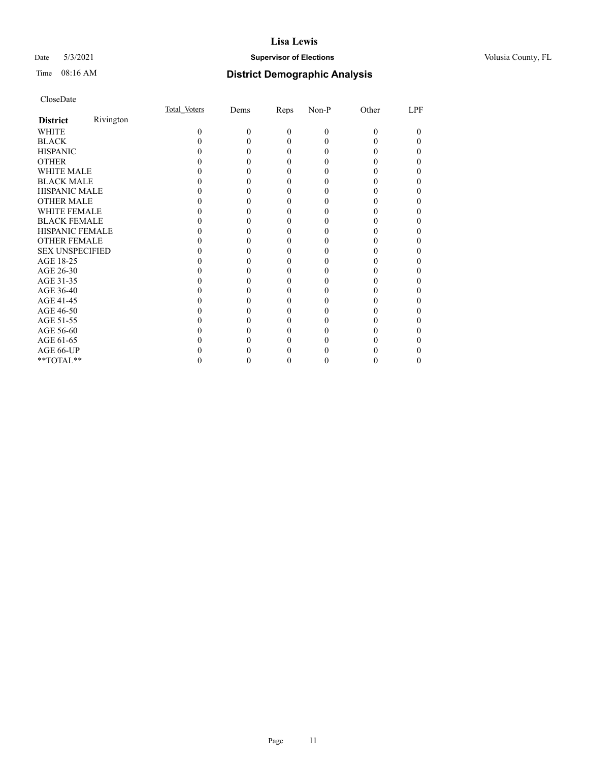## Date 5/3/2021 **Supervisor of Elections Supervisor of Elections** Volusia County, FL

| CloseDate |
|-----------|
|-----------|

|                        |           | Total Voters | Dems | Reps     | Non-P | Other | LPF |
|------------------------|-----------|--------------|------|----------|-------|-------|-----|
| <b>District</b>        | Rivington |              |      |          |       |       |     |
| WHITE                  |           | 0            | 0    | $\theta$ | 0     | 0     | 0   |
| <b>BLACK</b>           |           |              |      | 0        | 0     |       |     |
| <b>HISPANIC</b>        |           |              |      | $_{0}$   | 0     |       |     |
| <b>OTHER</b>           |           |              |      |          |       |       |     |
| <b>WHITE MALE</b>      |           |              |      |          |       |       |     |
| <b>BLACK MALE</b>      |           |              |      |          |       |       |     |
| <b>HISPANIC MALE</b>   |           |              |      |          |       |       |     |
| <b>OTHER MALE</b>      |           |              |      |          |       |       |     |
| <b>WHITE FEMALE</b>    |           |              |      |          |       |       |     |
| <b>BLACK FEMALE</b>    |           |              |      | 0        |       |       |     |
| HISPANIC FEMALE        |           |              |      |          |       |       |     |
| <b>OTHER FEMALE</b>    |           |              |      |          |       |       |     |
| <b>SEX UNSPECIFIED</b> |           |              |      |          |       |       |     |
| AGE 18-25              |           |              |      |          |       |       |     |
| AGE 26-30              |           |              |      |          |       |       |     |
| AGE 31-35              |           |              |      |          |       |       |     |
| AGE 36-40              |           |              |      | 0        |       |       |     |
| AGE 41-45              |           |              |      |          |       |       |     |
| AGE 46-50              |           |              |      |          |       |       |     |
| AGE 51-55              |           |              |      |          |       |       |     |
| AGE 56-60              |           |              |      |          |       |       |     |
| AGE 61-65              |           |              |      |          |       |       |     |
| AGE 66-UP              |           |              |      |          |       |       |     |
| **TOTAL**              |           |              |      | 0        | 0     | 0     |     |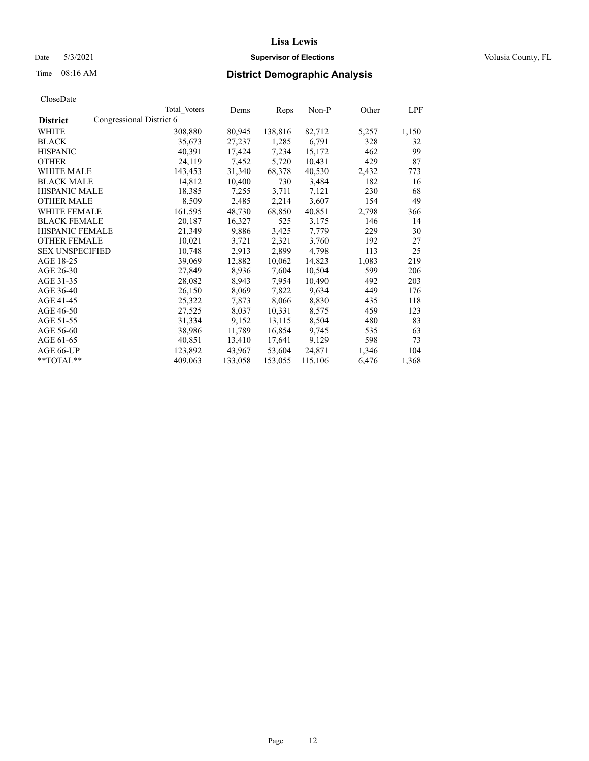## Date 5/3/2021 **Supervisor of Elections Supervisor of Elections** Volusia County, FL

| CloseDate |
|-----------|
|-----------|

|                                             | Total Voters | Dems    | Reps    | Non-P   | Other | LPF   |
|---------------------------------------------|--------------|---------|---------|---------|-------|-------|
| Congressional District 6<br><b>District</b> |              |         |         |         |       |       |
| WHITE                                       | 308,880      | 80,945  | 138,816 | 82,712  | 5,257 | 1,150 |
| <b>BLACK</b>                                | 35,673       | 27,237  | 1,285   | 6,791   | 328   | 32    |
| <b>HISPANIC</b>                             | 40,391       | 17,424  | 7,234   | 15,172  | 462   | 99    |
| <b>OTHER</b>                                | 24,119       | 7,452   | 5,720   | 10,431  | 429   | 87    |
| <b>WHITE MALE</b>                           | 143,453      | 31,340  | 68,378  | 40,530  | 2,432 | 773   |
| <b>BLACK MALE</b>                           | 14,812       | 10,400  | 730     | 3,484   | 182   | 16    |
| <b>HISPANIC MALE</b>                        | 18,385       | 7,255   | 3,711   | 7,121   | 230   | 68    |
| <b>OTHER MALE</b>                           | 8,509        | 2,485   | 2,214   | 3,607   | 154   | 49    |
| <b>WHITE FEMALE</b>                         | 161,595      | 48,730  | 68,850  | 40,851  | 2,798 | 366   |
| <b>BLACK FEMALE</b>                         | 20,187       | 16,327  | 525     | 3,175   | 146   | 14    |
| <b>HISPANIC FEMALE</b>                      | 21,349       | 9,886   | 3,425   | 7,779   | 229   | 30    |
| <b>OTHER FEMALE</b>                         | 10,021       | 3,721   | 2,321   | 3,760   | 192   | 27    |
| <b>SEX UNSPECIFIED</b>                      | 10,748       | 2,913   | 2,899   | 4,798   | 113   | 25    |
| AGE 18-25                                   | 39,069       | 12,882  | 10,062  | 14,823  | 1,083 | 219   |
| AGE 26-30                                   | 27,849       | 8,936   | 7,604   | 10,504  | 599   | 206   |
| AGE 31-35                                   | 28,082       | 8,943   | 7,954   | 10,490  | 492   | 203   |
| AGE 36-40                                   | 26,150       | 8,069   | 7,822   | 9,634   | 449   | 176   |
| AGE 41-45                                   | 25,322       | 7,873   | 8,066   | 8,830   | 435   | 118   |
| AGE 46-50                                   | 27,525       | 8,037   | 10,331  | 8,575   | 459   | 123   |
| AGE 51-55                                   | 31,334       | 9,152   | 13,115  | 8,504   | 480   | 83    |
| AGE 56-60                                   | 38,986       | 11,789  | 16,854  | 9,745   | 535   | 63    |
| AGE 61-65                                   | 40,851       | 13,410  | 17,641  | 9,129   | 598   | 73    |
| AGE 66-UP                                   | 123,892      | 43,967  | 53,604  | 24,871  | 1,346 | 104   |
| $*$ TOTAL $*$                               | 409,063      | 133,058 | 153,055 | 115,106 | 6,476 | 1,368 |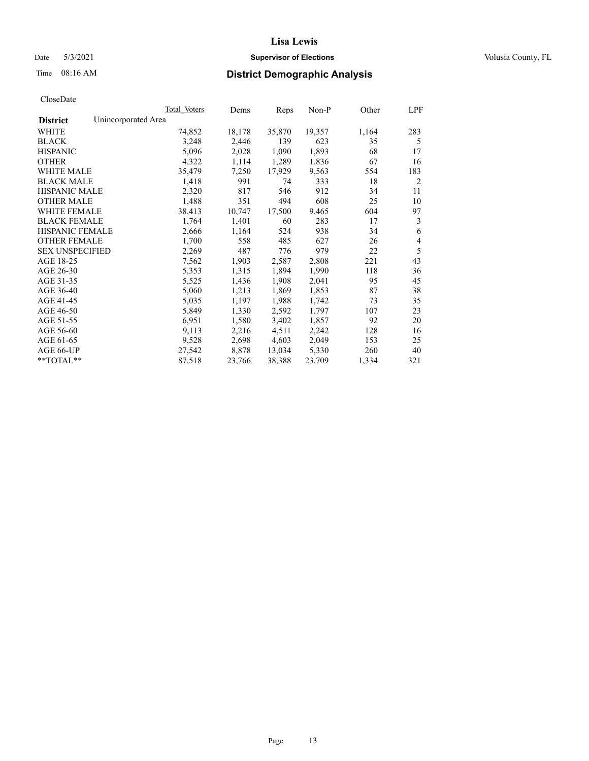## Date 5/3/2021 **Supervisor of Elections Supervisor of Elections** Volusia County, FL

## Time 08:16 AM **District Demographic Analysis**

|                        | Total Voters        | Dems   | Reps   | Non-P  | Other | LPF |
|------------------------|---------------------|--------|--------|--------|-------|-----|
| <b>District</b>        | Unincorporated Area |        |        |        |       |     |
| WHITE                  | 74,852              | 18,178 | 35,870 | 19,357 | 1,164 | 283 |
| <b>BLACK</b>           | 3,248               | 2,446  | 139    | 623    | 35    | 5   |
| <b>HISPANIC</b>        | 5,096               | 2,028  | 1,090  | 1,893  | 68    | 17  |
| <b>OTHER</b>           | 4,322               | 1,114  | 1,289  | 1,836  | 67    | 16  |
| WHITE MALE             | 35,479              | 7,250  | 17,929 | 9,563  | 554   | 183 |
| <b>BLACK MALE</b>      | 1,418               | 991    | 74     | 333    | 18    | 2   |
| <b>HISPANIC MALE</b>   | 2,320               | 817    | 546    | 912    | 34    | 11  |
| <b>OTHER MALE</b>      | 1,488               | 351    | 494    | 608    | 25    | 10  |
| WHITE FEMALE           | 38,413              | 10,747 | 17,500 | 9,465  | 604   | 97  |
| <b>BLACK FEMALE</b>    | 1,764               | 1,401  | 60     | 283    | 17    | 3   |
| <b>HISPANIC FEMALE</b> | 2,666               | 1,164  | 524    | 938    | 34    | 6   |
| <b>OTHER FEMALE</b>    | 1,700               | 558    | 485    | 627    | 26    | 4   |
| <b>SEX UNSPECIFIED</b> | 2,269               | 487    | 776    | 979    | 22    | 5   |
| AGE 18-25              | 7,562               | 1,903  | 2,587  | 2,808  | 221   | 43  |
| AGE 26-30              | 5,353               | 1,315  | 1,894  | 1,990  | 118   | 36  |
| AGE 31-35              | 5,525               | 1,436  | 1,908  | 2,041  | 95    | 45  |
| AGE 36-40              | 5,060               | 1,213  | 1,869  | 1,853  | 87    | 38  |
| AGE 41-45              | 5,035               | 1,197  | 1,988  | 1,742  | 73    | 35  |
| AGE 46-50              | 5,849               | 1,330  | 2,592  | 1,797  | 107   | 23  |
| AGE 51-55              | 6,951               | 1,580  | 3,402  | 1,857  | 92    | 20  |
| AGE 56-60              | 9,113               | 2,216  | 4,511  | 2,242  | 128   | 16  |
| AGE 61-65              | 9,528               | 2,698  | 4,603  | 2,049  | 153   | 25  |
| AGE 66-UP              | 27,542              | 8,878  | 13,034 | 5,330  | 260   | 40  |
| $*$ $TOTAL**$          | 87,518              | 23,766 | 38,388 | 23,709 | 1,334 | 321 |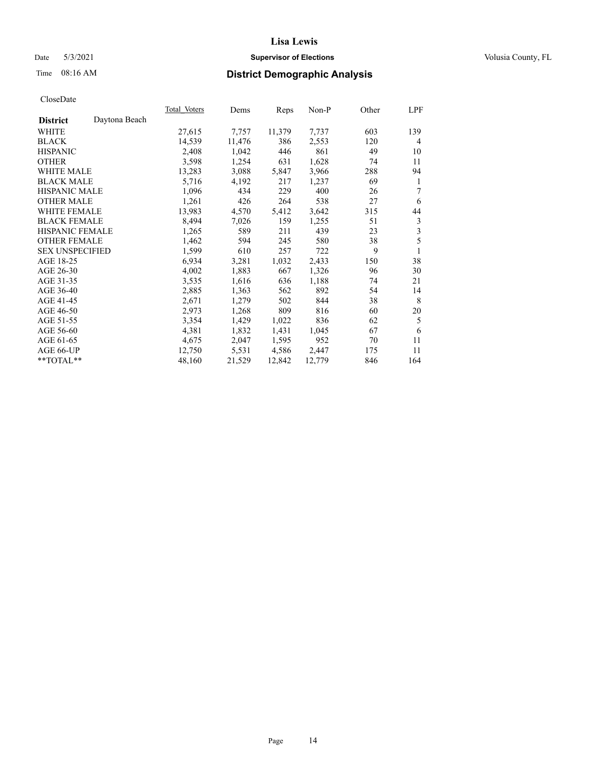## Date 5/3/2021 **Supervisor of Elections Supervisor of Elections** Volusia County, FL

## Time 08:16 AM **District Demographic Analysis**

|                                  | Total Voters | Dems   | Reps   | Non-P  | Other | LPF |
|----------------------------------|--------------|--------|--------|--------|-------|-----|
| Daytona Beach<br><b>District</b> |              |        |        |        |       |     |
| WHITE                            | 27,615       | 7,757  | 11,379 | 7,737  | 603   | 139 |
| <b>BLACK</b>                     | 14,539       | 11,476 | 386    | 2,553  | 120   | 4   |
| <b>HISPANIC</b>                  | 2,408        | 1,042  | 446    | 861    | 49    | 10  |
| <b>OTHER</b>                     | 3,598        | 1,254  | 631    | 1,628  | 74    | 11  |
| <b>WHITE MALE</b>                | 13,283       | 3,088  | 5,847  | 3,966  | 288   | 94  |
| <b>BLACK MALE</b>                | 5,716        | 4,192  | 217    | 1,237  | 69    | 1   |
| <b>HISPANIC MALE</b>             | 1,096        | 434    | 229    | 400    | 26    | 7   |
| <b>OTHER MALE</b>                | 1,261        | 426    | 264    | 538    | 27    | 6   |
| <b>WHITE FEMALE</b>              | 13,983       | 4,570  | 5,412  | 3,642  | 315   | 44  |
| <b>BLACK FEMALE</b>              | 8,494        | 7,026  | 159    | 1,255  | 51    | 3   |
| HISPANIC FEMALE                  | 1,265        | 589    | 211    | 439    | 23    | 3   |
| <b>OTHER FEMALE</b>              | 1,462        | 594    | 245    | 580    | 38    | 5   |
| <b>SEX UNSPECIFIED</b>           | 1,599        | 610    | 257    | 722    | 9     | 1   |
| AGE 18-25                        | 6,934        | 3,281  | 1,032  | 2,433  | 150   | 38  |
| AGE 26-30                        | 4,002        | 1,883  | 667    | 1,326  | 96    | 30  |
| AGE 31-35                        | 3,535        | 1,616  | 636    | 1,188  | 74    | 21  |
| AGE 36-40                        | 2,885        | 1,363  | 562    | 892    | 54    | 14  |
| AGE 41-45                        | 2,671        | 1,279  | 502    | 844    | 38    | 8   |
| AGE 46-50                        | 2,973        | 1,268  | 809    | 816    | 60    | 20  |
| AGE 51-55                        | 3,354        | 1,429  | 1,022  | 836    | 62    | 5   |
| AGE 56-60                        | 4,381        | 1,832  | 1,431  | 1,045  | 67    | 6   |
| AGE 61-65                        | 4,675        | 2,047  | 1,595  | 952    | 70    | 11  |
| AGE 66-UP                        | 12,750       | 5,531  | 4,586  | 2,447  | 175   | 11  |
| **TOTAL**                        | 48,160       | 21,529 | 12,842 | 12,779 | 846   | 164 |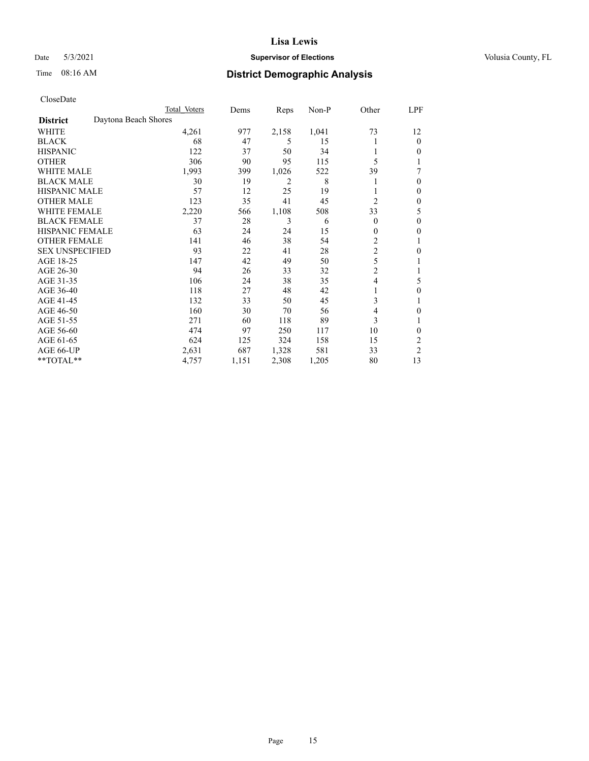## Date 5/3/2021 **Supervisor of Elections Supervisor of Elections** Volusia County, FL

## Time 08:16 AM **District Demographic Analysis**

|                        |                      | Total Voters | Dems  | Reps  | Non-P | Other          | LPF            |
|------------------------|----------------------|--------------|-------|-------|-------|----------------|----------------|
| <b>District</b>        | Daytona Beach Shores |              |       |       |       |                |                |
| WHITE                  |                      | 4,261        | 977   | 2,158 | 1,041 | 73             | 12             |
| <b>BLACK</b>           |                      | 68           | 47    | 5     | 15    |                | 0              |
| <b>HISPANIC</b>        |                      | 122          | 37    | 50    | 34    |                | 0              |
| <b>OTHER</b>           |                      | 306          | 90    | 95    | 115   | 5              |                |
| WHITE MALE             |                      | 1,993        | 399   | 1,026 | 522   | 39             | 7              |
| <b>BLACK MALE</b>      |                      | 30           | 19    | 2     | 8     |                | 0              |
| <b>HISPANIC MALE</b>   |                      | 57           | 12    | 25    | 19    |                | 0              |
| <b>OTHER MALE</b>      |                      | 123          | 35    | 41    | 45    | $\overline{2}$ | 0              |
| WHITE FEMALE           |                      | 2,220        | 566   | 1,108 | 508   | 33             | 5              |
| <b>BLACK FEMALE</b>    |                      | 37           | 28    | 3     | 6     | $\Omega$       | 0              |
| <b>HISPANIC FEMALE</b> |                      | 63           | 24    | 24    | 15    | 0              | 0              |
| <b>OTHER FEMALE</b>    |                      | 141          | 46    | 38    | 54    | 2              |                |
| <b>SEX UNSPECIFIED</b> |                      | 93           | 22    | 41    | 28    | $\overline{c}$ | 0              |
| AGE 18-25              |                      | 147          | 42    | 49    | 50    | 5              |                |
| AGE 26-30              |                      | 94           | 26    | 33    | 32    | $\overline{2}$ |                |
| AGE 31-35              |                      | 106          | 24    | 38    | 35    | 4              | 5              |
| AGE 36-40              |                      | 118          | 27    | 48    | 42    |                | 0              |
| AGE 41-45              |                      | 132          | 33    | 50    | 45    | 3              |                |
| AGE 46-50              |                      | 160          | 30    | 70    | 56    | 4              | 0              |
| AGE 51-55              |                      | 271          | 60    | 118   | 89    | 3              |                |
| AGE 56-60              |                      | 474          | 97    | 250   | 117   | 10             | 0              |
| AGE 61-65              |                      | 624          | 125   | 324   | 158   | 15             | 2              |
| AGE 66-UP              |                      | 2,631        | 687   | 1,328 | 581   | 33             | $\overline{c}$ |
| **TOTAL**              |                      | 4,757        | 1,151 | 2,308 | 1,205 | 80             | 13             |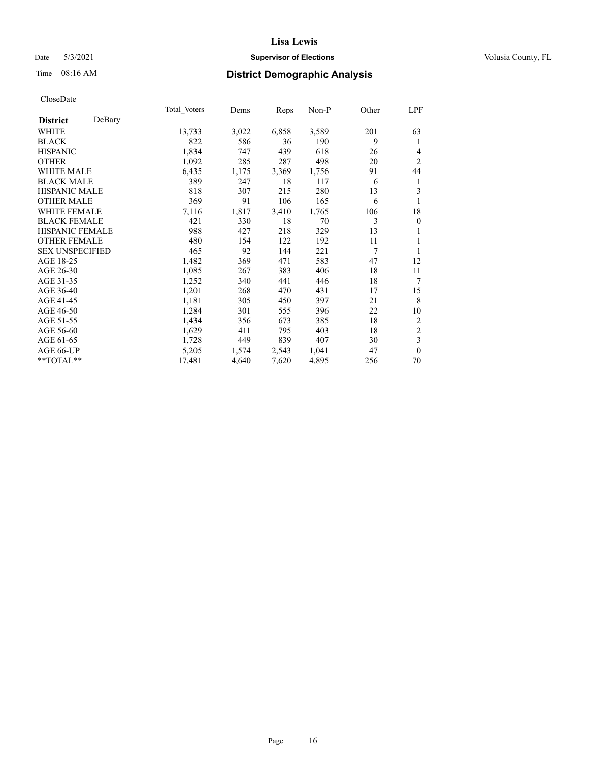## Date 5/3/2021 **Supervisor of Elections Supervisor of Elections** Volusia County, FL

## Time 08:16 AM **District Demographic Analysis**

|                        |        | Total Voters | Dems  | <b>Reps</b> | $Non-P$ | Other | LPF                     |
|------------------------|--------|--------------|-------|-------------|---------|-------|-------------------------|
| <b>District</b>        | DeBary |              |       |             |         |       |                         |
| WHITE                  |        | 13,733       | 3,022 | 6,858       | 3,589   | 201   | 63                      |
| <b>BLACK</b>           |        | 822          | 586   | 36          | 190     | 9     | 1                       |
| <b>HISPANIC</b>        |        | 1,834        | 747   | 439         | 618     | 26    | $\overline{4}$          |
| <b>OTHER</b>           |        | 1,092        | 285   | 287         | 498     | 20    | $\overline{2}$          |
| <b>WHITE MALE</b>      |        | 6,435        | 1,175 | 3,369       | 1,756   | 91    | 44                      |
| <b>BLACK MALE</b>      |        | 389          | 247   | 18          | 117     | 6     | 1                       |
| <b>HISPANIC MALE</b>   |        | 818          | 307   | 215         | 280     | 13    | 3                       |
| <b>OTHER MALE</b>      |        | 369          | 91    | 106         | 165     | 6     | 1                       |
| <b>WHITE FEMALE</b>    |        | 7,116        | 1,817 | 3,410       | 1,765   | 106   | 18                      |
| <b>BLACK FEMALE</b>    |        | 421          | 330   | 18          | 70      | 3     | $\boldsymbol{0}$        |
| HISPANIC FEMALE        |        | 988          | 427   | 218         | 329     | 13    | 1                       |
| <b>OTHER FEMALE</b>    |        | 480          | 154   | 122         | 192     | 11    | 1                       |
| <b>SEX UNSPECIFIED</b> |        | 465          | 92    | 144         | 221     | 7     | 1                       |
| AGE 18-25              |        | 1,482        | 369   | 471         | 583     | 47    | 12                      |
| AGE 26-30              |        | 1,085        | 267   | 383         | 406     | 18    | 11                      |
| AGE 31-35              |        | 1,252        | 340   | 441         | 446     | 18    | 7                       |
| AGE 36-40              |        | 1,201        | 268   | 470         | 431     | 17    | 15                      |
| AGE 41-45              |        | 1,181        | 305   | 450         | 397     | 21    | 8                       |
| AGE 46-50              |        | 1,284        | 301   | 555         | 396     | 22    | 10                      |
| AGE 51-55              |        | 1,434        | 356   | 673         | 385     | 18    | 2                       |
| AGE 56-60              |        | 1,629        | 411   | 795         | 403     | 18    | $\overline{c}$          |
| AGE 61-65              |        | 1,728        | 449   | 839         | 407     | 30    | $\overline{\mathbf{3}}$ |
| AGE 66-UP              |        | 5,205        | 1,574 | 2,543       | 1,041   | 47    | $\mathbf{0}$            |
| **TOTAL**              |        | 17,481       | 4,640 | 7,620       | 4,895   | 256   | 70                      |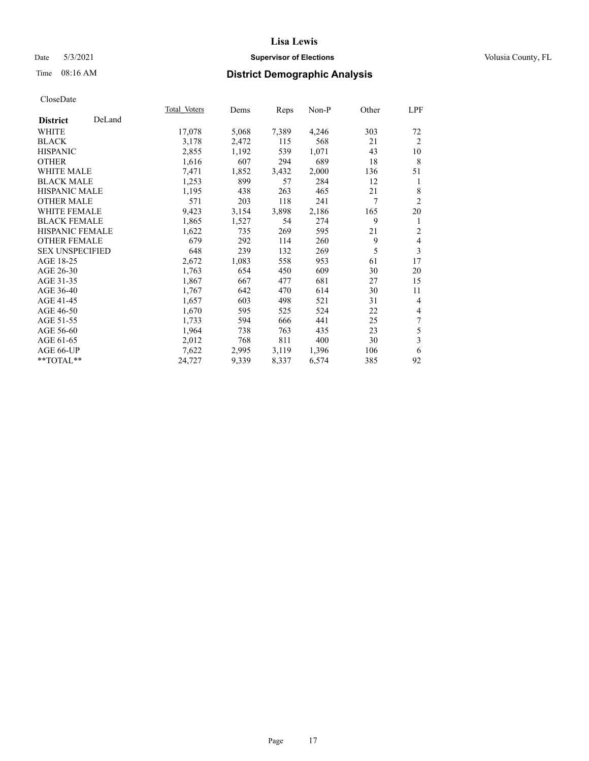## Date 5/3/2021 **Supervisor of Elections Supervisor of Elections** Volusia County, FL

## Time 08:16 AM **District Demographic Analysis**

|                        |        | Total Voters | Dems  | Reps  | Non-P | Other | LPF                      |
|------------------------|--------|--------------|-------|-------|-------|-------|--------------------------|
| <b>District</b>        | DeLand |              |       |       |       |       |                          |
| WHITE                  |        | 17,078       | 5,068 | 7,389 | 4,246 | 303   | 72                       |
| <b>BLACK</b>           |        | 3,178        | 2,472 | 115   | 568   | 21    | 2                        |
| <b>HISPANIC</b>        |        | 2,855        | 1,192 | 539   | 1,071 | 43    | 10                       |
| <b>OTHER</b>           |        | 1,616        | 607   | 294   | 689   | 18    | 8                        |
| WHITE MALE             |        | 7,471        | 1,852 | 3,432 | 2,000 | 136   | 51                       |
| <b>BLACK MALE</b>      |        | 1,253        | 899   | 57    | 284   | 12    | 1                        |
| <b>HISPANIC MALE</b>   |        | 1,195        | 438   | 263   | 465   | 21    | 8                        |
| <b>OTHER MALE</b>      |        | 571          | 203   | 118   | 241   | 7     | 2                        |
| <b>WHITE FEMALE</b>    |        | 9,423        | 3,154 | 3,898 | 2,186 | 165   | 20                       |
| <b>BLACK FEMALE</b>    |        | 1,865        | 1,527 | 54    | 274   | 9     | 1                        |
| <b>HISPANIC FEMALE</b> |        | 1,622        | 735   | 269   | 595   | 21    | $\mathfrak{2}$           |
| <b>OTHER FEMALE</b>    |        | 679          | 292   | 114   | 260   | 9     | $\overline{\mathbf{4}}$  |
| <b>SEX UNSPECIFIED</b> |        | 648          | 239   | 132   | 269   | 5     | 3                        |
| AGE 18-25              |        | 2,672        | 1,083 | 558   | 953   | 61    | 17                       |
| AGE 26-30              |        | 1,763        | 654   | 450   | 609   | 30    | 20                       |
| AGE 31-35              |        | 1,867        | 667   | 477   | 681   | 27    | 15                       |
| AGE 36-40              |        | 1,767        | 642   | 470   | 614   | 30    | 11                       |
| AGE 41-45              |        | 1,657        | 603   | 498   | 521   | 31    | $\overline{4}$           |
| AGE 46-50              |        | 1,670        | 595   | 525   | 524   | 22    | $\overline{\mathcal{L}}$ |
| AGE 51-55              |        | 1,733        | 594   | 666   | 441   | 25    | 7                        |
| AGE 56-60              |        | 1,964        | 738   | 763   | 435   | 23    | 5                        |
| AGE 61-65              |        | 2,012        | 768   | 811   | 400   | 30    | 3                        |
| AGE 66-UP              |        | 7,622        | 2,995 | 3,119 | 1,396 | 106   | 6                        |
| **TOTAL**              |        | 24,727       | 9,339 | 8,337 | 6,574 | 385   | 92                       |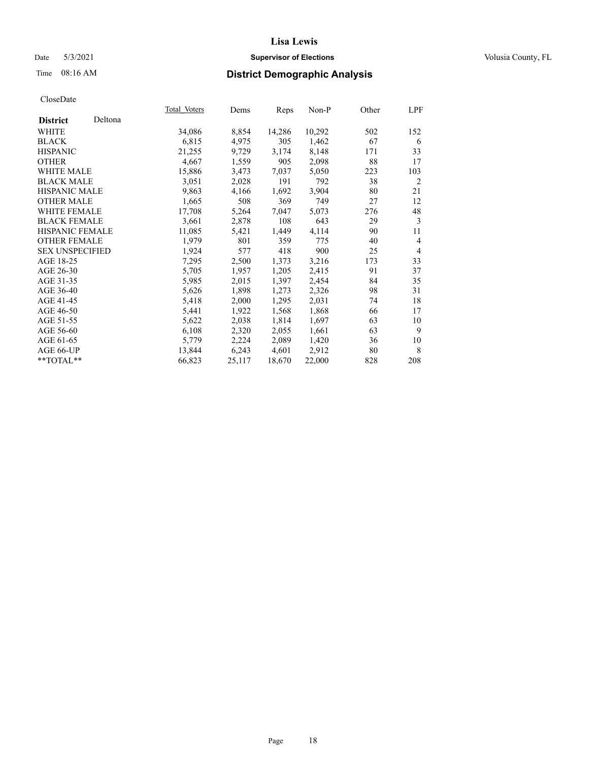## Date 5/3/2021 **Supervisor of Elections Supervisor of Elections** Volusia County, FL

## Time 08:16 AM **District Demographic Analysis**

|                        |         | Total Voters | Dems   | Reps   | $Non-P$ | Other | LPF            |
|------------------------|---------|--------------|--------|--------|---------|-------|----------------|
| <b>District</b>        | Deltona |              |        |        |         |       |                |
| WHITE                  |         | 34,086       | 8,854  | 14,286 | 10,292  | 502   | 152            |
| <b>BLACK</b>           |         | 6,815        | 4,975  | 305    | 1,462   | 67    | 6              |
| <b>HISPANIC</b>        |         | 21,255       | 9,729  | 3,174  | 8,148   | 171   | 33             |
| <b>OTHER</b>           |         | 4,667        | 1,559  | 905    | 2,098   | 88    | 17             |
| WHITE MALE             |         | 15,886       | 3,473  | 7,037  | 5,050   | 223   | 103            |
| <b>BLACK MALE</b>      |         | 3,051        | 2,028  | 191    | 792     | 38    | 2              |
| <b>HISPANIC MALE</b>   |         | 9,863        | 4,166  | 1,692  | 3,904   | 80    | 21             |
| <b>OTHER MALE</b>      |         | 1,665        | 508    | 369    | 749     | 27    | 12             |
| <b>WHITE FEMALE</b>    |         | 17,708       | 5,264  | 7,047  | 5,073   | 276   | 48             |
| <b>BLACK FEMALE</b>    |         | 3,661        | 2,878  | 108    | 643     | 29    | 3              |
| HISPANIC FEMALE        |         | 11,085       | 5,421  | 1,449  | 4,114   | 90    | 11             |
| <b>OTHER FEMALE</b>    |         | 1,979        | 801    | 359    | 775     | 40    | 4              |
| <b>SEX UNSPECIFIED</b> |         | 1,924        | 577    | 418    | 900     | 25    | $\overline{4}$ |
| AGE 18-25              |         | 7,295        | 2,500  | 1,373  | 3,216   | 173   | 33             |
| AGE 26-30              |         | 5,705        | 1,957  | 1,205  | 2,415   | 91    | 37             |
| AGE 31-35              |         | 5,985        | 2,015  | 1,397  | 2,454   | 84    | 35             |
| AGE 36-40              |         | 5,626        | 1,898  | 1,273  | 2,326   | 98    | 31             |
| AGE 41-45              |         | 5,418        | 2,000  | 1,295  | 2,031   | 74    | 18             |
| AGE 46-50              |         | 5,441        | 1,922  | 1,568  | 1,868   | 66    | 17             |
| AGE 51-55              |         | 5,622        | 2,038  | 1,814  | 1,697   | 63    | 10             |
| AGE 56-60              |         | 6,108        | 2,320  | 2,055  | 1,661   | 63    | 9              |
| AGE 61-65              |         | 5,779        | 2,224  | 2,089  | 1,420   | 36    | 10             |
| AGE 66-UP              |         | 13,844       | 6,243  | 4,601  | 2,912   | 80    | 8              |
| $**TOTAL**$            |         | 66,823       | 25,117 | 18,670 | 22,000  | 828   | 208            |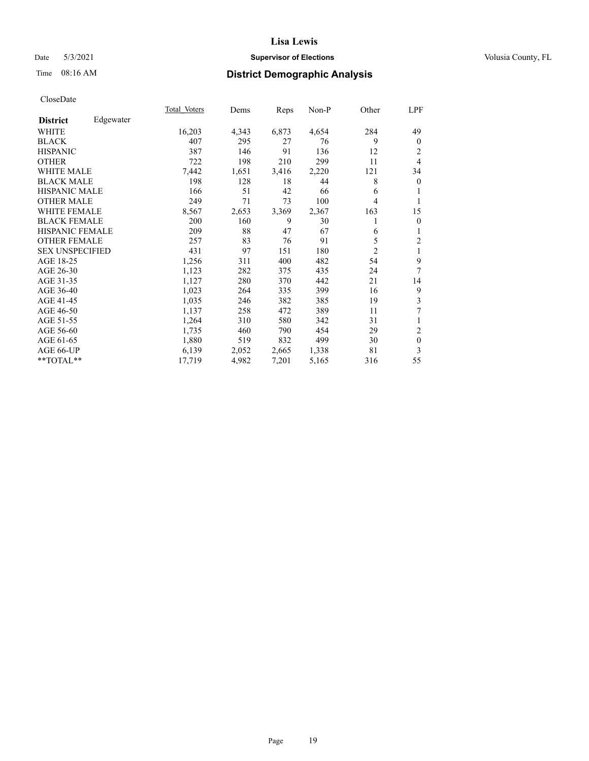## Date 5/3/2021 **Supervisor of Elections Supervisor of Elections** Volusia County, FL

## Time 08:16 AM **District Demographic Analysis**

|                        |           | Total Voters | Dems  | Reps  | Non-P | Other | LPF              |
|------------------------|-----------|--------------|-------|-------|-------|-------|------------------|
| <b>District</b>        | Edgewater |              |       |       |       |       |                  |
| WHITE                  |           | 16,203       | 4,343 | 6,873 | 4,654 | 284   | 49               |
| <b>BLACK</b>           |           | 407          | 295   | 27    | 76    | 9     | $\boldsymbol{0}$ |
| <b>HISPANIC</b>        |           | 387          | 146   | 91    | 136   | 12    | 2                |
| <b>OTHER</b>           |           | 722          | 198   | 210   | 299   | 11    | 4                |
| <b>WHITE MALE</b>      |           | 7,442        | 1,651 | 3,416 | 2,220 | 121   | 34               |
| <b>BLACK MALE</b>      |           | 198          | 128   | 18    | 44    | 8     | $\boldsymbol{0}$ |
| <b>HISPANIC MALE</b>   |           | 166          | 51    | 42    | 66    | 6     | 1                |
| <b>OTHER MALE</b>      |           | 249          | 71    | 73    | 100   | 4     | 1                |
| <b>WHITE FEMALE</b>    |           | 8,567        | 2,653 | 3,369 | 2,367 | 163   | 15               |
| <b>BLACK FEMALE</b>    |           | 200          | 160   | 9     | 30    | 1     | $\mathbf{0}$     |
| <b>HISPANIC FEMALE</b> |           | 209          | 88    | 47    | 67    | 6     | 1                |
| <b>OTHER FEMALE</b>    |           | 257          | 83    | 76    | 91    | 5     | $\sqrt{2}$       |
| <b>SEX UNSPECIFIED</b> |           | 431          | 97    | 151   | 180   | 2     | $\mathbf{1}$     |
| AGE 18-25              |           | 1,256        | 311   | 400   | 482   | 54    | 9                |
| AGE 26-30              |           | 1,123        | 282   | 375   | 435   | 24    | 7                |
| AGE 31-35              |           | 1,127        | 280   | 370   | 442   | 21    | 14               |
| AGE 36-40              |           | 1,023        | 264   | 335   | 399   | 16    | 9                |
| AGE 41-45              |           | 1,035        | 246   | 382   | 385   | 19    | 3                |
| AGE 46-50              |           | 1,137        | 258   | 472   | 389   | 11    | 7                |
| AGE 51-55              |           | 1,264        | 310   | 580   | 342   | 31    | 1                |
| AGE 56-60              |           | 1,735        | 460   | 790   | 454   | 29    | $\mathbf{2}$     |
| AGE 61-65              |           | 1,880        | 519   | 832   | 499   | 30    | $\boldsymbol{0}$ |
| AGE 66-UP              |           | 6,139        | 2,052 | 2,665 | 1,338 | 81    | 3                |
| $**TOTAL**$            |           | 17,719       | 4,982 | 7,201 | 5,165 | 316   | 55               |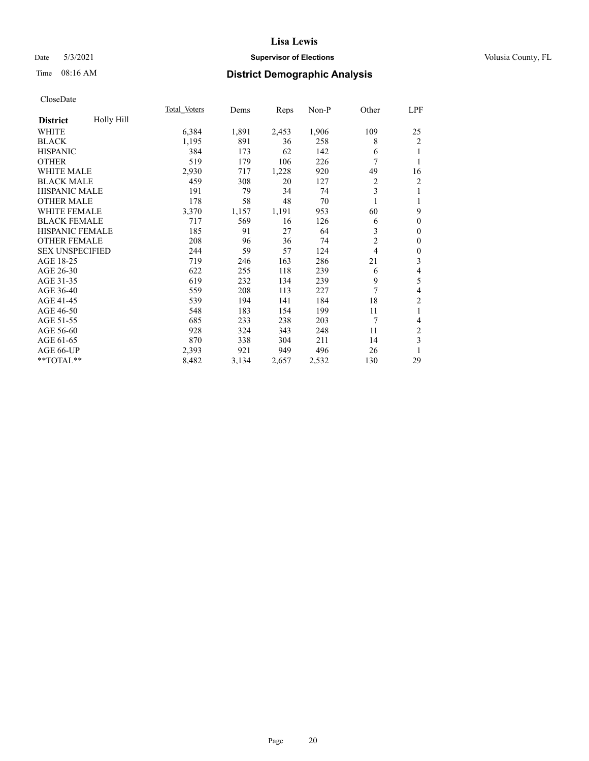## Date 5/3/2021 **Supervisor of Elections Supervisor of Elections** Volusia County, FL

## Time 08:16 AM **District Demographic Analysis**

|                        |            | Total Voters | Dems  | Reps  | Non-P | Other          | LPF              |
|------------------------|------------|--------------|-------|-------|-------|----------------|------------------|
| <b>District</b>        | Holly Hill |              |       |       |       |                |                  |
| WHITE                  |            | 6,384        | 1,891 | 2,453 | 1,906 | 109            | 25               |
| <b>BLACK</b>           |            | 1,195        | 891   | 36    | 258   | 8              | $\overline{2}$   |
| <b>HISPANIC</b>        |            | 384          | 173   | 62    | 142   | 6              | 1                |
| <b>OTHER</b>           |            | 519          | 179   | 106   | 226   | 7              | 1                |
| WHITE MALE             |            | 2,930        | 717   | 1,228 | 920   | 49             | 16               |
| <b>BLACK MALE</b>      |            | 459          | 308   | 20    | 127   | 2              | 2                |
| <b>HISPANIC MALE</b>   |            | 191          | 79    | 34    | 74    | 3              | 1                |
| <b>OTHER MALE</b>      |            | 178          | 58    | 48    | 70    |                | 1                |
| <b>WHITE FEMALE</b>    |            | 3,370        | 1,157 | 1,191 | 953   | 60             | 9                |
| <b>BLACK FEMALE</b>    |            | 717          | 569   | 16    | 126   | 6              | $\mathbf{0}$     |
| <b>HISPANIC FEMALE</b> |            | 185          | 91    | 27    | 64    | 3              | $\mathbf{0}$     |
| <b>OTHER FEMALE</b>    |            | 208          | 96    | 36    | 74    | $\overline{2}$ | $\mathbf{0}$     |
| <b>SEX UNSPECIFIED</b> |            | 244          | 59    | 57    | 124   | $\overline{4}$ | $\boldsymbol{0}$ |
| AGE 18-25              |            | 719          | 246   | 163   | 286   | 21             | 3                |
| AGE 26-30              |            | 622          | 255   | 118   | 239   | 6              | 4                |
| AGE 31-35              |            | 619          | 232   | 134   | 239   | 9              | 5                |
| AGE 36-40              |            | 559          | 208   | 113   | 227   | $\overline{7}$ | 4                |
| AGE 41-45              |            | 539          | 194   | 141   | 184   | 18             | $\overline{2}$   |
| AGE 46-50              |            | 548          | 183   | 154   | 199   | 11             | 1                |
| AGE 51-55              |            | 685          | 233   | 238   | 203   | 7              | 4                |
| AGE 56-60              |            | 928          | 324   | 343   | 248   | 11             | $\overline{c}$   |
| AGE 61-65              |            | 870          | 338   | 304   | 211   | 14             | 3                |
| AGE 66-UP              |            | 2,393        | 921   | 949   | 496   | 26             | 1                |
| **TOTAL**              |            | 8,482        | 3,134 | 2,657 | 2,532 | 130            | 29               |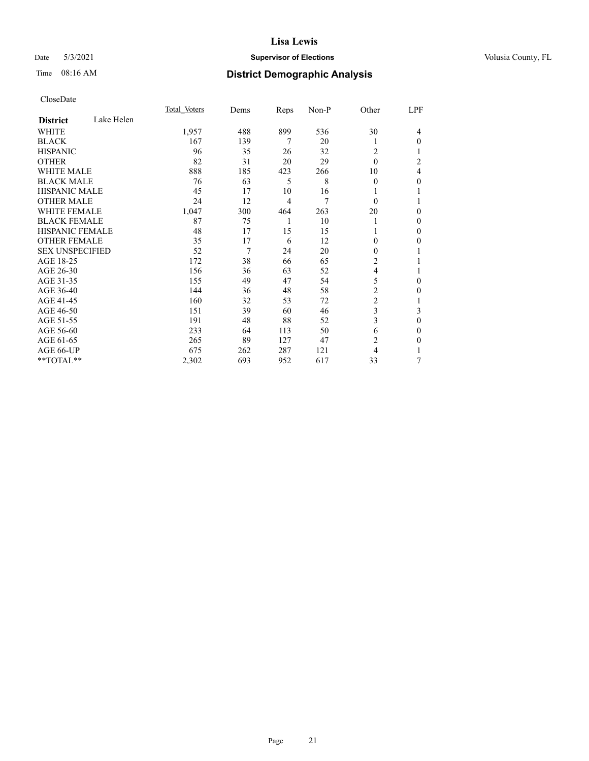## Date 5/3/2021 **Supervisor of Elections Supervisor of Elections** Volusia County, FL

## Time 08:16 AM **District Demographic Analysis**

|                        | Total Voters | Dems       | Reps           | Non-P | Other          | LPF            |
|------------------------|--------------|------------|----------------|-------|----------------|----------------|
| <b>District</b>        | Lake Helen   |            |                |       |                |                |
| WHITE                  | 1,957        | 488        | 899            | 536   | 30             | 4              |
| <b>BLACK</b>           |              | 167<br>139 | 7              | 20    | 1              | 0              |
| <b>HISPANIC</b>        |              | 96<br>35   | 26             | 32    | 2              |                |
| <b>OTHER</b>           |              | 82<br>31   | 20             | 29    | $\theta$       | $\overline{c}$ |
| <b>WHITE MALE</b>      |              | 888<br>185 | 423            | 266   | 10             | 4              |
| <b>BLACK MALE</b>      |              | 63<br>76   | 5              | 8     | $\theta$       | 0              |
| <b>HISPANIC MALE</b>   |              | 17<br>45   | 10             | 16    | 1              |                |
| <b>OTHER MALE</b>      |              | 24<br>12   | $\overline{4}$ | 7     | $\theta$       | 1              |
| <b>WHITE FEMALE</b>    | 1,047        | 300        | 464            | 263   | 20             | 0              |
| <b>BLACK FEMALE</b>    |              | 87<br>75   | 1              | 10    | 1              | 0              |
| <b>HISPANIC FEMALE</b> |              | 48<br>17   | 15             | 15    |                | 0              |
| <b>OTHER FEMALE</b>    |              | 17<br>35   | 6              | 12    | $\Omega$       | 0              |
| <b>SEX UNSPECIFIED</b> |              | 7<br>52    | 24             | 20    | $\theta$       |                |
| AGE 18-25              |              | 172<br>38  | 66             | 65    | 2              |                |
| AGE 26-30              |              | 156<br>36  | 63             | 52    | 4              |                |
| AGE 31-35              |              | 49<br>155  | 47             | 54    | 5              | 0              |
| AGE 36-40              |              | 144<br>36  | 48             | 58    | 2              | 0              |
| AGE 41-45              |              | 160<br>32  | 53             | 72    | $\overline{c}$ | 1              |
| AGE 46-50              |              | 151<br>39  | 60             | 46    | 3              | 3              |
| AGE 51-55              |              | 191<br>48  | 88             | 52    | 3              | $\mathbf{0}$   |
| AGE 56-60              |              | 233<br>64  | 113            | 50    | 6              | 0              |
| AGE 61-65              |              | 265<br>89  | 127            | 47    | $\overline{c}$ | 0              |
| AGE 66-UP              |              | 675<br>262 | 287            | 121   | 4              |                |
| **TOTAL**              | 2,302        | 693        | 952            | 617   | 33             | 7              |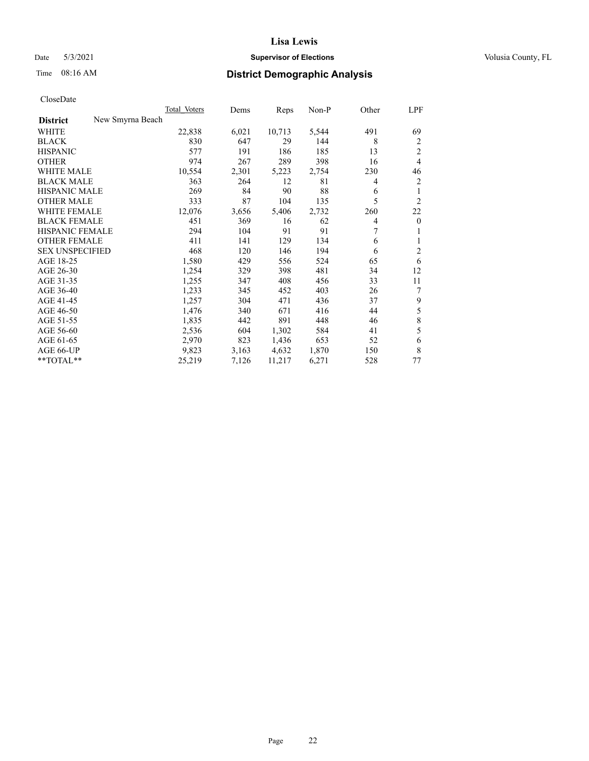## Date 5/3/2021 **Supervisor of Elections Supervisor of Elections** Volusia County, FL

## Time 08:16 AM **District Demographic Analysis**

|                        |                  | Total Voters | Dems  | Reps   | Non-P | Other | LPF            |
|------------------------|------------------|--------------|-------|--------|-------|-------|----------------|
| <b>District</b>        | New Smyrna Beach |              |       |        |       |       |                |
| WHITE                  |                  | 22,838       | 6,021 | 10,713 | 5,544 | 491   | 69             |
| <b>BLACK</b>           |                  | 830          | 647   | 29     | 144   | 8     | 2              |
| <b>HISPANIC</b>        |                  | 577          | 191   | 186    | 185   | 13    | $\overline{2}$ |
| <b>OTHER</b>           |                  | 974          | 267   | 289    | 398   | 16    | $\overline{4}$ |
| <b>WHITE MALE</b>      |                  | 10,554       | 2,301 | 5,223  | 2,754 | 230   | 46             |
| <b>BLACK MALE</b>      |                  | 363          | 264   | 12     | 81    | 4     | $\overline{2}$ |
| <b>HISPANIC MALE</b>   |                  | 269          | 84    | 90     | 88    | 6     | 1              |
| <b>OTHER MALE</b>      |                  | 333          | 87    | 104    | 135   | 5     | $\overline{2}$ |
| WHITE FEMALE           |                  | 12,076       | 3,656 | 5,406  | 2,732 | 260   | 22             |
| <b>BLACK FEMALE</b>    |                  | 451          | 369   | 16     | 62    | 4     | $\overline{0}$ |
| <b>HISPANIC FEMALE</b> |                  | 294          | 104   | 91     | 91    | 7     | 1              |
| <b>OTHER FEMALE</b>    |                  | 411          | 141   | 129    | 134   | 6     | 1              |
| <b>SEX UNSPECIFIED</b> |                  | 468          | 120   | 146    | 194   | 6     | $\overline{c}$ |
| AGE 18-25              |                  | 1,580        | 429   | 556    | 524   | 65    | 6              |
| AGE 26-30              |                  | 1,254        | 329   | 398    | 481   | 34    | 12             |
| AGE 31-35              |                  | 1,255        | 347   | 408    | 456   | 33    | 11             |
| AGE 36-40              |                  | 1,233        | 345   | 452    | 403   | 26    | 7              |
| AGE 41-45              |                  | 1,257        | 304   | 471    | 436   | 37    | 9              |
| AGE 46-50              |                  | 1,476        | 340   | 671    | 416   | 44    | 5              |
| AGE 51-55              |                  | 1,835        | 442   | 891    | 448   | 46    | 8              |
| AGE 56-60              |                  | 2,536        | 604   | 1,302  | 584   | 41    | 5              |
| AGE 61-65              |                  | 2,970        | 823   | 1,436  | 653   | 52    | 6              |
| AGE 66-UP              |                  | 9,823        | 3,163 | 4,632  | 1,870 | 150   | 8              |
| $*$ $TOTAL**$          |                  | 25,219       | 7,126 | 11,217 | 6,271 | 528   | 77             |
|                        |                  |              |       |        |       |       |                |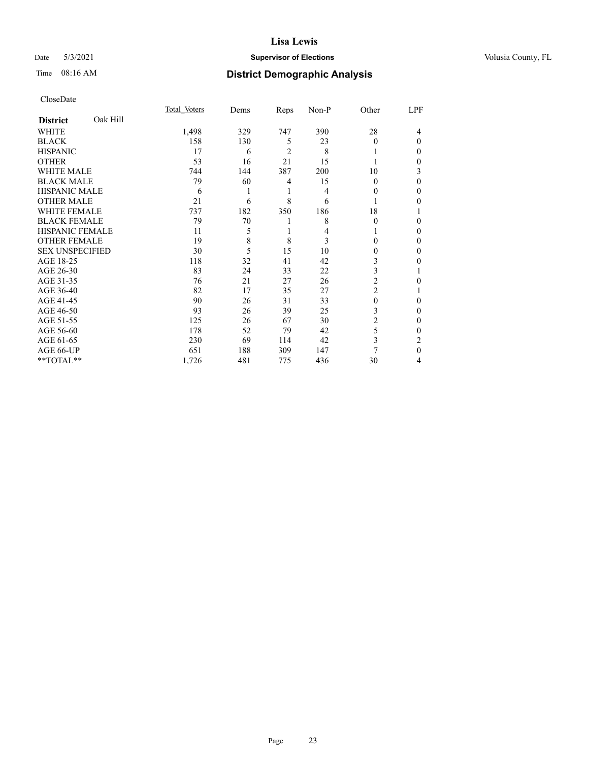## Date 5/3/2021 **Supervisor of Elections Supervisor of Elections** Volusia County, FL

## Time 08:16 AM **District Demographic Analysis**

|                        |          | Total Voters | Dems | Reps           | Non-P | Other          | LPF |
|------------------------|----------|--------------|------|----------------|-------|----------------|-----|
| <b>District</b>        | Oak Hill |              |      |                |       |                |     |
| WHITE                  |          | 1,498        | 329  | 747            | 390   | 28             | 4   |
| <b>BLACK</b>           |          | 158          | 130  | 5              | 23    | 0              | 0   |
| <b>HISPANIC</b>        |          | 17           | 6    | $\overline{2}$ | 8     |                | 0   |
| <b>OTHER</b>           |          | 53           | 16   | 21             | 15    |                | 0   |
| WHITE MALE             |          | 744          | 144  | 387            | 200   | 10             | 3   |
| <b>BLACK MALE</b>      |          | 79           | 60   | 4              | 15    | $\Omega$       | 0   |
| <b>HISPANIC MALE</b>   |          | 6            |      | 1              | 4     | $_{0}$         | 0   |
| <b>OTHER MALE</b>      |          | 21           | 6    | 8              | 6     |                | 0   |
| <b>WHITE FEMALE</b>    |          | 737          | 182  | 350            | 186   | 18             |     |
| <b>BLACK FEMALE</b>    |          | 79           | 70   | l              | 8     | $\theta$       | 0   |
| <b>HISPANIC FEMALE</b> |          | 11           | 5    | 1              | 4     |                | 0   |
| <b>OTHER FEMALE</b>    |          | 19           | 8    | 8              | 3     | 0              | 0   |
| <b>SEX UNSPECIFIED</b> |          | 30           | 5    | 15             | 10    | 0              | 0   |
| AGE 18-25              |          | 118          | 32   | 41             | 42    | 3              | 0   |
| AGE 26-30              |          | 83           | 24   | 33             | 22    | 3              |     |
| AGE 31-35              |          | 76           | 21   | 27             | 26    | $\overline{2}$ | 0   |
| AGE 36-40              |          | 82           | 17   | 35             | 27    | 2              |     |
| AGE 41-45              |          | 90           | 26   | 31             | 33    | 0              | 0   |
| AGE 46-50              |          | 93           | 26   | 39             | 25    | 3              | 0   |
| AGE 51-55              |          | 125          | 26   | 67             | 30    | 2              | 0   |
| AGE 56-60              |          | 178          | 52   | 79             | 42    | 5              | 0   |
| AGE 61-65              |          | 230          | 69   | 114            | 42    | 3              | 2   |
| AGE 66-UP              |          | 651          | 188  | 309            | 147   | 7              | 0   |
| **TOTAL**              |          | 1,726        | 481  | 775            | 436   | 30             | 4   |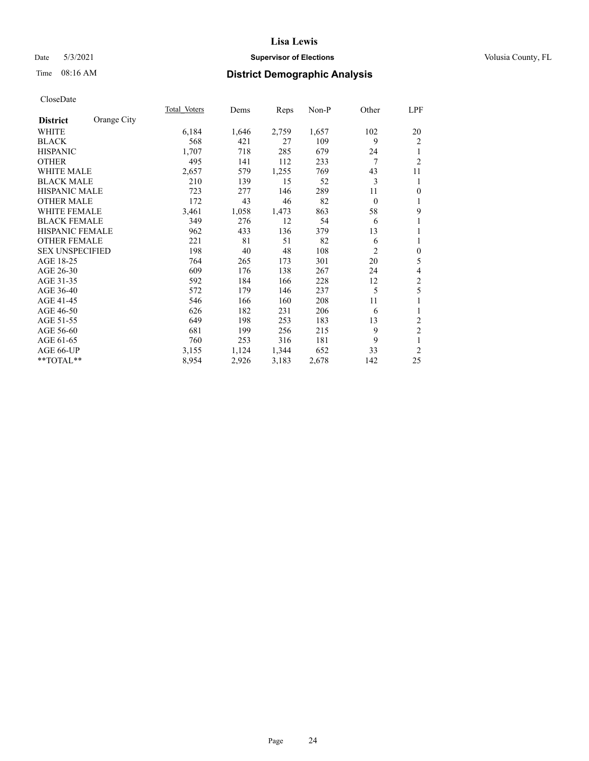## Date 5/3/2021 **Supervisor of Elections Supervisor of Elections** Volusia County, FL

## Time 08:16 AM **District Demographic Analysis**

|                                | Total Voters | Dems  | Reps  | Non-P | Other          | LPF                      |
|--------------------------------|--------------|-------|-------|-------|----------------|--------------------------|
| Orange City<br><b>District</b> |              |       |       |       |                |                          |
| WHITE                          | 6,184        | 1,646 | 2,759 | 1,657 | 102            | 20                       |
| <b>BLACK</b>                   | 568          | 421   | 27    | 109   | 9              | $\overline{c}$           |
| <b>HISPANIC</b>                | 1,707        | 718   | 285   | 679   | 24             | 1                        |
| <b>OTHER</b>                   | 495          | 141   | 112   | 233   | 7              | $\overline{2}$           |
| <b>WHITE MALE</b>              | 2,657        | 579   | 1,255 | 769   | 43             | 11                       |
| <b>BLACK MALE</b>              | 210          | 139   | 15    | 52    | 3              | 1                        |
| <b>HISPANIC MALE</b>           | 723          | 277   | 146   | 289   | 11             | $\mathbf{0}$             |
| <b>OTHER MALE</b>              | 172          | 43    | 46    | 82    | $\mathbf{0}$   | 1                        |
| <b>WHITE FEMALE</b>            | 3,461        | 1,058 | 1,473 | 863   | 58             | 9                        |
| <b>BLACK FEMALE</b>            | 349          | 276   | 12    | 54    | 6              | 1                        |
| <b>HISPANIC FEMALE</b>         | 962          | 433   | 136   | 379   | 13             | 1                        |
| <b>OTHER FEMALE</b>            | 221          | 81    | 51    | 82    | 6              | 1                        |
| <b>SEX UNSPECIFIED</b>         | 198          | 40    | 48    | 108   | $\overline{2}$ | $\boldsymbol{0}$         |
| AGE 18-25                      | 764          | 265   | 173   | 301   | 20             | 5                        |
| AGE 26-30                      | 609          | 176   | 138   | 267   | 24             | $\overline{\mathcal{A}}$ |
| AGE 31-35                      | 592          | 184   | 166   | 228   | 12             | $\mathfrak{2}$           |
| AGE 36-40                      | 572          | 179   | 146   | 237   | 5              | 5                        |
| AGE 41-45                      | 546          | 166   | 160   | 208   | 11             | 1                        |
| AGE 46-50                      | 626          | 182   | 231   | 206   | 6              | 1                        |
| AGE 51-55                      | 649          | 198   | 253   | 183   | 13             | 2                        |
| AGE 56-60                      | 681          | 199   | 256   | 215   | 9              | $\overline{c}$           |
| AGE 61-65                      | 760          | 253   | 316   | 181   | 9              | 1                        |
| AGE 66-UP                      | 3,155        | 1,124 | 1,344 | 652   | 33             | $\overline{2}$           |
| **TOTAL**                      | 8,954        | 2,926 | 3,183 | 2,678 | 142            | 25                       |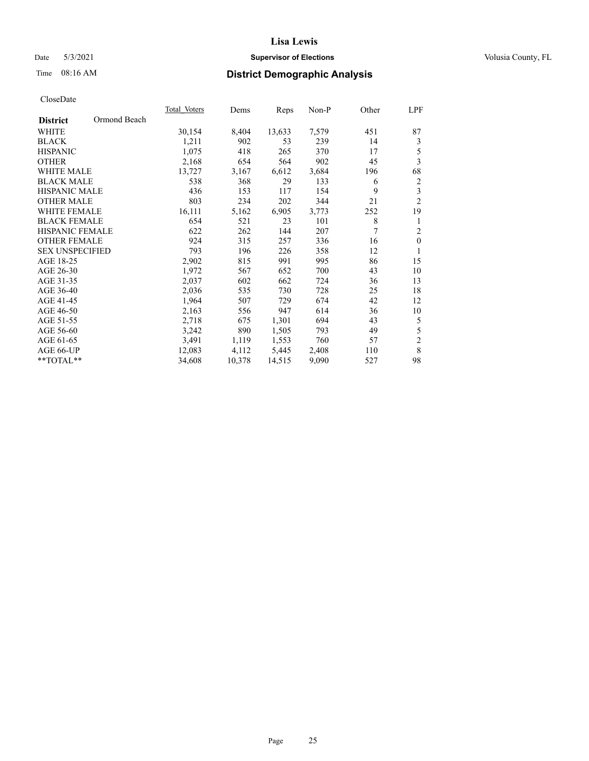## Date 5/3/2021 **Supervisor of Elections Supervisor of Elections** Volusia County, FL

## Time 08:16 AM **District Demographic Analysis**

|                                 | Total Voters | Dems   | Reps   | $Non-P$ | Other | LPF              |
|---------------------------------|--------------|--------|--------|---------|-------|------------------|
| Ormond Beach<br><b>District</b> |              |        |        |         |       |                  |
| WHITE                           | 30,154       | 8,404  | 13,633 | 7,579   | 451   | 87               |
| <b>BLACK</b>                    | 1,211        | 902    | 53     | 239     | 14    | 3                |
| <b>HISPANIC</b>                 | 1,075        | 418    | 265    | 370     | 17    | 5                |
| <b>OTHER</b>                    | 2,168        | 654    | 564    | 902     | 45    | 3                |
| <b>WHITE MALE</b>               | 13,727       | 3,167  | 6,612  | 3,684   | 196   | 68               |
| <b>BLACK MALE</b>               | 538          | 368    | 29     | 133     | 6     | $\overline{c}$   |
| <b>HISPANIC MALE</b>            | 436          | 153    | 117    | 154     | 9     | 3                |
| <b>OTHER MALE</b>               | 803          | 234    | 202    | 344     | 21    | $\overline{2}$   |
| WHITE FEMALE                    | 16,111       | 5,162  | 6,905  | 3,773   | 252   | 19               |
| <b>BLACK FEMALE</b>             | 654          | 521    | 23     | 101     | 8     | 1                |
| <b>HISPANIC FEMALE</b>          | 622          | 262    | 144    | 207     | 7     | $\overline{2}$   |
| <b>OTHER FEMALE</b>             | 924          | 315    | 257    | 336     | 16    | $\boldsymbol{0}$ |
| <b>SEX UNSPECIFIED</b>          | 793          | 196    | 226    | 358     | 12    | 1                |
| AGE 18-25                       | 2,902        | 815    | 991    | 995     | 86    | 15               |
| AGE 26-30                       | 1,972        | 567    | 652    | 700     | 43    | 10               |
| AGE 31-35                       | 2,037        | 602    | 662    | 724     | 36    | 13               |
| AGE 36-40                       | 2,036        | 535    | 730    | 728     | 25    | 18               |
| AGE 41-45                       | 1,964        | 507    | 729    | 674     | 42    | 12               |
| AGE 46-50                       | 2,163        | 556    | 947    | 614     | 36    | 10               |
| AGE 51-55                       | 2,718        | 675    | 1,301  | 694     | 43    | 5                |
| AGE 56-60                       | 3,242        | 890    | 1,505  | 793     | 49    | 5                |
| AGE 61-65                       | 3,491        | 1,119  | 1,553  | 760     | 57    | $\mathbf{2}$     |
| AGE 66-UP                       | 12,083       | 4,112  | 5,445  | 2,408   | 110   | 8                |
| **TOTAL**                       | 34,608       | 10,378 | 14,515 | 9,090   | 527   | 98               |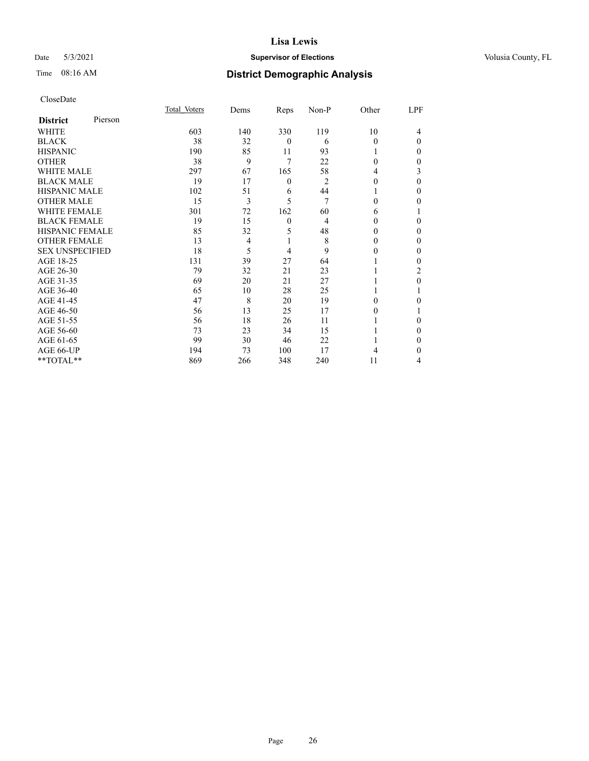## Date 5/3/2021 **Supervisor of Elections Supervisor of Elections** Volusia County, FL

| CloseDate |
|-----------|
|-----------|

|                        |         | Total Voters | Dems           | Reps     | Non-P | Other    | LPF      |
|------------------------|---------|--------------|----------------|----------|-------|----------|----------|
| <b>District</b>        | Pierson |              |                |          |       |          |          |
| WHITE                  |         | 603          | 140            | 330      | 119   | 10       | 4        |
| <b>BLACK</b>           |         | 38           | 32             | $\theta$ | 6     | $\Omega$ | $\Omega$ |
| <b>HISPANIC</b>        |         | 190          | 85             | 11       | 93    | 1        | $_{0}$   |
| <b>OTHER</b>           |         | 38           | 9              | 7        | 22    | $\Omega$ | 0        |
| <b>WHITE MALE</b>      |         | 297          | 67             | 165      | 58    | 4        | 3        |
| <b>BLACK MALE</b>      |         | 19           | 17             | $\theta$ | 2     | 0        | 0        |
| <b>HISPANIC MALE</b>   |         | 102          | 51             | 6        | 44    |          | 0        |
| <b>OTHER MALE</b>      |         | 15           | 3              | 5        | 7     | 0        | 0        |
| WHITE FEMALE           |         | 301          | 72             | 162      | 60    | 6        |          |
| <b>BLACK FEMALE</b>    |         | 19           | 15             | $\theta$ | 4     | 0        | 0        |
| <b>HISPANIC FEMALE</b> |         | 85           | 32             | 5        | 48    | 0        | 0        |
| <b>OTHER FEMALE</b>    |         | 13           | $\overline{4}$ | 1        | 8     | $\theta$ | 0        |
| <b>SEX UNSPECIFIED</b> |         | 18           | 5              | 4        | 9     | 0        | 0        |
| AGE 18-25              |         | 131          | 39             | 27       | 64    |          | 0        |
| AGE 26-30              |         | 79           | 32             | 21       | 23    |          | 2        |
| AGE 31-35              |         | 69           | 20             | 21       | 27    |          | 0        |
| AGE 36-40              |         | 65           | 10             | 28       | 25    |          |          |
| AGE 41-45              |         | 47           | 8              | 20       | 19    | 0        | 0        |
| AGE 46-50              |         | 56           | 13             | 25       | 17    | $\theta$ |          |
| AGE 51-55              |         | 56           | 18             | 26       | 11    |          | 0        |
| AGE 56-60              |         | 73           | 23             | 34       | 15    |          | 0        |
| AGE 61-65              |         | 99           | 30             | 46       | 22    |          | 0        |
| AGE 66-UP              |         | 194          | 73             | 100      | 17    | 4        | 0        |
| **TOTAL**              |         | 869          | 266            | 348      | 240   | 11       | 4        |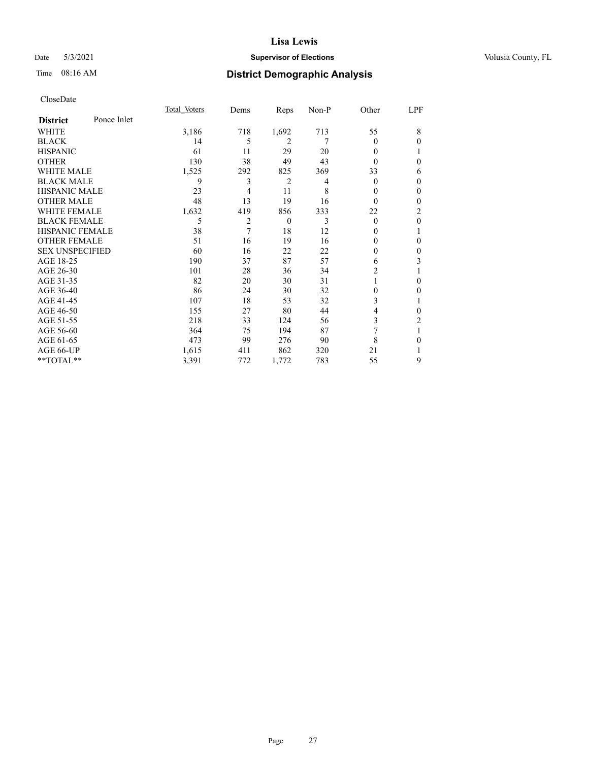## Date 5/3/2021 **Supervisor of Elections Supervisor of Elections** Volusia County, FL

## Time 08:16 AM **District Demographic Analysis**

|                        |             | Total Voters | Dems | Reps     | Non-P | Other    | LPF          |
|------------------------|-------------|--------------|------|----------|-------|----------|--------------|
| <b>District</b>        | Ponce Inlet |              |      |          |       |          |              |
| WHITE                  |             | 3,186        | 718  | 1,692    | 713   | 55       | 8            |
| <b>BLACK</b>           |             | 14           | 5    | 2        | 7     | 0        | 0            |
| <b>HISPANIC</b>        |             | 61           | 11   | 29       | 20    | 0        |              |
| <b>OTHER</b>           |             | 130          | 38   | 49       | 43    | $\theta$ | 0            |
| WHITE MALE             |             | 1,525        | 292  | 825      | 369   | 33       | 6            |
| <b>BLACK MALE</b>      |             | 9            | 3    | 2        | 4     | 0        | 0            |
| <b>HISPANIC MALE</b>   |             | 23           | 4    | 11       | 8     | 0        | $\theta$     |
| <b>OTHER MALE</b>      |             | 48           | 13   | 19       | 16    | $\Omega$ | $\mathbf{0}$ |
| <b>WHITE FEMALE</b>    |             | 1,632        | 419  | 856      | 333   | 22       | 2            |
| <b>BLACK FEMALE</b>    |             | 5            | 2    | $\theta$ | 3     | $\theta$ | $\mathbf{0}$ |
| <b>HISPANIC FEMALE</b> |             | 38           | 7    | 18       | 12    | 0        | 1            |
| <b>OTHER FEMALE</b>    |             | 51           | 16   | 19       | 16    | 0        | 0            |
| <b>SEX UNSPECIFIED</b> |             | 60           | 16   | 22       | 22    | 0        | 0            |
| AGE 18-25              |             | 190          | 37   | 87       | 57    | 6        | 3            |
| AGE 26-30              |             | 101          | 28   | 36       | 34    | 2        | 1            |
| AGE 31-35              |             | 82           | 20   | 30       | 31    |          | 0            |
| AGE 36-40              |             | 86           | 24   | 30       | 32    | 0        | 0            |
| AGE 41-45              |             | 107          | 18   | 53       | 32    | 3        |              |
| AGE 46-50              |             | 155          | 27   | 80       | 44    | 4        | 0            |
| AGE 51-55              |             | 218          | 33   | 124      | 56    | 3        | 2            |
| AGE 56-60              |             | 364          | 75   | 194      | 87    | 7        | 1            |
| AGE 61-65              |             | 473          | 99   | 276      | 90    | 8        | 0            |
| AGE 66-UP              |             | 1,615        | 411  | 862      | 320   | 21       |              |
| **TOTAL**              |             | 3,391        | 772  | 1,772    | 783   | 55       | 9            |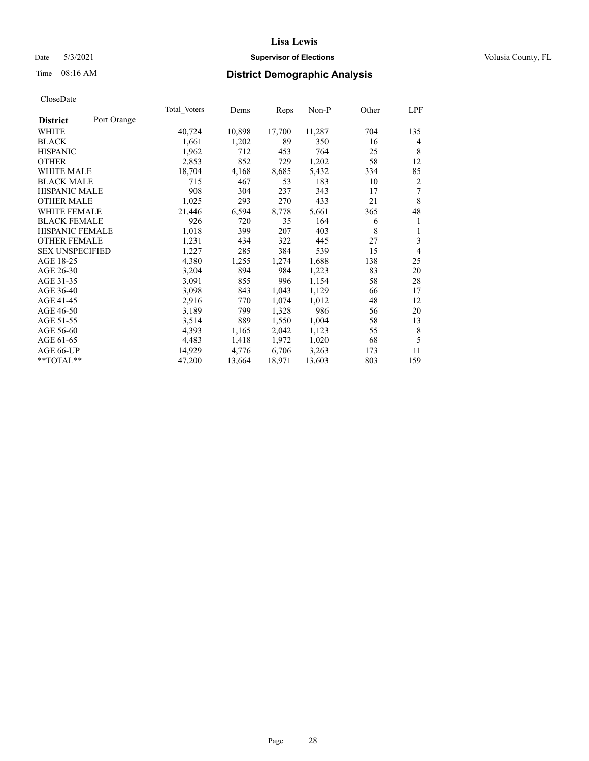## Date 5/3/2021 **Supervisor of Elections Supervisor of Elections** Volusia County, FL

## Time 08:16 AM **District Demographic Analysis**

|                        |             | Total Voters | Dems   | Reps   | Non-P  | Other | LPF            |
|------------------------|-------------|--------------|--------|--------|--------|-------|----------------|
| <b>District</b>        | Port Orange |              |        |        |        |       |                |
| WHITE                  |             | 40,724       | 10,898 | 17,700 | 11,287 | 704   | 135            |
| <b>BLACK</b>           |             | 1,661        | 1,202  | 89     | 350    | 16    | 4              |
| <b>HISPANIC</b>        |             | 1,962        | 712    | 453    | 764    | 25    | 8              |
| <b>OTHER</b>           |             | 2,853        | 852    | 729    | 1,202  | 58    | 12             |
| <b>WHITE MALE</b>      |             | 18,704       | 4,168  | 8,685  | 5,432  | 334   | 85             |
| <b>BLACK MALE</b>      |             | 715          | 467    | 53     | 183    | 10    | 2              |
| <b>HISPANIC MALE</b>   |             | 908          | 304    | 237    | 343    | 17    | 7              |
| <b>OTHER MALE</b>      |             | 1,025        | 293    | 270    | 433    | 21    | 8              |
| <b>WHITE FEMALE</b>    |             | 21,446       | 6,594  | 8,778  | 5,661  | 365   | 48             |
| <b>BLACK FEMALE</b>    |             | 926          | 720    | 35     | 164    | 6     | 1              |
| <b>HISPANIC FEMALE</b> |             | 1,018        | 399    | 207    | 403    | 8     | 1              |
| <b>OTHER FEMALE</b>    |             | 1,231        | 434    | 322    | 445    | 27    | 3              |
| <b>SEX UNSPECIFIED</b> |             | 1,227        | 285    | 384    | 539    | 15    | $\overline{4}$ |
| AGE 18-25              |             | 4,380        | 1,255  | 1,274  | 1,688  | 138   | 25             |
| AGE 26-30              |             | 3,204        | 894    | 984    | 1,223  | 83    | 20             |
| AGE 31-35              |             | 3,091        | 855    | 996    | 1,154  | 58    | 28             |
| AGE 36-40              |             | 3,098        | 843    | 1,043  | 1,129  | 66    | 17             |
| AGE 41-45              |             | 2,916        | 770    | 1,074  | 1,012  | 48    | 12             |
| AGE 46-50              |             | 3,189        | 799    | 1,328  | 986    | 56    | 20             |
| AGE 51-55              |             | 3,514        | 889    | 1,550  | 1,004  | 58    | 13             |
| AGE 56-60              |             | 4,393        | 1,165  | 2,042  | 1,123  | 55    | $\,$ 8 $\,$    |
| AGE 61-65              |             | 4,483        | 1,418  | 1,972  | 1,020  | 68    | 5              |
| AGE 66-UP              |             | 14,929       | 4,776  | 6,706  | 3,263  | 173   | 11             |
| **TOTAL**              |             | 47,200       | 13,664 | 18,971 | 13,603 | 803   | 159            |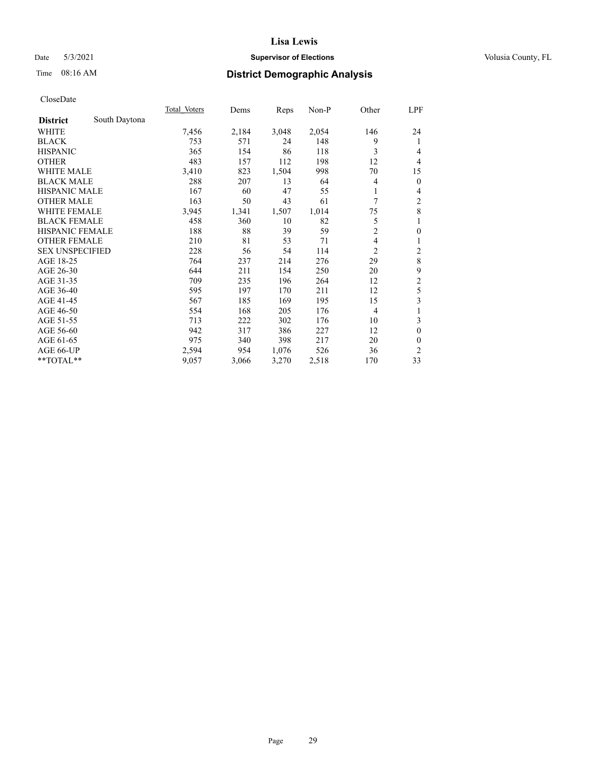## Date 5/3/2021 **Supervisor of Elections Supervisor of Elections** Volusia County, FL

## Time 08:16 AM **District Demographic Analysis**

|                                  | Total Voters | Dems  | Reps  | Non-P | Other          | LPF              |
|----------------------------------|--------------|-------|-------|-------|----------------|------------------|
| South Daytona<br><b>District</b> |              |       |       |       |                |                  |
| WHITE                            | 7,456        | 2,184 | 3,048 | 2,054 | 146            | 24               |
| <b>BLACK</b>                     | 753          | 571   | 24    | 148   | 9              | 1                |
| <b>HISPANIC</b>                  | 365          | 154   | 86    | 118   | 3              | 4                |
| <b>OTHER</b>                     | 483          | 157   | 112   | 198   | 12             | $\overline{4}$   |
| <b>WHITE MALE</b>                | 3,410        | 823   | 1,504 | 998   | 70             | 15               |
| <b>BLACK MALE</b>                | 288          | 207   | 13    | 64    | 4              | $\mathbf{0}$     |
| <b>HISPANIC MALE</b>             | 167          | 60    | 47    | 55    | 1              | 4                |
| <b>OTHER MALE</b>                | 163          | 50    | 43    | 61    | 7              | 2                |
| WHITE FEMALE                     | 3,945        | 1,341 | 1,507 | 1,014 | 75             | $\,8\,$          |
| <b>BLACK FEMALE</b>              | 458          | 360   | 10    | 82    | 5              | 1                |
| <b>HISPANIC FEMALE</b>           | 188          | 88    | 39    | 59    | $\overline{c}$ | $\boldsymbol{0}$ |
| <b>OTHER FEMALE</b>              | 210          | 81    | 53    | 71    | 4              | 1                |
| <b>SEX UNSPECIFIED</b>           | 228          | 56    | 54    | 114   | $\overline{2}$ | 2                |
| AGE 18-25                        | 764          | 237   | 214   | 276   | 29             | $\,8$            |
| AGE 26-30                        | 644          | 211   | 154   | 250   | 20             | 9                |
| AGE 31-35                        | 709          | 235   | 196   | 264   | 12             | $\overline{c}$   |
| AGE 36-40                        | 595          | 197   | 170   | 211   | 12             | 5                |
| AGE 41-45                        | 567          | 185   | 169   | 195   | 15             | 3                |
| AGE 46-50                        | 554          | 168   | 205   | 176   | 4              | 1                |
| AGE 51-55                        | 713          | 222   | 302   | 176   | 10             | 3                |
| AGE 56-60                        | 942          | 317   | 386   | 227   | 12             | $\mathbf{0}$     |
| AGE 61-65                        | 975          | 340   | 398   | 217   | 20             | $\mathbf{0}$     |
| AGE 66-UP                        | 2,594        | 954   | 1,076 | 526   | 36             | $\mathfrak{2}$   |
| **TOTAL**                        | 9,057        | 3,066 | 3,270 | 2,518 | 170            | 33               |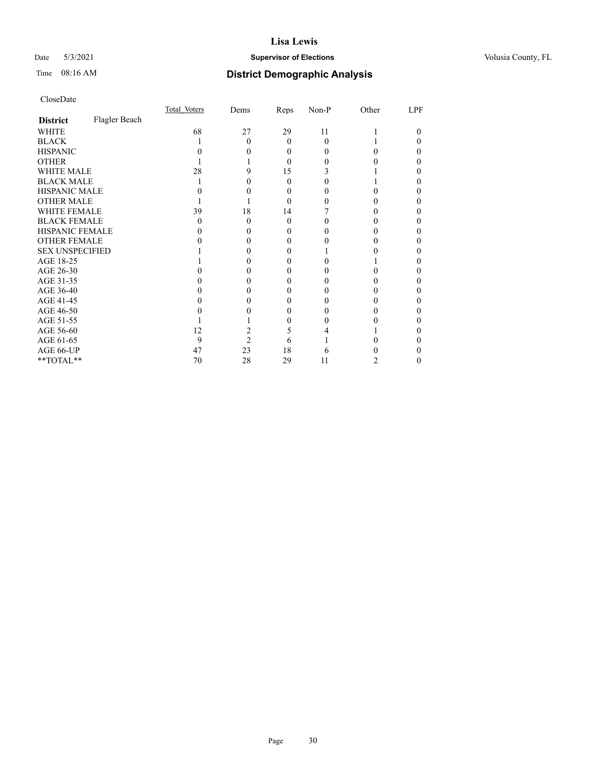## Date 5/3/2021 **Supervisor of Elections Supervisor of Elections** Volusia County, FL

## Time 08:16 AM **District Demographic Analysis**

|                        |               | Total Voters | Dems           | Reps     | Non-P | Other | LPF |
|------------------------|---------------|--------------|----------------|----------|-------|-------|-----|
| <b>District</b>        | Flagler Beach |              |                |          |       |       |     |
| WHITE                  |               | 68           | 27             | 29       | 11    |       | 0   |
| <b>BLACK</b>           |               |              | 0              | $\theta$ | 0     |       |     |
| <b>HISPANIC</b>        |               |              |                | $\theta$ | 0     |       |     |
| <b>OTHER</b>           |               |              |                | $\Omega$ |       |       |     |
| WHITE MALE             |               | 28           | 9              | 15       |       |       |     |
| <b>BLACK MALE</b>      |               |              |                | 0        |       |       |     |
| <b>HISPANIC MALE</b>   |               |              |                | $_{0}$   |       |       |     |
| <b>OTHER MALE</b>      |               |              |                | 0        |       |       | 0   |
| WHITE FEMALE           |               | 39           | 18             | 14       |       |       |     |
| <b>BLACK FEMALE</b>    |               | $\theta$     | 0              | $\theta$ |       |       |     |
| <b>HISPANIC FEMALE</b> |               |              |                | $_{0}$   |       |       |     |
| <b>OTHER FEMALE</b>    |               |              |                | 0        |       |       | 0   |
| <b>SEX UNSPECIFIED</b> |               |              |                |          |       |       |     |
| AGE 18-25              |               |              |                | 0        |       |       |     |
| AGE 26-30              |               |              |                |          |       |       |     |
| AGE 31-35              |               |              |                |          |       |       |     |
| AGE 36-40              |               |              |                | 0        |       |       | 0   |
| AGE 41-45              |               |              |                |          |       |       |     |
| AGE 46-50              |               |              |                | 0        | 0     | 0     | 0   |
| AGE 51-55              |               |              |                | 0        |       |       |     |
| AGE 56-60              |               | 12           |                | 5        |       |       |     |
| AGE 61-65              |               | 9            | $\mathfrak{D}$ | 6        |       |       |     |
| AGE 66-UP              |               | 47           | 23             | 18       | h     |       |     |
| **TOTAL**              |               | 70           | 28             | 29       | 11    | 2     | 0   |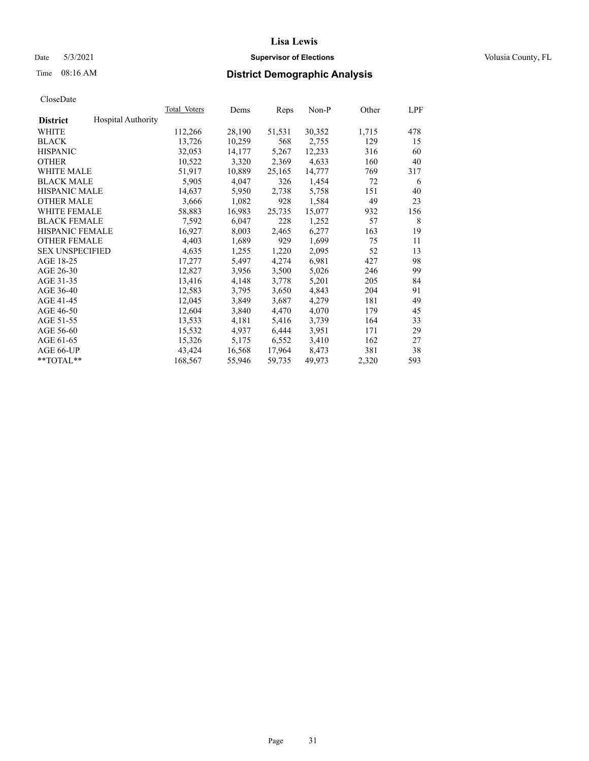## Date 5/3/2021 **Supervisor of Elections Supervisor of Elections** Volusia County, FL

## Time 08:16 AM **District Demographic Analysis**

|                        |                           | Total Voters | Dems   | Reps   | Non-P  | Other | LPF |
|------------------------|---------------------------|--------------|--------|--------|--------|-------|-----|
| <b>District</b>        | <b>Hospital Authority</b> |              |        |        |        |       |     |
| WHITE                  |                           | 112,266      | 28,190 | 51,531 | 30,352 | 1,715 | 478 |
| <b>BLACK</b>           |                           | 13,726       | 10,259 | 568    | 2,755  | 129   | 15  |
| <b>HISPANIC</b>        |                           | 32,053       | 14,177 | 5,267  | 12,233 | 316   | 60  |
| <b>OTHER</b>           |                           | 10,522       | 3,320  | 2,369  | 4,633  | 160   | 40  |
| WHITE MALE             |                           | 51,917       | 10,889 | 25,165 | 14,777 | 769   | 317 |
| <b>BLACK MALE</b>      |                           | 5,905        | 4,047  | 326    | 1,454  | 72    | 6   |
| <b>HISPANIC MALE</b>   |                           | 14,637       | 5,950  | 2,738  | 5,758  | 151   | 40  |
| <b>OTHER MALE</b>      |                           | 3,666        | 1,082  | 928    | 1,584  | 49    | 23  |
| <b>WHITE FEMALE</b>    |                           | 58,883       | 16,983 | 25,735 | 15,077 | 932   | 156 |
| <b>BLACK FEMALE</b>    |                           | 7,592        | 6,047  | 228    | 1,252  | 57    | 8   |
| <b>HISPANIC FEMALE</b> |                           | 16,927       | 8,003  | 2,465  | 6,277  | 163   | 19  |
| <b>OTHER FEMALE</b>    |                           | 4,403        | 1,689  | 929    | 1,699  | 75    | 11  |
| <b>SEX UNSPECIFIED</b> |                           | 4,635        | 1,255  | 1,220  | 2,095  | 52    | 13  |
| AGE 18-25              |                           | 17,277       | 5,497  | 4,274  | 6,981  | 427   | 98  |
| AGE 26-30              |                           | 12,827       | 3,956  | 3,500  | 5,026  | 246   | 99  |
| AGE 31-35              |                           | 13,416       | 4,148  | 3,778  | 5,201  | 205   | 84  |
| AGE 36-40              |                           | 12,583       | 3,795  | 3,650  | 4,843  | 204   | 91  |
| AGE 41-45              |                           | 12,045       | 3,849  | 3,687  | 4,279  | 181   | 49  |
| AGE 46-50              |                           | 12,604       | 3,840  | 4,470  | 4,070  | 179   | 45  |
| AGE 51-55              |                           | 13,533       | 4,181  | 5,416  | 3,739  | 164   | 33  |
| AGE 56-60              |                           | 15,532       | 4,937  | 6,444  | 3,951  | 171   | 29  |
| AGE 61-65              |                           | 15,326       | 5,175  | 6,552  | 3,410  | 162   | 27  |
| AGE 66-UP              |                           | 43,424       | 16,568 | 17,964 | 8,473  | 381   | 38  |
| $*$ TOTAL $*$          |                           | 168,567      | 55,946 | 59,735 | 49,973 | 2,320 | 593 |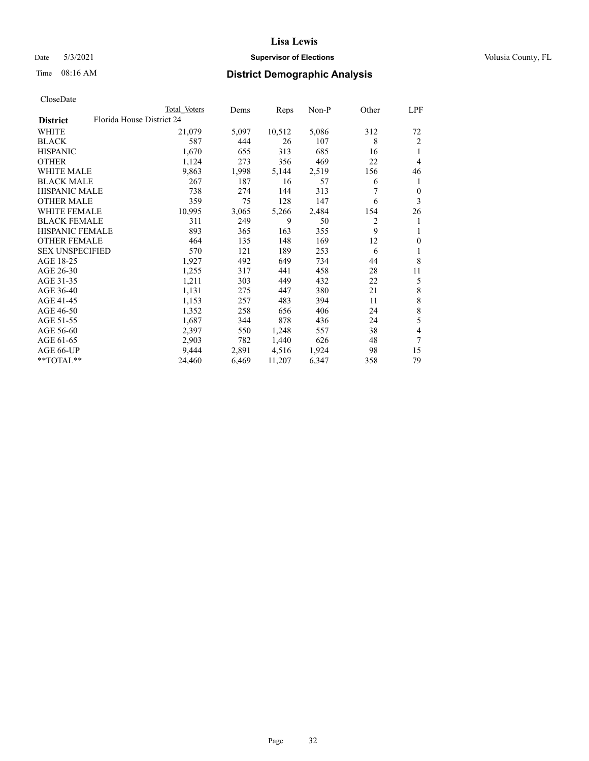## Date 5/3/2021 **Supervisor of Elections Supervisor of Elections** Volusia County, FL

| CloseDate |
|-----------|
|-----------|

| Total Voters              | Dems  | Reps   | $Non-P$ | Other          | LPF          |
|---------------------------|-------|--------|---------|----------------|--------------|
| Florida House District 24 |       |        |         |                |              |
| 21,079                    | 5,097 | 10,512 | 5,086   | 312            | 72           |
| 587                       | 444   | 26     | 107     | 8              | 2            |
| 1,670                     | 655   | 313    | 685     | 16             | 1            |
| 1,124                     | 273   | 356    | 469     | 22             | 4            |
| 9,863                     | 1,998 | 5,144  | 2,519   | 156            | 46           |
| 267                       | 187   | 16     | 57      | 6              | 1            |
| 738                       | 274   | 144    | 313     |                | $\mathbf{0}$ |
| 359                       | 75    | 128    | 147     | 6              | 3            |
| 10,995                    | 3,065 | 5,266  | 2,484   | 154            | 26           |
| 311                       | 249   | 9      | 50      | $\overline{2}$ | 1            |
| 893                       | 365   | 163    | 355     | 9              | 1            |
| 464                       | 135   | 148    | 169     | 12             | $\mathbf{0}$ |
| 570                       | 121   | 189    | 253     | 6              | 1            |
| 1,927                     | 492   | 649    | 734     | 44             | 8            |
| 1,255                     | 317   | 441    | 458     | 28             | 11           |
| 1,211                     | 303   | 449    | 432     | 22             | 5            |
| 1,131                     | 275   | 447    | 380     | 21             | $\,$ 8 $\,$  |
| 1,153                     | 257   | 483    | 394     | 11             | $\,$ 8 $\,$  |
| 1,352                     | 258   | 656    | 406     | 24             | $\,$ 8 $\,$  |
| 1,687                     | 344   | 878    | 436     | 24             | 5            |
| 2,397                     | 550   | 1,248  | 557     | 38             | 4            |
| 2,903                     | 782   | 1,440  | 626     | 48             | 7            |
| 9,444                     | 2,891 | 4,516  | 1,924   | 98             | 15           |
| 24,460                    | 6,469 | 11,207 | 6,347   | 358            | 79           |
|                           |       |        |         |                |              |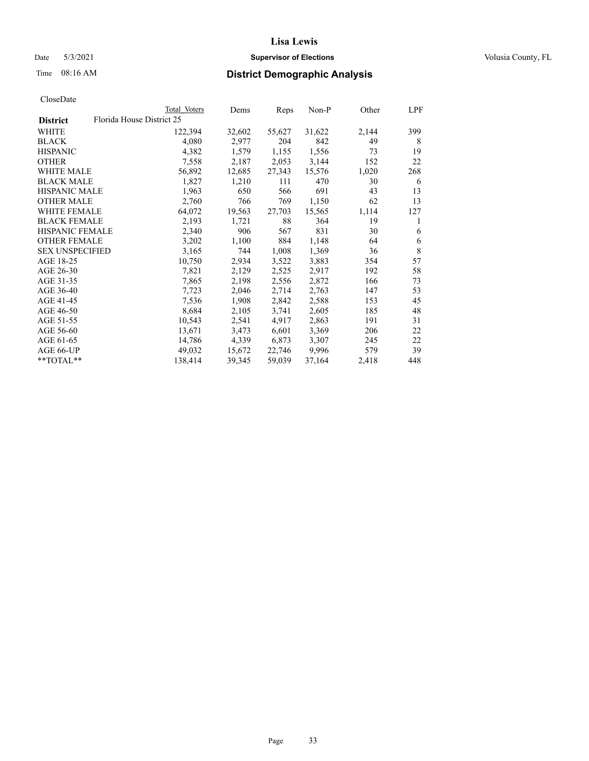## Date 5/3/2021 **Supervisor of Elections Supervisor of Elections** Volusia County, FL

|                        |                           | Total Voters | Dems   | Reps   | Non-P  | Other | LPF |
|------------------------|---------------------------|--------------|--------|--------|--------|-------|-----|
| <b>District</b>        | Florida House District 25 |              |        |        |        |       |     |
| WHITE                  |                           | 122,394      | 32,602 | 55,627 | 31,622 | 2,144 | 399 |
| BLACK                  |                           | 4,080        | 2,977  | 204    | 842    | 49    | 8   |
| HISPANIC               |                           | 4,382        | 1,579  | 1,155  | 1,556  | 73    | 19  |
| OTHER                  |                           | 7,558        | 2,187  | 2,053  | 3,144  | 152   | 22  |
| WHITE MALE             |                           | 56,892       | 12,685 | 27,343 | 15,576 | 1,020 | 268 |
| BLACK MALE             |                           | 1,827        | 1,210  | 111    | 470    | 30    | 6   |
| HISPANIC MALE          |                           | 1,963        | 650    | 566    | 691    | 43    | 13  |
| OTHER MALE             |                           | 2,760        | 766    | 769    | 1,150  | 62    | 13  |
| WHITE FEMALE           |                           | 64,072       | 19,563 | 27,703 | 15,565 | 1,114 | 127 |
| BLACK FEMALE           |                           | 2,193        | 1,721  | 88     | 364    | 19    | 1   |
| HISPANIC FEMALE        |                           | 2,340        | 906    | 567    | 831    | 30    | 6   |
| OTHER FEMALE           |                           | 3,202        | 1,100  | 884    | 1,148  | 64    | 6   |
| <b>SEX UNSPECIFIED</b> |                           | 3,165        | 744    | 1,008  | 1,369  | 36    | 8   |
| AGE 18-25              |                           | 10,750       | 2,934  | 3,522  | 3,883  | 354   | 57  |
| AGE 26-30              |                           | 7,821        | 2,129  | 2,525  | 2,917  | 192   | 58  |
| AGE 31-35              |                           | 7,865        | 2,198  | 2,556  | 2,872  | 166   | 73  |
| AGE 36-40              |                           | 7,723        | 2,046  | 2,714  | 2,763  | 147   | 53  |
| AGE 41-45              |                           | 7,536        | 1,908  | 2,842  | 2,588  | 153   | 45  |
| AGE 46-50              |                           | 8,684        | 2,105  | 3,741  | 2,605  | 185   | 48  |
| AGE 51-55              |                           | 10,543       | 2,541  | 4,917  | 2,863  | 191   | 31  |
| AGE 56-60              |                           | 13,671       | 3,473  | 6,601  | 3,369  | 206   | 22  |
| AGE 61-65              |                           | 14,786       | 4,339  | 6,873  | 3,307  | 245   | 22  |
| AGE 66-UP              |                           | 49,032       | 15,672 | 22,746 | 9,996  | 579   | 39  |
| $*$ $TOTAL**$          |                           | 138,414      | 39,345 | 59,039 | 37,164 | 2,418 | 448 |
|                        |                           |              |        |        |        |       |     |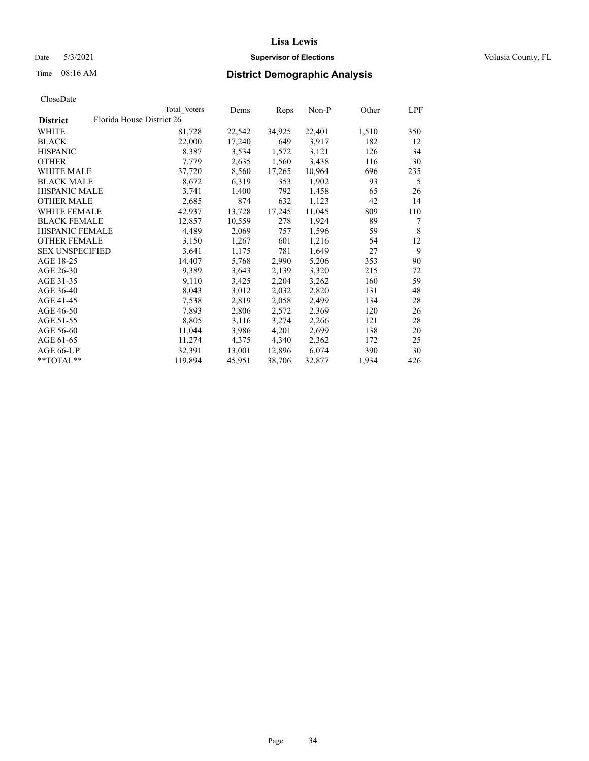Date 5/3/2021 **Supervisor of Elections Supervisor of Elections** Volusia County, FL

| CloseDate |
|-----------|
|-----------|

|                        |                           | Total Voters | Dems   | <b>Reps</b> | $Non-P$ | Other | LPF |
|------------------------|---------------------------|--------------|--------|-------------|---------|-------|-----|
| <b>District</b>        | Florida House District 26 |              |        |             |         |       |     |
| WHITE                  |                           | 81,728       | 22,542 | 34,925      | 22,401  | 1,510 | 350 |
| <b>BLACK</b>           |                           | 22,000       | 17,240 | 649         | 3,917   | 182   | 12  |
| <b>HISPANIC</b>        |                           | 8,387        | 3,534  | 1,572       | 3,121   | 126   | 34  |
| <b>OTHER</b>           |                           | 7,779        | 2,635  | 1,560       | 3,438   | 116   | 30  |
| <b>WHITE MALE</b>      |                           | 37,720       | 8,560  | 17,265      | 10,964  | 696   | 235 |
| <b>BLACK MALE</b>      |                           | 8,672        | 6,319  | 353         | 1,902   | 93    | 5   |
| <b>HISPANIC MALE</b>   |                           | 3,741        | 1,400  | 792         | 1,458   | 65    | 26  |
| <b>OTHER MALE</b>      |                           | 2,685        | 874    | 632         | 1,123   | 42    | 14  |
| <b>WHITE FEMALE</b>    |                           | 42,937       | 13,728 | 17,245      | 11,045  | 809   | 110 |
| <b>BLACK FEMALE</b>    |                           | 12,857       | 10,559 | 278         | 1,924   | 89    | 7   |
| HISPANIC FEMALE        |                           | 4,489        | 2,069  | 757         | 1,596   | 59    | 8   |
| <b>OTHER FEMALE</b>    |                           | 3,150        | 1,267  | 601         | 1,216   | 54    | 12  |
| <b>SEX UNSPECIFIED</b> |                           | 3,641        | 1,175  | 781         | 1,649   | 27    | 9   |
| AGE 18-25              |                           | 14,407       | 5,768  | 2,990       | 5,206   | 353   | 90  |
| AGE 26-30              |                           | 9,389        | 3,643  | 2,139       | 3,320   | 215   | 72  |
| AGE 31-35              |                           | 9,110        | 3,425  | 2,204       | 3,262   | 160   | 59  |
| AGE 36-40              |                           | 8,043        | 3,012  | 2,032       | 2,820   | 131   | 48  |
| AGE 41-45              |                           | 7,538        | 2,819  | 2,058       | 2,499   | 134   | 28  |
| AGE 46-50              |                           | 7,893        | 2,806  | 2,572       | 2,369   | 120   | 26  |
| AGE 51-55              |                           | 8,805        | 3,116  | 3,274       | 2,266   | 121   | 28  |
| AGE 56-60              |                           | 11,044       | 3,986  | 4,201       | 2,699   | 138   | 20  |
| AGE 61-65              |                           | 11,274       | 4,375  | 4,340       | 2,362   | 172   | 25  |
| AGE 66-UP              |                           | 32,391       | 13,001 | 12,896      | 6,074   | 390   | 30  |
| $**TOTAL**$            |                           | 119,894      | 45,951 | 38,706      | 32,877  | 1,934 | 426 |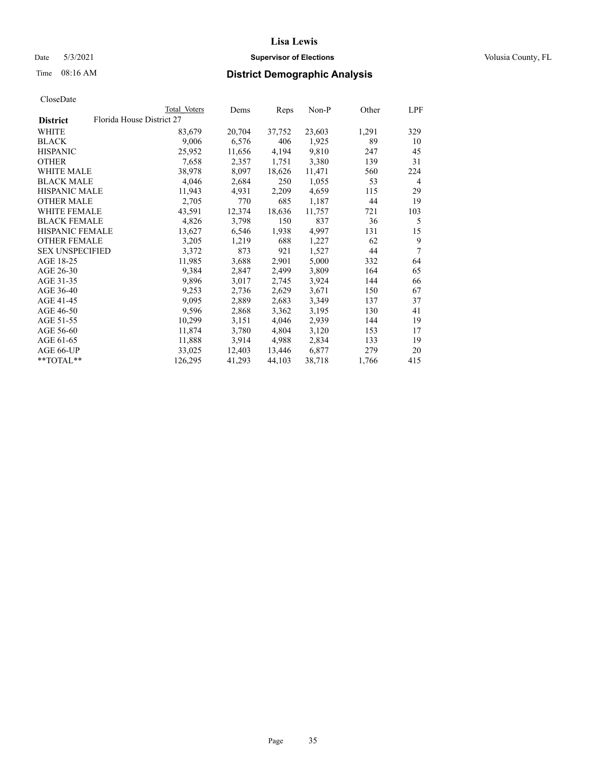## Date 5/3/2021 **Supervisor of Elections Supervisor of Elections** Volusia County, FL

## Time 08:16 AM **District Demographic Analysis**

|                        |                           | Total Voters | Dems   | Reps   | Non-P  | Other | LPF            |
|------------------------|---------------------------|--------------|--------|--------|--------|-------|----------------|
| <b>District</b>        | Florida House District 27 |              |        |        |        |       |                |
| WHITE                  |                           | 83,679       | 20,704 | 37,752 | 23,603 | 1,291 | 329            |
| <b>BLACK</b>           |                           | 9,006        | 6,576  | 406    | 1,925  | 89    | 10             |
| <b>HISPANIC</b>        |                           | 25,952       | 11,656 | 4,194  | 9,810  | 247   | 45             |
| <b>OTHER</b>           |                           | 7,658        | 2,357  | 1,751  | 3,380  | 139   | 31             |
| WHITE MALE             |                           | 38,978       | 8,097  | 18,626 | 11,471 | 560   | 224            |
| <b>BLACK MALE</b>      |                           | 4,046        | 2,684  | 250    | 1,055  | 53    | $\overline{4}$ |
| <b>HISPANIC MALE</b>   |                           | 11,943       | 4,931  | 2,209  | 4,659  | 115   | 29             |
| <b>OTHER MALE</b>      |                           | 2,705        | 770    | 685    | 1,187  | 44    | 19             |
| <b>WHITE FEMALE</b>    |                           | 43,591       | 12,374 | 18,636 | 11,757 | 721   | 103            |
| <b>BLACK FEMALE</b>    |                           | 4,826        | 3,798  | 150    | 837    | 36    | 5              |
| <b>HISPANIC FEMALE</b> |                           | 13,627       | 6,546  | 1,938  | 4,997  | 131   | 15             |
| <b>OTHER FEMALE</b>    |                           | 3,205        | 1,219  | 688    | 1,227  | 62    | 9              |
| <b>SEX UNSPECIFIED</b> |                           | 3,372        | 873    | 921    | 1,527  | 44    | 7              |
| AGE 18-25              |                           | 11,985       | 3,688  | 2,901  | 5,000  | 332   | 64             |
| AGE 26-30              |                           | 9,384        | 2,847  | 2,499  | 3,809  | 164   | 65             |
| AGE 31-35              |                           | 9,896        | 3,017  | 2,745  | 3,924  | 144   | 66             |
| AGE 36-40              |                           | 9,253        | 2,736  | 2,629  | 3,671  | 150   | 67             |
| AGE 41-45              |                           | 9,095        | 2,889  | 2,683  | 3,349  | 137   | 37             |
| AGE 46-50              |                           | 9,596        | 2,868  | 3,362  | 3,195  | 130   | 41             |
| AGE 51-55              |                           | 10,299       | 3,151  | 4,046  | 2,939  | 144   | 19             |
| AGE 56-60              |                           | 11,874       | 3,780  | 4,804  | 3,120  | 153   | 17             |
| AGE 61-65              |                           | 11,888       | 3,914  | 4,988  | 2,834  | 133   | 19             |
| AGE 66-UP              |                           | 33,025       | 12,403 | 13,446 | 6,877  | 279   | 20             |
| $*$ $TOTAL**$          |                           | 126,295      | 41,293 | 44,103 | 38,718 | 1,766 | 415            |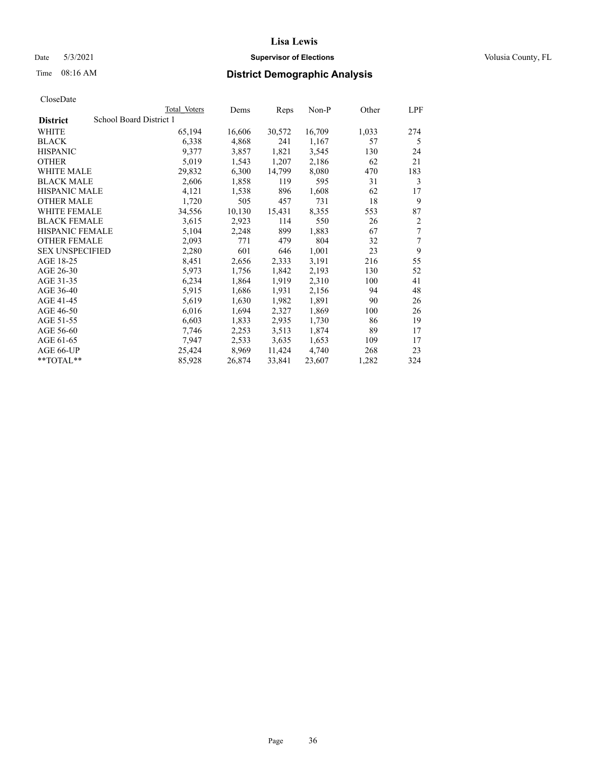## Date 5/3/2021 **Supervisor of Elections Supervisor of Elections** Volusia County, FL

## Time 08:16 AM **District Demographic Analysis**

|                        | Total Voters            | Dems   | Reps   | Non-P  | Other | LPF |
|------------------------|-------------------------|--------|--------|--------|-------|-----|
| <b>District</b>        | School Board District 1 |        |        |        |       |     |
| WHITE                  | 65,194                  | 16,606 | 30,572 | 16,709 | 1,033 | 274 |
| <b>BLACK</b>           | 6,338                   | 4,868  | 241    | 1,167  | 57    | 5   |
| <b>HISPANIC</b>        | 9,377                   | 3,857  | 1,821  | 3,545  | 130   | 24  |
| <b>OTHER</b>           | 5,019                   | 1,543  | 1,207  | 2,186  | 62    | 21  |
| WHITE MALE             | 29,832                  | 6,300  | 14,799 | 8,080  | 470   | 183 |
| <b>BLACK MALE</b>      | 2,606                   | 1,858  | 119    | 595    | 31    | 3   |
| <b>HISPANIC MALE</b>   | 4,121                   | 1,538  | 896    | 1,608  | 62    | 17  |
| <b>OTHER MALE</b>      | 1,720                   | 505    | 457    | 731    | 18    | 9   |
| <b>WHITE FEMALE</b>    | 34,556                  | 10,130 | 15,431 | 8,355  | 553   | 87  |
| <b>BLACK FEMALE</b>    | 3,615                   | 2,923  | 114    | 550    | 26    | 2   |
| <b>HISPANIC FEMALE</b> | 5,104                   | 2,248  | 899    | 1,883  | 67    | 7   |
| <b>OTHER FEMALE</b>    | 2,093                   | 771    | 479    | 804    | 32    | 7   |
| <b>SEX UNSPECIFIED</b> | 2,280                   | 601    | 646    | 1,001  | 23    | 9   |
| AGE 18-25              | 8,451                   | 2,656  | 2,333  | 3,191  | 216   | 55  |
| AGE 26-30              | 5,973                   | 1,756  | 1,842  | 2,193  | 130   | 52  |
| AGE 31-35              | 6,234                   | 1,864  | 1,919  | 2,310  | 100   | 41  |
| AGE 36-40              | 5,915                   | 1,686  | 1,931  | 2,156  | 94    | 48  |
| AGE 41-45              | 5,619                   | 1,630  | 1,982  | 1,891  | 90    | 26  |
| AGE 46-50              | 6,016                   | 1,694  | 2,327  | 1,869  | 100   | 26  |
| AGE 51-55              | 6,603                   | 1,833  | 2,935  | 1,730  | 86    | 19  |
| AGE 56-60              | 7,746                   | 2,253  | 3,513  | 1,874  | 89    | 17  |
| AGE 61-65              | 7,947                   | 2,533  | 3,635  | 1,653  | 109   | 17  |
| AGE 66-UP              | 25,424                  | 8,969  | 11,424 | 4,740  | 268   | 23  |
| $*$ $TOTAL**$          | 85,928                  | 26,874 | 33,841 | 23,607 | 1,282 | 324 |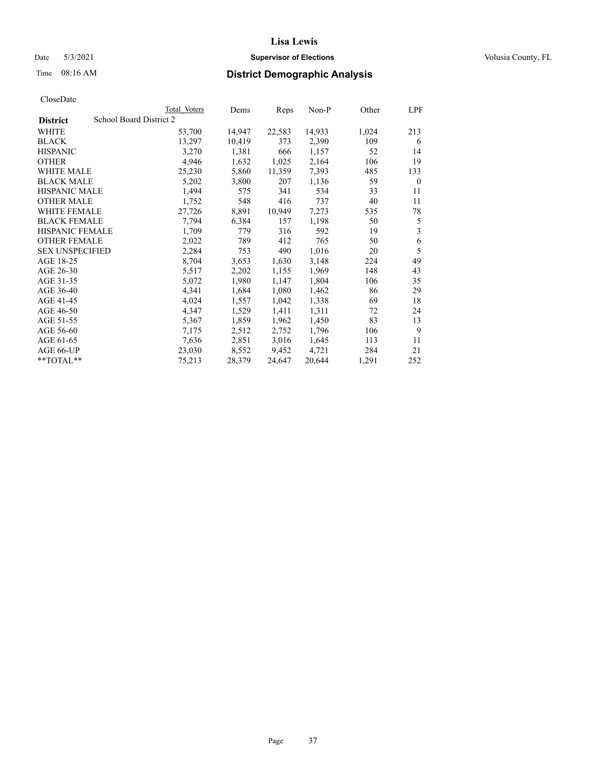## Date 5/3/2021 **Supervisor of Elections Supervisor of Elections** Volusia County, FL

## Time 08:16 AM **District Demographic Analysis**

|                                            | Total Voters | Dems   | Reps   | Non-P  | Other | LPF          |
|--------------------------------------------|--------------|--------|--------|--------|-------|--------------|
| School Board District 2<br><b>District</b> |              |        |        |        |       |              |
| WHITE                                      | 53,700       | 14,947 | 22,583 | 14,933 | 1,024 | 213          |
| <b>BLACK</b>                               | 13,297       | 10,419 | 373    | 2,390  | 109   | 6            |
| <b>HISPANIC</b>                            | 3,270        | 1,381  | 666    | 1,157  | 52    | 14           |
| <b>OTHER</b>                               | 4,946        | 1,632  | 1,025  | 2,164  | 106   | 19           |
| WHITE MALE                                 | 25,230       | 5,860  | 11,359 | 7,393  | 485   | 133          |
| <b>BLACK MALE</b>                          | 5,202        | 3,800  | 207    | 1,136  | 59    | $\mathbf{0}$ |
| <b>HISPANIC MALE</b>                       | 1,494        | 575    | 341    | 534    | 33    | 11           |
| <b>OTHER MALE</b>                          | 1,752        | 548    | 416    | 737    | 40    | 11           |
| WHITE FEMALE                               | 27,726       | 8,891  | 10,949 | 7,273  | 535   | 78           |
| <b>BLACK FEMALE</b>                        | 7,794        | 6,384  | 157    | 1,198  | 50    | 5            |
| <b>HISPANIC FEMALE</b>                     | 1,709        | 779    | 316    | 592    | 19    | 3            |
| <b>OTHER FEMALE</b>                        | 2,022        | 789    | 412    | 765    | 50    | 6            |
| <b>SEX UNSPECIFIED</b>                     | 2,284        | 753    | 490    | 1,016  | 20    | 5            |
| AGE 18-25                                  | 8,704        | 3,653  | 1,630  | 3,148  | 224   | 49           |
| AGE 26-30                                  | 5,517        | 2,202  | 1,155  | 1,969  | 148   | 43           |
| AGE 31-35                                  | 5,072        | 1,980  | 1,147  | 1,804  | 106   | 35           |
| AGE 36-40                                  | 4,341        | 1,684  | 1,080  | 1,462  | 86    | 29           |
| AGE 41-45                                  | 4,024        | 1,557  | 1,042  | 1,338  | 69    | 18           |
| AGE 46-50                                  | 4,347        | 1,529  | 1,411  | 1,311  | 72    | 24           |
| AGE 51-55                                  | 5,367        | 1,859  | 1,962  | 1,450  | 83    | 13           |
| AGE 56-60                                  | 7,175        | 2,512  | 2,752  | 1,796  | 106   | 9            |
| AGE 61-65                                  | 7,636        | 2,851  | 3,016  | 1,645  | 113   | 11           |
| AGE 66-UP                                  | 23,030       | 8,552  | 9,452  | 4,721  | 284   | 21           |
| **TOTAL**                                  | 75,213       | 28,379 | 24,647 | 20,644 | 1,291 | 252          |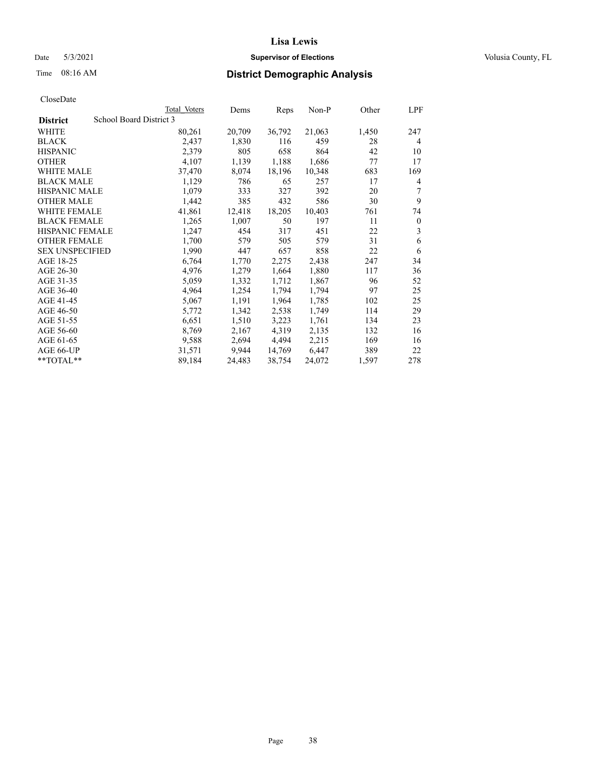## Date 5/3/2021 **Supervisor of Elections Supervisor of Elections** Volusia County, FL

## Time 08:16 AM **District Demographic Analysis**

|                        | Total Voters            | Dems   | Reps   | Non-P  | Other | LPF            |
|------------------------|-------------------------|--------|--------|--------|-------|----------------|
| <b>District</b>        | School Board District 3 |        |        |        |       |                |
| WHITE                  | 80,261                  | 20,709 | 36,792 | 21,063 | 1,450 | 247            |
| <b>BLACK</b>           | 2,437                   | 1,830  | 116    | 459    | 28    | $\overline{4}$ |
| <b>HISPANIC</b>        | 2,379                   | 805    | 658    | 864    | 42    | 10             |
| <b>OTHER</b>           | 4,107                   | 1,139  | 1,188  | 1,686  | 77    | 17             |
| <b>WHITE MALE</b>      | 37,470                  | 8,074  | 18,196 | 10,348 | 683   | 169            |
| <b>BLACK MALE</b>      | 1,129                   | 786    | 65     | 257    | 17    | 4              |
| <b>HISPANIC MALE</b>   | 1,079                   | 333    | 327    | 392    | 20    | 7              |
| <b>OTHER MALE</b>      | 1,442                   | 385    | 432    | 586    | 30    | 9              |
| <b>WHITE FEMALE</b>    | 41,861                  | 12,418 | 18,205 | 10,403 | 761   | 74             |
| <b>BLACK FEMALE</b>    | 1,265                   | 1,007  | 50     | 197    | 11    | $\theta$       |
| <b>HISPANIC FEMALE</b> | 1,247                   | 454    | 317    | 451    | 22    | 3              |
| <b>OTHER FEMALE</b>    | 1,700                   | 579    | 505    | 579    | 31    | 6              |
| <b>SEX UNSPECIFIED</b> | 1,990                   | 447    | 657    | 858    | 22    | 6              |
| AGE 18-25              | 6,764                   | 1,770  | 2,275  | 2,438  | 247   | 34             |
| AGE 26-30              | 4,976                   | 1,279  | 1,664  | 1,880  | 117   | 36             |
| AGE 31-35              | 5,059                   | 1,332  | 1,712  | 1,867  | 96    | 52             |
| AGE 36-40              | 4,964                   | 1,254  | 1,794  | 1,794  | 97    | 25             |
| AGE 41-45              | 5,067                   | 1,191  | 1,964  | 1,785  | 102   | 25             |
| AGE 46-50              | 5,772                   | 1,342  | 2,538  | 1,749  | 114   | 29             |
| AGE 51-55              | 6,651                   | 1,510  | 3,223  | 1,761  | 134   | 23             |
| AGE 56-60              | 8,769                   | 2,167  | 4,319  | 2,135  | 132   | 16             |
| AGE 61-65              | 9,588                   | 2,694  | 4,494  | 2,215  | 169   | 16             |
| AGE 66-UP              | 31,571                  | 9,944  | 14,769 | 6,447  | 389   | 22             |
| $*$ $TOTAL**$          | 89,184                  | 24,483 | 38,754 | 24,072 | 1,597 | 278            |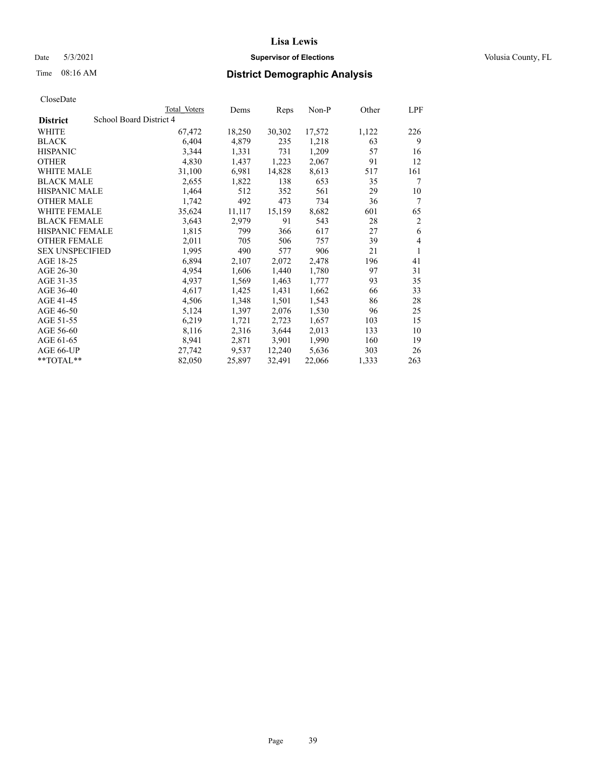## Date 5/3/2021 **Supervisor of Elections Supervisor of Elections** Volusia County, FL

## Time 08:16 AM **District Demographic Analysis**

|                        |                         | Total Voters | Dems   | Reps   | Non-P  | Other | LPF            |
|------------------------|-------------------------|--------------|--------|--------|--------|-------|----------------|
| <b>District</b>        | School Board District 4 |              |        |        |        |       |                |
| WHITE                  |                         | 67,472       | 18,250 | 30,302 | 17,572 | 1,122 | 226            |
| <b>BLACK</b>           |                         | 6,404        | 4,879  | 235    | 1,218  | 63    | 9              |
| <b>HISPANIC</b>        |                         | 3,344        | 1,331  | 731    | 1,209  | 57    | 16             |
| <b>OTHER</b>           |                         | 4,830        | 1,437  | 1,223  | 2,067  | 91    | 12             |
| WHITE MALE             |                         | 31,100       | 6,981  | 14,828 | 8,613  | 517   | 161            |
| <b>BLACK MALE</b>      |                         | 2,655        | 1,822  | 138    | 653    | 35    | 7              |
| <b>HISPANIC MALE</b>   |                         | 1,464        | 512    | 352    | 561    | 29    | 10             |
| <b>OTHER MALE</b>      |                         | 1,742        | 492    | 473    | 734    | 36    | 7              |
| WHITE FEMALE           |                         | 35,624       | 11,117 | 15,159 | 8,682  | 601   | 65             |
| <b>BLACK FEMALE</b>    |                         | 3,643        | 2,979  | 91     | 543    | 28    | $\overline{2}$ |
| <b>HISPANIC FEMALE</b> |                         | 1,815        | 799    | 366    | 617    | 27    | 6              |
| <b>OTHER FEMALE</b>    |                         | 2,011        | 705    | 506    | 757    | 39    | 4              |
| <b>SEX UNSPECIFIED</b> |                         | 1,995        | 490    | 577    | 906    | 21    | 1              |
| AGE 18-25              |                         | 6,894        | 2,107  | 2,072  | 2,478  | 196   | 41             |
| AGE 26-30              |                         | 4,954        | 1,606  | 1,440  | 1,780  | 97    | 31             |
| AGE 31-35              |                         | 4,937        | 1,569  | 1,463  | 1,777  | 93    | 35             |
| AGE 36-40              |                         | 4,617        | 1,425  | 1,431  | 1,662  | 66    | 33             |
| AGE 41-45              |                         | 4,506        | 1,348  | 1,501  | 1,543  | 86    | 28             |
| AGE 46-50              |                         | 5,124        | 1,397  | 2,076  | 1,530  | 96    | 25             |
| AGE 51-55              |                         | 6,219        | 1,721  | 2,723  | 1,657  | 103   | 15             |
| AGE 56-60              |                         | 8,116        | 2,316  | 3,644  | 2,013  | 133   | 10             |
| AGE 61-65              |                         | 8,941        | 2,871  | 3,901  | 1,990  | 160   | 19             |
| AGE 66-UP              |                         | 27,742       | 9,537  | 12,240 | 5,636  | 303   | 26             |
| **TOTAL**              |                         | 82,050       | 25,897 | 32,491 | 22,066 | 1,333 | 263            |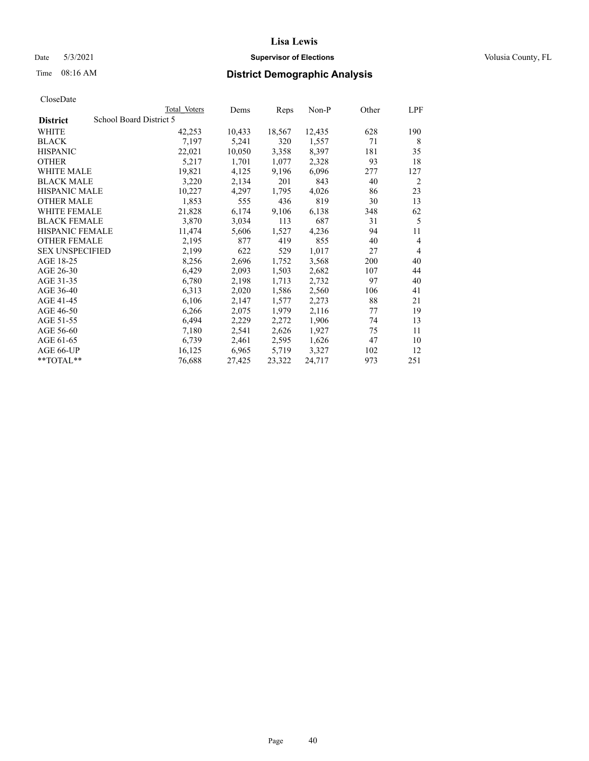## Date 5/3/2021 **Supervisor of Elections Supervisor of Elections** Volusia County, FL

## Time 08:16 AM **District Demographic Analysis**

|                        |                         | Total Voters | Dems   | Reps   | Non-P  | Other | LPF            |
|------------------------|-------------------------|--------------|--------|--------|--------|-------|----------------|
| <b>District</b>        | School Board District 5 |              |        |        |        |       |                |
| WHITE                  |                         | 42,253       | 10,433 | 18,567 | 12,435 | 628   | 190            |
| <b>BLACK</b>           |                         | 7,197        | 5,241  | 320    | 1,557  | 71    | 8              |
| <b>HISPANIC</b>        |                         | 22,021       | 10,050 | 3,358  | 8,397  | 181   | 35             |
| <b>OTHER</b>           |                         | 5,217        | 1,701  | 1,077  | 2,328  | 93    | 18             |
| WHITE MALE             |                         | 19,821       | 4,125  | 9,196  | 6,096  | 277   | 127            |
| <b>BLACK MALE</b>      |                         | 3,220        | 2,134  | 201    | 843    | 40    | 2              |
| <b>HISPANIC MALE</b>   |                         | 10,227       | 4,297  | 1,795  | 4,026  | 86    | 23             |
| <b>OTHER MALE</b>      |                         | 1,853        | 555    | 436    | 819    | 30    | 13             |
| WHITE FEMALE           |                         | 21,828       | 6,174  | 9,106  | 6,138  | 348   | 62             |
| <b>BLACK FEMALE</b>    |                         | 3,870        | 3,034  | 113    | 687    | 31    | 5              |
| <b>HISPANIC FEMALE</b> |                         | 11,474       | 5,606  | 1,527  | 4,236  | 94    | 11             |
| <b>OTHER FEMALE</b>    |                         | 2,195        | 877    | 419    | 855    | 40    | $\overline{4}$ |
| <b>SEX UNSPECIFIED</b> |                         | 2,199        | 622    | 529    | 1,017  | 27    | $\overline{4}$ |
| AGE 18-25              |                         | 8,256        | 2,696  | 1,752  | 3,568  | 200   | 40             |
| AGE 26-30              |                         | 6,429        | 2,093  | 1,503  | 2,682  | 107   | 44             |
| AGE 31-35              |                         | 6,780        | 2,198  | 1,713  | 2,732  | 97    | 40             |
| AGE 36-40              |                         | 6,313        | 2,020  | 1,586  | 2,560  | 106   | 41             |
| AGE 41-45              |                         | 6,106        | 2,147  | 1,577  | 2,273  | 88    | 21             |
| AGE 46-50              |                         | 6,266        | 2,075  | 1,979  | 2,116  | 77    | 19             |
| AGE 51-55              |                         | 6,494        | 2,229  | 2,272  | 1,906  | 74    | 13             |
| AGE 56-60              |                         | 7,180        | 2,541  | 2,626  | 1,927  | 75    | 11             |
| AGE 61-65              |                         | 6,739        | 2,461  | 2,595  | 1,626  | 47    | 10             |
| AGE 66-UP              |                         | 16,125       | 6,965  | 5,719  | 3,327  | 102   | 12             |
| $*$ TOTAL $*$          |                         | 76,688       | 27,425 | 23,322 | 24,717 | 973   | 251            |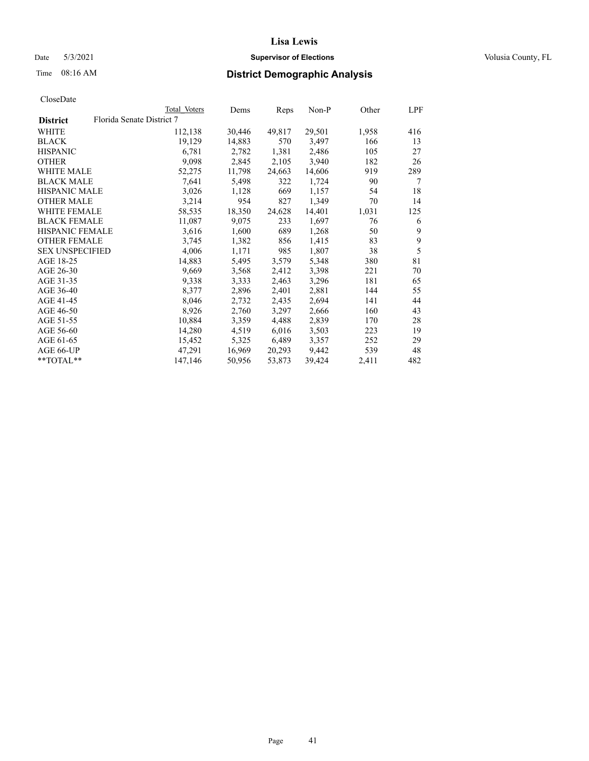## Date 5/3/2021 **Supervisor of Elections Supervisor of Elections** Volusia County, FL

## Time 08:16 AM **District Demographic Analysis**

|                        |                           | Total Voters | Dems   | Reps   | Non-P  | Other | LPF |
|------------------------|---------------------------|--------------|--------|--------|--------|-------|-----|
| <b>District</b>        | Florida Senate District 7 |              |        |        |        |       |     |
| WHITE                  |                           | 112,138      | 30,446 | 49,817 | 29,501 | 1,958 | 416 |
| <b>BLACK</b>           |                           | 19,129       | 14,883 | 570    | 3,497  | 166   | 13  |
| <b>HISPANIC</b>        |                           | 6,781        | 2,782  | 1,381  | 2,486  | 105   | 27  |
| <b>OTHER</b>           |                           | 9,098        | 2,845  | 2,105  | 3,940  | 182   | 26  |
| WHITE MALE             |                           | 52,275       | 11,798 | 24,663 | 14,606 | 919   | 289 |
| <b>BLACK MALE</b>      |                           | 7,641        | 5,498  | 322    | 1,724  | 90    | 7   |
| <b>HISPANIC MALE</b>   |                           | 3,026        | 1,128  | 669    | 1,157  | 54    | 18  |
| <b>OTHER MALE</b>      |                           | 3,214        | 954    | 827    | 1,349  | 70    | 14  |
| <b>WHITE FEMALE</b>    |                           | 58,535       | 18,350 | 24,628 | 14,401 | 1,031 | 125 |
| <b>BLACK FEMALE</b>    |                           | 11,087       | 9,075  | 233    | 1,697  | 76    | 6   |
| <b>HISPANIC FEMALE</b> |                           | 3,616        | 1,600  | 689    | 1,268  | 50    | 9   |
| <b>OTHER FEMALE</b>    |                           | 3,745        | 1,382  | 856    | 1,415  | 83    | 9   |
| <b>SEX UNSPECIFIED</b> |                           | 4,006        | 1,171  | 985    | 1,807  | 38    | 5   |
| AGE 18-25              |                           | 14,883       | 5,495  | 3,579  | 5,348  | 380   | 81  |
| AGE 26-30              |                           | 9,669        | 3,568  | 2,412  | 3,398  | 221   | 70  |
| AGE 31-35              |                           | 9,338        | 3,333  | 2,463  | 3,296  | 181   | 65  |
| AGE 36-40              |                           | 8,377        | 2,896  | 2,401  | 2,881  | 144   | 55  |
| AGE 41-45              |                           | 8,046        | 2,732  | 2,435  | 2,694  | 141   | 44  |
| AGE 46-50              |                           | 8,926        | 2,760  | 3,297  | 2,666  | 160   | 43  |
| AGE 51-55              |                           | 10,884       | 3,359  | 4,488  | 2,839  | 170   | 28  |
| AGE 56-60              |                           | 14,280       | 4,519  | 6,016  | 3,503  | 223   | 19  |
| AGE 61-65              |                           | 15,452       | 5,325  | 6,489  | 3,357  | 252   | 29  |
| AGE 66-UP              |                           | 47,291       | 16,969 | 20,293 | 9,442  | 539   | 48  |
| $*$ $TOTAL**$          |                           | 147,146      | 50,956 | 53,873 | 39,424 | 2,411 | 482 |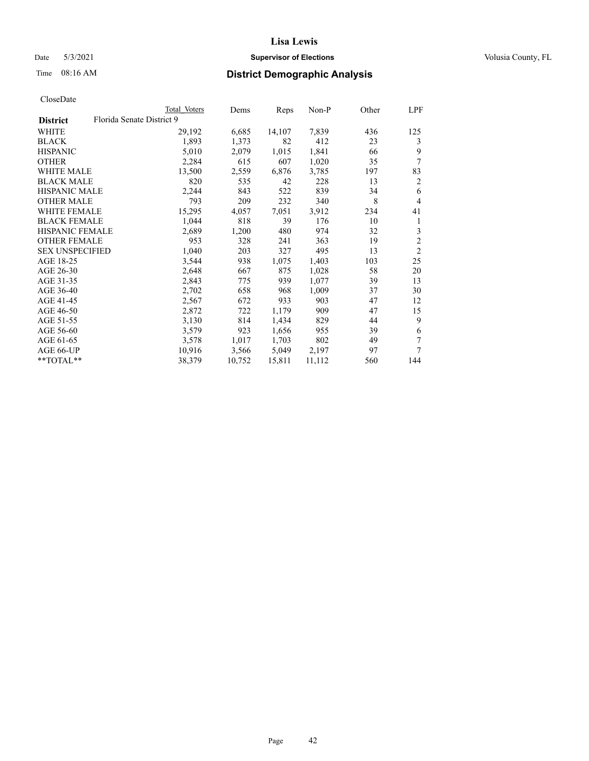## Date 5/3/2021 **Supervisor of Elections Supervisor of Elections** Volusia County, FL

| CloseDate |
|-----------|
|-----------|

|                        | Total Voters              | Dems   | Reps   | $Non-P$ | Other | LPF            |
|------------------------|---------------------------|--------|--------|---------|-------|----------------|
| <b>District</b>        | Florida Senate District 9 |        |        |         |       |                |
| WHITE                  | 29,192                    | 6,685  | 14,107 | 7,839   | 436   | 125            |
| <b>BLACK</b>           | 1,893                     | 1,373  | 82     | 412     | 23    | 3              |
| <b>HISPANIC</b>        | 5,010                     | 2,079  | 1,015  | 1,841   | 66    | 9              |
| <b>OTHER</b>           | 2,284                     | 615    | 607    | 1,020   | 35    | 7              |
| <b>WHITE MALE</b>      | 13,500                    | 2,559  | 6,876  | 3,785   | 197   | 83             |
| <b>BLACK MALE</b>      | 820                       | 535    | 42     | 228     | 13    | 2              |
| <b>HISPANIC MALE</b>   | 2,244                     | 843    | 522    | 839     | 34    | 6              |
| <b>OTHER MALE</b>      | 793                       | 209    | 232    | 340     | 8     | $\overline{4}$ |
| <b>WHITE FEMALE</b>    | 15,295                    | 4,057  | 7,051  | 3,912   | 234   | 41             |
| <b>BLACK FEMALE</b>    | 1,044                     | 818    | 39     | 176     | 10    | 1              |
| <b>HISPANIC FEMALE</b> | 2,689                     | 1,200  | 480    | 974     | 32    | 3              |
| <b>OTHER FEMALE</b>    | 953                       | 328    | 241    | 363     | 19    | $\overline{c}$ |
| <b>SEX UNSPECIFIED</b> | 1,040                     | 203    | 327    | 495     | 13    | $\overline{2}$ |
| AGE 18-25              | 3,544                     | 938    | 1,075  | 1,403   | 103   | 25             |
| AGE 26-30              | 2,648                     | 667    | 875    | 1,028   | 58    | 20             |
| AGE 31-35              | 2,843                     | 775    | 939    | 1,077   | 39    | 13             |
| AGE 36-40              | 2,702                     | 658    | 968    | 1,009   | 37    | 30             |
| AGE 41-45              | 2,567                     | 672    | 933    | 903     | 47    | 12             |
| AGE 46-50              | 2,872                     | 722    | 1,179  | 909     | 47    | 15             |
| AGE 51-55              | 3,130                     | 814    | 1,434  | 829     | 44    | 9              |
| AGE 56-60              | 3,579                     | 923    | 1,656  | 955     | 39    | 6              |
| AGE 61-65              | 3,578                     | 1,017  | 1,703  | 802     | 49    | 7              |
| AGE 66-UP              | 10,916                    | 3,566  | 5,049  | 2,197   | 97    | 7              |
| **TOTAL**              | 38,379                    | 10,752 | 15,811 | 11,112  | 560   | 144            |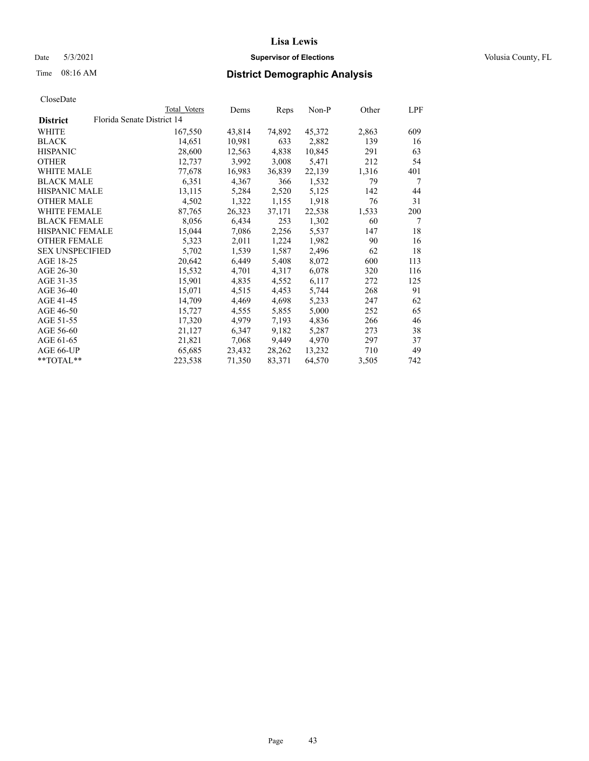## Date 5/3/2021 **Supervisor of Elections Supervisor of Elections** Volusia County, FL

| CloseDate |
|-----------|
|-----------|

|                                               | Total Voters | Dems   | Reps   | Non-P  | Other | LPF |
|-----------------------------------------------|--------------|--------|--------|--------|-------|-----|
| Florida Senate District 14<br><b>District</b> |              |        |        |        |       |     |
| WHITE                                         | 167,550      | 43,814 | 74,892 | 45,372 | 2,863 | 609 |
| <b>BLACK</b>                                  | 14,651       | 10,981 | 633    | 2,882  | 139   | 16  |
| <b>HISPANIC</b>                               | 28,600       | 12,563 | 4,838  | 10,845 | 291   | 63  |
| <b>OTHER</b>                                  | 12,737       | 3,992  | 3,008  | 5,471  | 212   | 54  |
| <b>WHITE MALE</b>                             | 77,678       | 16,983 | 36,839 | 22,139 | 1,316 | 401 |
| <b>BLACK MALE</b>                             | 6,351        | 4,367  | 366    | 1,532  | 79    | 7   |
| <b>HISPANIC MALE</b>                          | 13,115       | 5,284  | 2,520  | 5,125  | 142   | 44  |
| <b>OTHER MALE</b>                             | 4,502        | 1,322  | 1,155  | 1,918  | 76    | 31  |
| <b>WHITE FEMALE</b>                           | 87,765       | 26,323 | 37,171 | 22,538 | 1,533 | 200 |
| <b>BLACK FEMALE</b>                           | 8,056        | 6,434  | 253    | 1,302  | 60    | 7   |
| <b>HISPANIC FEMALE</b>                        | 15,044       | 7,086  | 2,256  | 5,537  | 147   | 18  |
| <b>OTHER FEMALE</b>                           | 5,323        | 2,011  | 1,224  | 1,982  | 90    | 16  |
| <b>SEX UNSPECIFIED</b>                        | 5,702        | 1,539  | 1,587  | 2,496  | 62    | 18  |
| AGE 18-25                                     | 20,642       | 6,449  | 5,408  | 8,072  | 600   | 113 |
| AGE 26-30                                     | 15,532       | 4,701  | 4,317  | 6,078  | 320   | 116 |
| AGE 31-35                                     | 15,901       | 4,835  | 4,552  | 6,117  | 272   | 125 |
| AGE 36-40                                     | 15,071       | 4,515  | 4,453  | 5,744  | 268   | 91  |
| AGE 41-45                                     | 14,709       | 4,469  | 4,698  | 5,233  | 247   | 62  |
| AGE 46-50                                     | 15,727       | 4,555  | 5,855  | 5,000  | 252   | 65  |
| AGE 51-55                                     | 17,320       | 4,979  | 7,193  | 4,836  | 266   | 46  |
| AGE 56-60                                     | 21,127       | 6,347  | 9,182  | 5,287  | 273   | 38  |
| AGE 61-65                                     | 21,821       | 7,068  | 9,449  | 4,970  | 297   | 37  |
| AGE 66-UP                                     | 65,685       | 23,432 | 28,262 | 13,232 | 710   | 49  |
| $*$ TOTAL $*$                                 | 223,538      | 71,350 | 83,371 | 64,570 | 3,505 | 742 |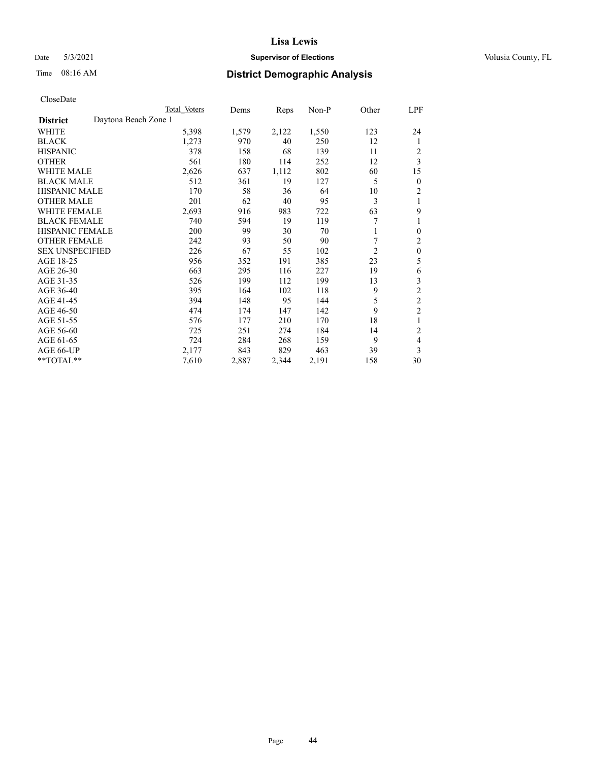## Date 5/3/2021 **Supervisor of Elections Supervisor of Elections** Volusia County, FL

## Time 08:16 AM **District Demographic Analysis**

|                        |                      | Total Voters | Dems  | Reps  | Non-P | Other          | LPF            |
|------------------------|----------------------|--------------|-------|-------|-------|----------------|----------------|
| <b>District</b>        | Daytona Beach Zone 1 |              |       |       |       |                |                |
| WHITE                  |                      | 5,398        | 1,579 | 2,122 | 1,550 | 123            | 24             |
| <b>BLACK</b>           |                      | 1,273        | 970   | 40    | 250   | 12             | 1              |
| <b>HISPANIC</b>        |                      | 378          | 158   | 68    | 139   | 11             | 2              |
| <b>OTHER</b>           |                      | 561          | 180   | 114   | 252   | 12             | 3              |
| WHITE MALE             |                      | 2,626        | 637   | 1,112 | 802   | 60             | 15             |
| <b>BLACK MALE</b>      |                      | 512          | 361   | 19    | 127   | 5              | 0              |
| <b>HISPANIC MALE</b>   |                      | 170          | 58    | 36    | 64    | 10             | 2              |
| <b>OTHER MALE</b>      |                      | 201          | 62    | 40    | 95    | 3              | 1              |
| WHITE FEMALE           |                      | 2,693        | 916   | 983   | 722   | 63             | 9              |
| <b>BLACK FEMALE</b>    |                      | 740          | 594   | 19    | 119   |                |                |
| <b>HISPANIC FEMALE</b> |                      | 200          | 99    | 30    | 70    |                | 0              |
| <b>OTHER FEMALE</b>    |                      | 242          | 93    | 50    | 90    |                | 2              |
| <b>SEX UNSPECIFIED</b> |                      | 226          | 67    | 55    | 102   | $\overline{2}$ | $\mathbf{0}$   |
| AGE 18-25              |                      | 956          | 352   | 191   | 385   | 23             | 5              |
| AGE 26-30              |                      | 663          | 295   | 116   | 227   | 19             | 6              |
| AGE 31-35              |                      | 526          | 199   | 112   | 199   | 13             | 3              |
| AGE 36-40              |                      | 395          | 164   | 102   | 118   | 9              | 2              |
| AGE 41-45              |                      | 394          | 148   | 95    | 144   | 5              | $\overline{c}$ |
| AGE 46-50              |                      | 474          | 174   | 147   | 142   | 9              | $\overline{2}$ |
| AGE 51-55              |                      | 576          | 177   | 210   | 170   | 18             | 1              |
| AGE 56-60              |                      | 725          | 251   | 274   | 184   | 14             | $\overline{c}$ |
| AGE 61-65              |                      | 724          | 284   | 268   | 159   | 9              | 4              |
| AGE 66-UP              |                      | 2,177        | 843   | 829   | 463   | 39             | 3              |
| **TOTAL**              |                      | 7,610        | 2,887 | 2,344 | 2,191 | 158            | 30             |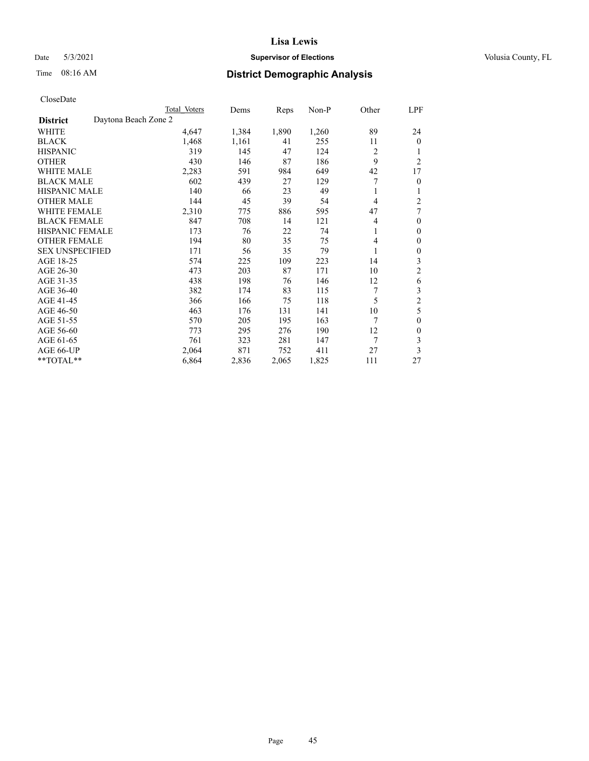## Date 5/3/2021 **Supervisor of Elections Supervisor of Elections** Volusia County, FL

|                                         | Total Voters | Dems  | Reps  | Non-P | Other | LPF            |
|-----------------------------------------|--------------|-------|-------|-------|-------|----------------|
| Daytona Beach Zone 2<br><b>District</b> |              |       |       |       |       |                |
| WHITE                                   | 4,647        | 1,384 | 1,890 | 1,260 | 89    | 24             |
| <b>BLACK</b>                            | 1,468        | 1,161 | 41    | 255   | 11    | $\overline{0}$ |
| <b>HISPANIC</b>                         | 319          | 145   | 47    | 124   | 2     | 1              |
| <b>OTHER</b>                            | 430          | 146   | 87    | 186   | 9     | 2              |
| <b>WHITE MALE</b>                       | 2,283        | 591   | 984   | 649   | 42    | 17             |
| <b>BLACK MALE</b>                       | 602          | 439   | 27    | 129   |       | 0              |
| <b>HISPANIC MALE</b>                    | 140          | 66    | 23    | 49    | 1     |                |
| <b>OTHER MALE</b>                       | 144          | 45    | 39    | 54    | 4     | 2              |
| <b>WHITE FEMALE</b>                     | 2,310        | 775   | 886   | 595   | 47    | 7              |
| <b>BLACK FEMALE</b>                     | 847          | 708   | 14    | 121   | 4     | 0              |
| <b>HISPANIC FEMALE</b>                  | 173          | 76    | 22    | 74    | 1     | 0              |
| <b>OTHER FEMALE</b>                     | 194          | 80    | 35    | 75    | 4     | 0              |
| <b>SEX UNSPECIFIED</b>                  | 171          | 56    | 35    | 79    | 1     | 0              |
| AGE 18-25                               | 574          | 225   | 109   | 223   | 14    | 3              |
| AGE 26-30                               | 473          | 203   | 87    | 171   | 10    | 2              |
| AGE 31-35                               | 438          | 198   | 76    | 146   | 12    | 6              |
| AGE 36-40                               | 382          | 174   | 83    | 115   | 7     | 3              |
| AGE 41-45                               | 366          | 166   | 75    | 118   | 5     | $\overline{c}$ |
| AGE 46-50                               | 463          | 176   | 131   | 141   | 10    | 5              |
| AGE 51-55                               | 570          | 205   | 195   | 163   | 7     | 0              |
| AGE 56-60                               | 773          | 295   | 276   | 190   | 12    | 0              |
| AGE 61-65                               | 761          | 323   | 281   | 147   | 7     | 3              |
| AGE 66-UP                               | 2,064        | 871   | 752   | 411   | 27    | 3              |
| **TOTAL**                               | 6,864        | 2,836 | 2,065 | 1,825 | 111   | 27             |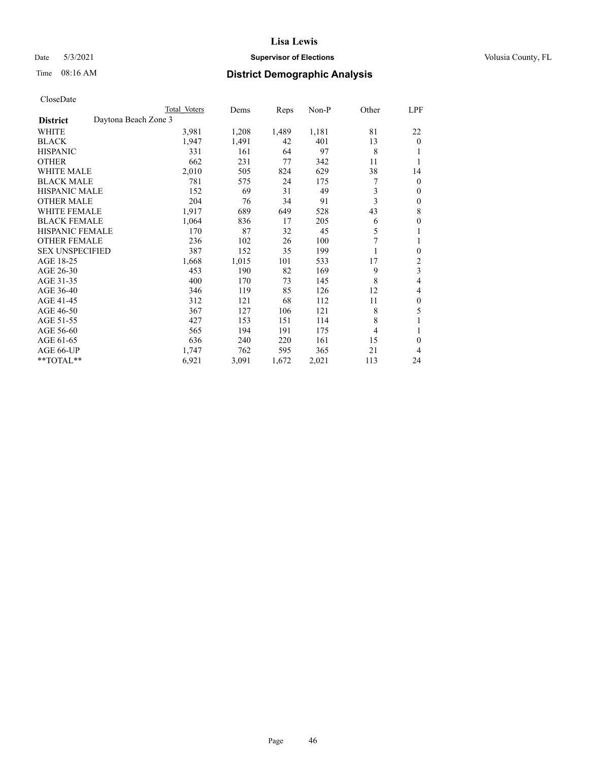## Date 5/3/2021 **Supervisor of Elections Supervisor of Elections** Volusia County, FL

# Time 08:16 AM **District Demographic Analysis**

|                        |                      | Total Voters | Dems  | Reps  | Non-P | Other          | LPF              |
|------------------------|----------------------|--------------|-------|-------|-------|----------------|------------------|
| <b>District</b>        | Daytona Beach Zone 3 |              |       |       |       |                |                  |
| WHITE                  |                      | 3,981        | 1,208 | 1,489 | 1,181 | 81             | 22               |
| <b>BLACK</b>           |                      | 1,947        | 1,491 | 42    | 401   | 13             | $\mathbf{0}$     |
| <b>HISPANIC</b>        |                      | 331          | 161   | 64    | 97    | 8              |                  |
| <b>OTHER</b>           |                      | 662          | 231   | 77    | 342   | 11             |                  |
| WHITE MALE             |                      | 2,010        | 505   | 824   | 629   | 38             | 14               |
| <b>BLACK MALE</b>      |                      | 781          | 575   | 24    | 175   | 7              | $\mathbf{0}$     |
| <b>HISPANIC MALE</b>   |                      | 152          | 69    | 31    | 49    | 3              | $\mathbf{0}$     |
| <b>OTHER MALE</b>      |                      | 204          | 76    | 34    | 91    | 3              | 0                |
| WHITE FEMALE           |                      | 1,917        | 689   | 649   | 528   | 43             | 8                |
| <b>BLACK FEMALE</b>    |                      | 1,064        | 836   | 17    | 205   | 6              | 0                |
| <b>HISPANIC FEMALE</b> |                      | 170          | 87    | 32    | 45    | 5              |                  |
| <b>OTHER FEMALE</b>    |                      | 236          | 102   | 26    | 100   |                |                  |
| <b>SEX UNSPECIFIED</b> |                      | 387          | 152   | 35    | 199   |                | $\boldsymbol{0}$ |
| AGE 18-25              |                      | 1,668        | 1,015 | 101   | 533   | 17             | 2                |
| AGE 26-30              |                      | 453          | 190   | 82    | 169   | 9              | 3                |
| AGE 31-35              |                      | 400          | 170   | 73    | 145   | 8              | 4                |
| AGE 36-40              |                      | 346          | 119   | 85    | 126   | 12             | 4                |
| AGE 41-45              |                      | 312          | 121   | 68    | 112   | 11             | $\theta$         |
| AGE 46-50              |                      | 367          | 127   | 106   | 121   | 8              | 5                |
| AGE 51-55              |                      | 427          | 153   | 151   | 114   | 8              |                  |
| AGE 56-60              |                      | 565          | 194   | 191   | 175   | $\overline{4}$ |                  |
| AGE 61-65              |                      | 636          | 240   | 220   | 161   | 15             | $\theta$         |
| AGE 66-UP              |                      | 1,747        | 762   | 595   | 365   | 21             | 4                |
| **TOTAL**              |                      | 6,921        | 3,091 | 1,672 | 2,021 | 113            | 24               |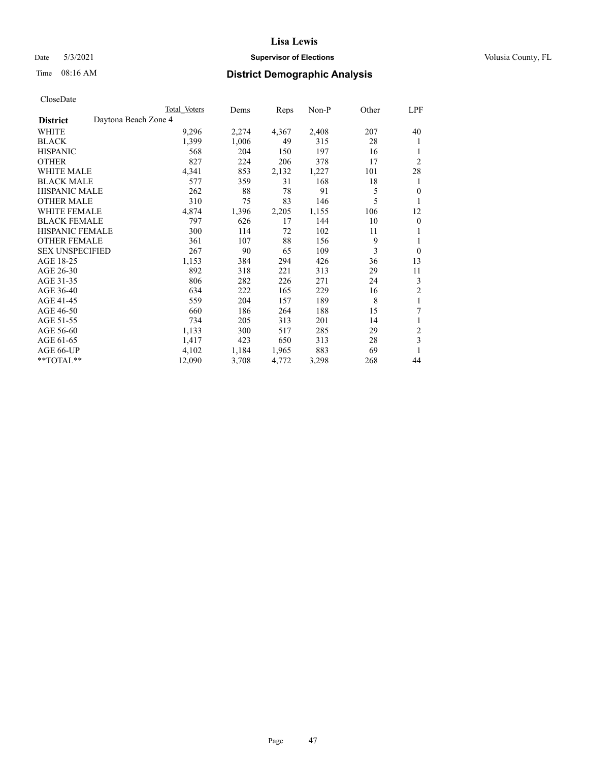## Date 5/3/2021 **Supervisor of Elections Supervisor of Elections** Volusia County, FL

# Time 08:16 AM **District Demographic Analysis**

|                        |                      | Total Voters | Dems  | Reps  | Non-P | Other | LPF            |
|------------------------|----------------------|--------------|-------|-------|-------|-------|----------------|
| <b>District</b>        | Daytona Beach Zone 4 |              |       |       |       |       |                |
| WHITE                  |                      | 9,296        | 2,274 | 4,367 | 2,408 | 207   | 40             |
| <b>BLACK</b>           |                      | 1,399        | 1,006 | 49    | 315   | 28    | 1              |
| <b>HISPANIC</b>        |                      | 568          | 204   | 150   | 197   | 16    | 1              |
| <b>OTHER</b>           |                      | 827          | 224   | 206   | 378   | 17    | $\overline{2}$ |
| <b>WHITE MALE</b>      |                      | 4,341        | 853   | 2,132 | 1,227 | 101   | 28             |
| <b>BLACK MALE</b>      |                      | 577          | 359   | 31    | 168   | 18    | 1              |
| <b>HISPANIC MALE</b>   |                      | 262          | 88    | 78    | 91    | 5     | $\mathbf{0}$   |
| <b>OTHER MALE</b>      |                      | 310          | 75    | 83    | 146   | 5     | 1              |
| <b>WHITE FEMALE</b>    |                      | 4,874        | 1,396 | 2,205 | 1,155 | 106   | 12             |
| <b>BLACK FEMALE</b>    |                      | 797          | 626   | 17    | 144   | 10    | $\mathbf{0}$   |
| <b>HISPANIC FEMALE</b> |                      | 300          | 114   | 72    | 102   | 11    | 1              |
| <b>OTHER FEMALE</b>    |                      | 361          | 107   | 88    | 156   | 9     | 1              |
| <b>SEX UNSPECIFIED</b> |                      | 267          | 90    | 65    | 109   | 3     | $\theta$       |
| AGE 18-25              |                      | 1,153        | 384   | 294   | 426   | 36    | 13             |
| AGE 26-30              |                      | 892          | 318   | 221   | 313   | 29    | 11             |
| AGE 31-35              |                      | 806          | 282   | 226   | 271   | 24    | 3              |
| AGE 36-40              |                      | 634          | 222   | 165   | 229   | 16    | $\overline{2}$ |
| AGE 41-45              |                      | 559          | 204   | 157   | 189   | 8     | 1              |
| AGE 46-50              |                      | 660          | 186   | 264   | 188   | 15    | 7              |
| AGE 51-55              |                      | 734          | 205   | 313   | 201   | 14    | 1              |
| AGE 56-60              |                      | 1,133        | 300   | 517   | 285   | 29    | $\overline{c}$ |
| AGE 61-65              |                      | 1,417        | 423   | 650   | 313   | 28    | 3              |
| AGE 66-UP              |                      | 4,102        | 1,184 | 1,965 | 883   | 69    |                |
| **TOTAL**              |                      | 12,090       | 3,708 | 4,772 | 3,298 | 268   | 44             |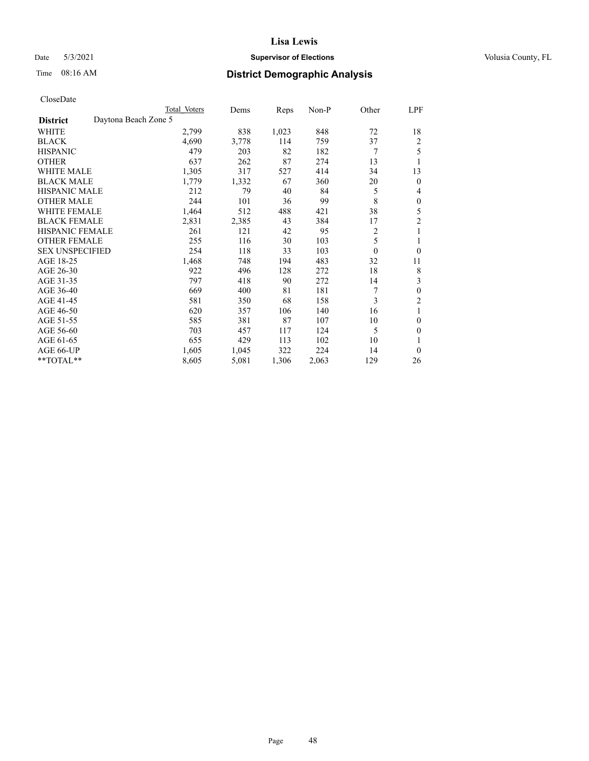## Date 5/3/2021 **Supervisor of Elections Supervisor of Elections** Volusia County, FL

# Time 08:16 AM **District Demographic Analysis**

| Total Voters         | Dems  | Reps  | $Non-P$ | Other            | LPF            |
|----------------------|-------|-------|---------|------------------|----------------|
| Daytona Beach Zone 5 |       |       |         |                  |                |
| 2,799                | 838   | 1,023 | 848     | 72               | 18             |
| 4,690                | 3,778 | 114   | 759     | 37               | $\overline{c}$ |
| 479                  | 203   | 82    | 182     | 7                | 5              |
| 637                  | 262   | 87    | 274     | 13               | 1              |
| 1,305                | 317   | 527   | 414     | 34               | 13             |
| 1,779                | 1,332 | 67    | 360     | 20               | $\theta$       |
| 212                  | 79    | 40    | 84      | 5                | 4              |
| 244                  | 101   | 36    | 99      | 8                | $\theta$       |
| 1,464                | 512   | 488   | 421     | 38               | 5              |
| 2,831                | 2,385 | 43    | 384     | 17               | $\overline{2}$ |
| 261                  | 121   | 42    | 95      | 2                | 1              |
| 255                  | 116   | 30    | 103     | 5                | 1              |
| 254                  | 118   | 33    | 103     | $\boldsymbol{0}$ | $\theta$       |
| 1,468                | 748   | 194   | 483     | 32               | 11             |
| 922                  | 496   | 128   | 272     | 18               | 8              |
| 797                  | 418   | 90    | 272     | 14               | 3              |
| 669                  | 400   | 81    | 181     | 7                | $\theta$       |
| 581                  | 350   | 68    | 158     | 3                | $\overline{2}$ |
| 620                  | 357   | 106   | 140     | 16               | 1              |
| 585                  | 381   | 87    | 107     | 10               | $\theta$       |
| 703                  | 457   | 117   | 124     | 5                | $\theta$       |
| 655                  | 429   | 113   | 102     | 10               | 1              |
| 1,605                | 1,045 | 322   | 224     | 14               | $\theta$       |
| 8,605                | 5,081 | 1,306 | 2,063   | 129              | 26             |
|                      |       |       |         |                  |                |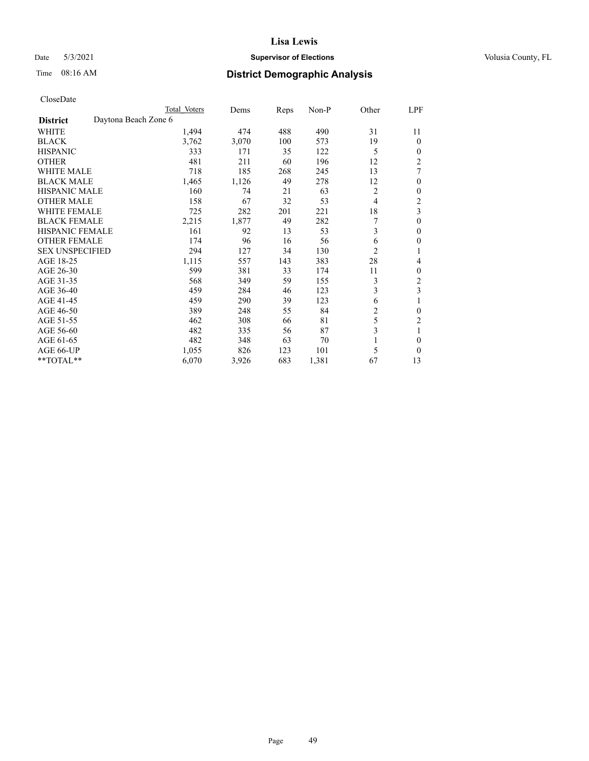## Date 5/3/2021 **Supervisor of Elections Supervisor of Elections** Volusia County, FL

| CloseDate |
|-----------|
|-----------|

|                                         | Total Voters | Dems  | Reps | Non-P | Other          | LPF            |
|-----------------------------------------|--------------|-------|------|-------|----------------|----------------|
| Daytona Beach Zone 6<br><b>District</b> |              |       |      |       |                |                |
| WHITE                                   | 1,494        | 474   | 488  | 490   | 31             | 11             |
| <b>BLACK</b>                            | 3,762        | 3,070 | 100  | 573   | 19             | $\overline{0}$ |
| <b>HISPANIC</b>                         | 333          | 171   | 35   | 122   | 5              | 0              |
| <b>OTHER</b>                            | 481          | 211   | 60   | 196   | 12             | 2              |
| <b>WHITE MALE</b>                       | 718          | 185   | 268  | 245   | 13             | 7              |
| <b>BLACK MALE</b>                       | 1,465        | 1,126 | 49   | 278   | 12             | 0              |
| <b>HISPANIC MALE</b>                    | 160          | 74    | 21   | 63    | 2              | 0              |
| <b>OTHER MALE</b>                       | 158          | 67    | 32   | 53    | $\overline{4}$ | 2              |
| <b>WHITE FEMALE</b>                     | 725          | 282   | 201  | 221   | 18             | 3              |
| <b>BLACK FEMALE</b>                     | 2,215        | 1,877 | 49   | 282   | 7              | 0              |
| <b>HISPANIC FEMALE</b>                  | 161          | 92    | 13   | 53    | 3              | 0              |
| <b>OTHER FEMALE</b>                     | 174          | 96    | 16   | 56    | 6              | 0              |
| <b>SEX UNSPECIFIED</b>                  | 294          | 127   | 34   | 130   | $\overline{2}$ | 1              |
| AGE 18-25                               | 1,115        | 557   | 143  | 383   | 28             | 4              |
| AGE 26-30                               | 599          | 381   | 33   | 174   | 11             | 0              |
| AGE 31-35                               | 568          | 349   | 59   | 155   | 3              | 2              |
| AGE 36-40                               | 459          | 284   | 46   | 123   | 3              | 3              |
| AGE 41-45                               | 459          | 290   | 39   | 123   | 6              |                |
| AGE 46-50                               | 389          | 248   | 55   | 84    | 2              | 0              |
| AGE 51-55                               | 462          | 308   | 66   | 81    | 5              | 2              |
| AGE 56-60                               | 482          | 335   | 56   | 87    | 3              |                |
| AGE 61-65                               | 482          | 348   | 63   | 70    | 1              | 0              |
| AGE 66-UP                               | 1,055        | 826   | 123  | 101   | 5              | $\theta$       |
| **TOTAL**                               | 6,070        | 3,926 | 683  | 1,381 | 67             | 13             |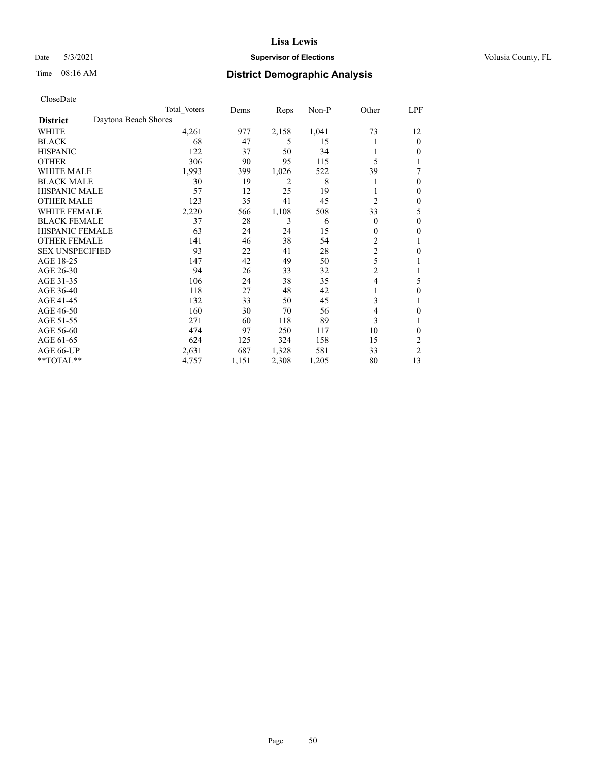## Date 5/3/2021 **Supervisor of Elections Supervisor of Elections** Volusia County, FL

# Time 08:16 AM **District Demographic Analysis**

|                        |                      | Total Voters | Dems  | Reps  | Non-P | Other          | LPF            |
|------------------------|----------------------|--------------|-------|-------|-------|----------------|----------------|
| <b>District</b>        | Daytona Beach Shores |              |       |       |       |                |                |
| WHITE                  |                      | 4,261        | 977   | 2,158 | 1,041 | 73             | 12             |
| <b>BLACK</b>           |                      | 68           | 47    | 5     | 15    |                | 0              |
| <b>HISPANIC</b>        |                      | 122          | 37    | 50    | 34    |                | 0              |
| <b>OTHER</b>           |                      | 306          | 90    | 95    | 115   | 5              |                |
| WHITE MALE             |                      | 1,993        | 399   | 1,026 | 522   | 39             | 7              |
| <b>BLACK MALE</b>      |                      | 30           | 19    | 2     | 8     |                | 0              |
| <b>HISPANIC MALE</b>   |                      | 57           | 12    | 25    | 19    |                | 0              |
| <b>OTHER MALE</b>      |                      | 123          | 35    | 41    | 45    | $\overline{2}$ | 0              |
| WHITE FEMALE           |                      | 2,220        | 566   | 1,108 | 508   | 33             | 5              |
| <b>BLACK FEMALE</b>    |                      | 37           | 28    | 3     | 6     | $\Omega$       | 0              |
| <b>HISPANIC FEMALE</b> |                      | 63           | 24    | 24    | 15    | 0              | 0              |
| <b>OTHER FEMALE</b>    |                      | 141          | 46    | 38    | 54    | 2              |                |
| <b>SEX UNSPECIFIED</b> |                      | 93           | 22    | 41    | 28    | $\overline{c}$ | 0              |
| AGE 18-25              |                      | 147          | 42    | 49    | 50    | 5              |                |
| AGE 26-30              |                      | 94           | 26    | 33    | 32    | $\overline{2}$ |                |
| AGE 31-35              |                      | 106          | 24    | 38    | 35    | 4              | 5              |
| AGE 36-40              |                      | 118          | 27    | 48    | 42    |                | 0              |
| AGE 41-45              |                      | 132          | 33    | 50    | 45    | 3              |                |
| AGE 46-50              |                      | 160          | 30    | 70    | 56    | 4              | 0              |
| AGE 51-55              |                      | 271          | 60    | 118   | 89    | 3              |                |
| AGE 56-60              |                      | 474          | 97    | 250   | 117   | 10             | 0              |
| AGE 61-65              |                      | 624          | 125   | 324   | 158   | 15             | 2              |
| AGE 66-UP              |                      | 2,631        | 687   | 1,328 | 581   | 33             | $\overline{c}$ |
| **TOTAL**              |                      | 4,757        | 1,151 | 2,308 | 1,205 | 80             | 13             |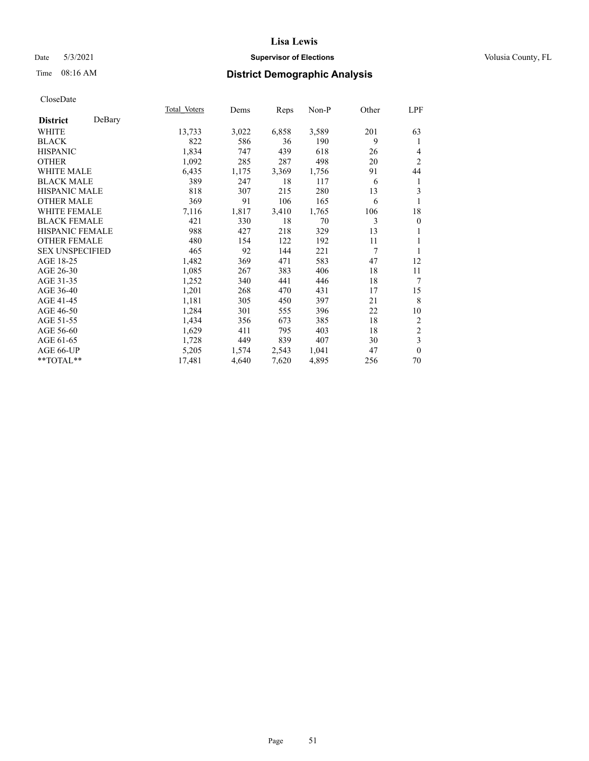## Date 5/3/2021 **Supervisor of Elections Supervisor of Elections** Volusia County, FL

## Time 08:16 AM **District Demographic Analysis**

|                        |        | Total Voters | Dems  | Reps  | Non-P | Other | LPF                     |
|------------------------|--------|--------------|-------|-------|-------|-------|-------------------------|
| <b>District</b>        | DeBary |              |       |       |       |       |                         |
| WHITE                  |        | 13,733       | 3,022 | 6,858 | 3,589 | 201   | 63                      |
| <b>BLACK</b>           |        | 822          | 586   | 36    | 190   | 9     | 1                       |
| <b>HISPANIC</b>        |        | 1,834        | 747   | 439   | 618   | 26    | 4                       |
| <b>OTHER</b>           |        | 1,092        | 285   | 287   | 498   | 20    | $\overline{2}$          |
| <b>WHITE MALE</b>      |        | 6,435        | 1,175 | 3,369 | 1,756 | 91    | 44                      |
| <b>BLACK MALE</b>      |        | 389          | 247   | 18    | 117   | 6     | 1                       |
| <b>HISPANIC MALE</b>   |        | 818          | 307   | 215   | 280   | 13    | 3                       |
| <b>OTHER MALE</b>      |        | 369          | 91    | 106   | 165   | 6     | 1                       |
| <b>WHITE FEMALE</b>    |        | 7,116        | 1,817 | 3,410 | 1,765 | 106   | 18                      |
| <b>BLACK FEMALE</b>    |        | 421          | 330   | 18    | 70    | 3     | $\boldsymbol{0}$        |
| <b>HISPANIC FEMALE</b> |        | 988          | 427   | 218   | 329   | 13    |                         |
| <b>OTHER FEMALE</b>    |        | 480          | 154   | 122   | 192   | 11    | 1                       |
| <b>SEX UNSPECIFIED</b> |        | 465          | 92    | 144   | 221   | 7     | 1                       |
| AGE 18-25              |        | 1,482        | 369   | 471   | 583   | 47    | 12                      |
| AGE 26-30              |        | 1,085        | 267   | 383   | 406   | 18    | 11                      |
| AGE 31-35              |        | 1,252        | 340   | 441   | 446   | 18    | 7                       |
| AGE 36-40              |        | 1,201        | 268   | 470   | 431   | 17    | 15                      |
| AGE 41-45              |        | 1,181        | 305   | 450   | 397   | 21    | 8                       |
| AGE 46-50              |        | 1,284        | 301   | 555   | 396   | 22    | 10                      |
| AGE 51-55              |        | 1,434        | 356   | 673   | 385   | 18    | 2                       |
| AGE 56-60              |        | 1,629        | 411   | 795   | 403   | 18    | $\sqrt{2}$              |
| AGE 61-65              |        | 1,728        | 449   | 839   | 407   | 30    | $\overline{\mathbf{3}}$ |
| AGE 66-UP              |        | 5,205        | 1,574 | 2,543 | 1,041 | 47    | $\mathbf{0}$            |
| **TOTAL**              |        | 17,481       | 4,640 | 7,620 | 4,895 | 256   | 70                      |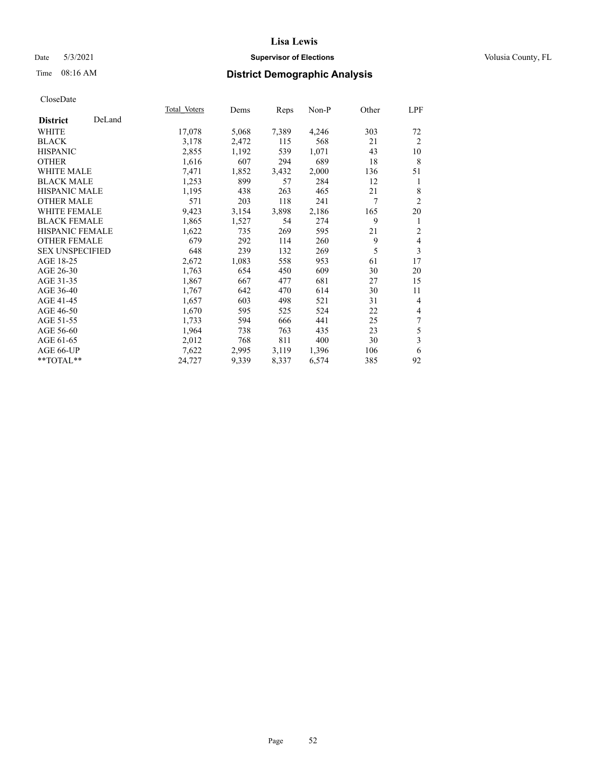## Date 5/3/2021 **Supervisor of Elections Supervisor of Elections** Volusia County, FL

## Time 08:16 AM **District Demographic Analysis**

|                        |        | Total Voters | Dems  | Reps  | Non-P | Other | LPF                      |
|------------------------|--------|--------------|-------|-------|-------|-------|--------------------------|
| <b>District</b>        | DeLand |              |       |       |       |       |                          |
| WHITE                  |        | 17,078       | 5,068 | 7,389 | 4,246 | 303   | 72                       |
| <b>BLACK</b>           |        | 3,178        | 2,472 | 115   | 568   | 21    | 2                        |
| <b>HISPANIC</b>        |        | 2,855        | 1,192 | 539   | 1,071 | 43    | 10                       |
| <b>OTHER</b>           |        | 1,616        | 607   | 294   | 689   | 18    | 8                        |
| WHITE MALE             |        | 7,471        | 1,852 | 3,432 | 2,000 | 136   | 51                       |
| <b>BLACK MALE</b>      |        | 1,253        | 899   | 57    | 284   | 12    | 1                        |
| <b>HISPANIC MALE</b>   |        | 1,195        | 438   | 263   | 465   | 21    | 8                        |
| <b>OTHER MALE</b>      |        | 571          | 203   | 118   | 241   | 7     | 2                        |
| <b>WHITE FEMALE</b>    |        | 9,423        | 3,154 | 3,898 | 2,186 | 165   | 20                       |
| <b>BLACK FEMALE</b>    |        | 1,865        | 1,527 | 54    | 274   | 9     | 1                        |
| <b>HISPANIC FEMALE</b> |        | 1,622        | 735   | 269   | 595   | 21    | $\mathfrak{2}$           |
| <b>OTHER FEMALE</b>    |        | 679          | 292   | 114   | 260   | 9     | $\overline{\mathbf{4}}$  |
| <b>SEX UNSPECIFIED</b> |        | 648          | 239   | 132   | 269   | 5     | 3                        |
| AGE 18-25              |        | 2,672        | 1,083 | 558   | 953   | 61    | 17                       |
| AGE 26-30              |        | 1,763        | 654   | 450   | 609   | 30    | 20                       |
| AGE 31-35              |        | 1,867        | 667   | 477   | 681   | 27    | 15                       |
| AGE 36-40              |        | 1,767        | 642   | 470   | 614   | 30    | 11                       |
| AGE 41-45              |        | 1,657        | 603   | 498   | 521   | 31    | $\overline{4}$           |
| AGE 46-50              |        | 1,670        | 595   | 525   | 524   | 22    | $\overline{\mathcal{L}}$ |
| AGE 51-55              |        | 1,733        | 594   | 666   | 441   | 25    | 7                        |
| AGE 56-60              |        | 1,964        | 738   | 763   | 435   | 23    | 5                        |
| AGE 61-65              |        | 2,012        | 768   | 811   | 400   | 30    | 3                        |
| AGE 66-UP              |        | 7,622        | 2,995 | 3,119 | 1,396 | 106   | 6                        |
| **TOTAL**              |        | 24,727       | 9,339 | 8,337 | 6,574 | 385   | 92                       |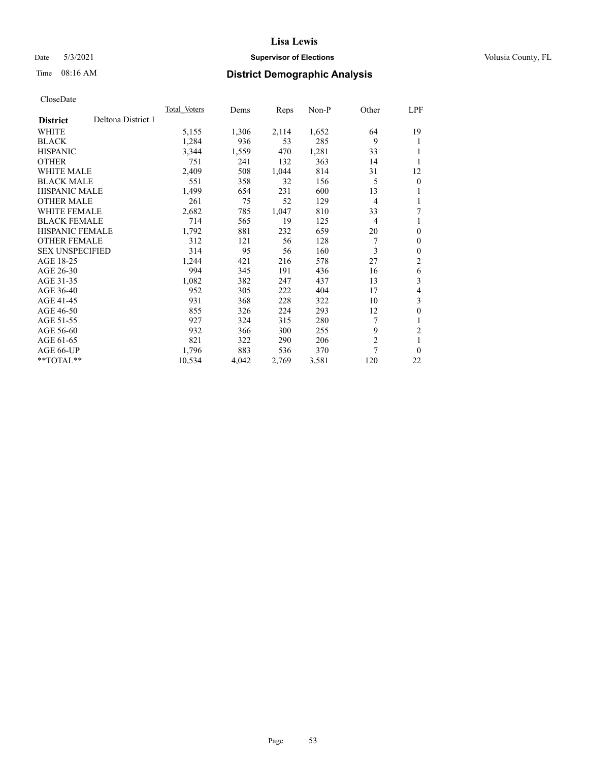## Date 5/3/2021 **Supervisor of Elections Supervisor of Elections** Volusia County, FL

## Time 08:16 AM **District Demographic Analysis**

|                        |                    | Total Voters | Dems  | Reps  | Non-P | Other          | LPF            |
|------------------------|--------------------|--------------|-------|-------|-------|----------------|----------------|
| <b>District</b>        | Deltona District 1 |              |       |       |       |                |                |
| WHITE                  |                    | 5,155        | 1,306 | 2,114 | 1,652 | 64             | 19             |
| <b>BLACK</b>           |                    | 1,284        | 936   | 53    | 285   | 9              | 1              |
| <b>HISPANIC</b>        |                    | 3,344        | 1,559 | 470   | 1,281 | 33             | 1              |
| <b>OTHER</b>           |                    | 751          | 241   | 132   | 363   | 14             |                |
| WHITE MALE             |                    | 2,409        | 508   | 1,044 | 814   | 31             | 12             |
| <b>BLACK MALE</b>      |                    | 551          | 358   | 32    | 156   | 5              | $\mathbf{0}$   |
| <b>HISPANIC MALE</b>   |                    | 1,499        | 654   | 231   | 600   | 13             | 1              |
| <b>OTHER MALE</b>      |                    | 261          | 75    | 52    | 129   | 4              | 1              |
| WHITE FEMALE           |                    | 2,682        | 785   | 1,047 | 810   | 33             | 7              |
| <b>BLACK FEMALE</b>    |                    | 714          | 565   | 19    | 125   | $\overline{4}$ | 1              |
| <b>HISPANIC FEMALE</b> |                    | 1,792        | 881   | 232   | 659   | 20             | $\theta$       |
| <b>OTHER FEMALE</b>    |                    | 312          | 121   | 56    | 128   | 7              | $\theta$       |
| <b>SEX UNSPECIFIED</b> |                    | 314          | 95    | 56    | 160   | 3              | $\theta$       |
| AGE 18-25              |                    | 1,244        | 421   | 216   | 578   | 27             | $\overline{2}$ |
| AGE 26-30              |                    | 994          | 345   | 191   | 436   | 16             | 6              |
| AGE 31-35              |                    | 1,082        | 382   | 247   | 437   | 13             | 3              |
| AGE 36-40              |                    | 952          | 305   | 222   | 404   | 17             | 4              |
| AGE 41-45              |                    | 931          | 368   | 228   | 322   | 10             | 3              |
| AGE 46-50              |                    | 855          | 326   | 224   | 293   | 12             | $\theta$       |
| AGE 51-55              |                    | 927          | 324   | 315   | 280   |                | 1              |
| AGE 56-60              |                    | 932          | 366   | 300   | 255   | 9              | $\mathfrak{2}$ |
| AGE 61-65              |                    | 821          | 322   | 290   | 206   | $\overline{2}$ | 1              |
| AGE 66-UP              |                    | 1,796        | 883   | 536   | 370   | 7              | $\theta$       |
| **TOTAL**              |                    | 10,534       | 4,042 | 2,769 | 3,581 | 120            | 22             |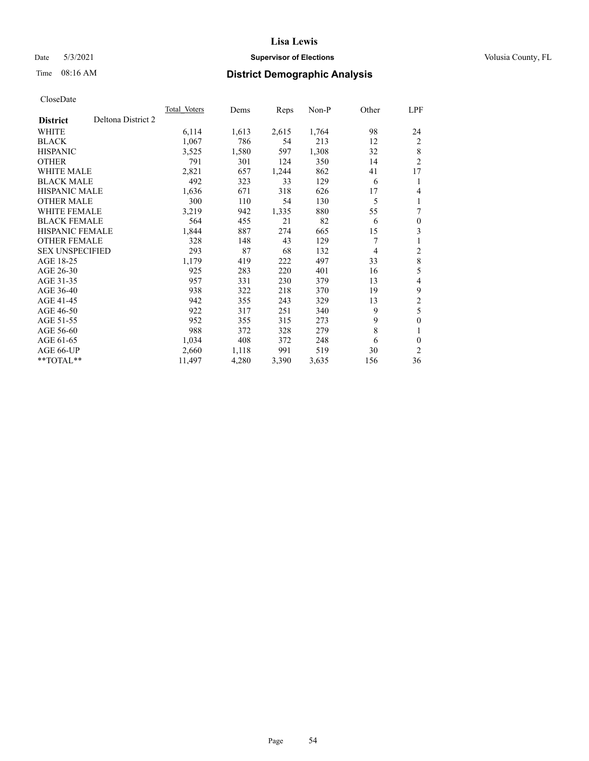## Date 5/3/2021 **Supervisor of Elections Supervisor of Elections** Volusia County, FL

## Time 08:16 AM **District Demographic Analysis**

|                        |                    | Total Voters | Dems  | Reps  | Non-P | Other | LPF                     |
|------------------------|--------------------|--------------|-------|-------|-------|-------|-------------------------|
| <b>District</b>        | Deltona District 2 |              |       |       |       |       |                         |
| WHITE                  |                    | 6,114        | 1,613 | 2,615 | 1,764 | 98    | 24                      |
| <b>BLACK</b>           |                    | 1,067        | 786   | 54    | 213   | 12    | 2                       |
| <b>HISPANIC</b>        |                    | 3,525        | 1,580 | 597   | 1,308 | 32    | 8                       |
| <b>OTHER</b>           |                    | 791          | 301   | 124   | 350   | 14    | 2                       |
| WHITE MALE             |                    | 2,821        | 657   | 1,244 | 862   | 41    | 17                      |
| <b>BLACK MALE</b>      |                    | 492          | 323   | 33    | 129   | 6     | 1                       |
| <b>HISPANIC MALE</b>   |                    | 1,636        | 671   | 318   | 626   | 17    | 4                       |
| <b>OTHER MALE</b>      |                    | 300          | 110   | 54    | 130   | 5     | 1                       |
| WHITE FEMALE           |                    | 3,219        | 942   | 1,335 | 880   | 55    | 7                       |
| <b>BLACK FEMALE</b>    |                    | 564          | 455   | 21    | 82    | 6     | $\mathbf{0}$            |
| <b>HISPANIC FEMALE</b> |                    | 1,844        | 887   | 274   | 665   | 15    | 3                       |
| <b>OTHER FEMALE</b>    |                    | 328          | 148   | 43    | 129   |       |                         |
| <b>SEX UNSPECIFIED</b> |                    | 293          | 87    | 68    | 132   | 4     | 2                       |
| AGE 18-25              |                    | 1,179        | 419   | 222   | 497   | 33    | 8                       |
| AGE 26-30              |                    | 925          | 283   | 220   | 401   | 16    | 5                       |
| AGE 31-35              |                    | 957          | 331   | 230   | 379   | 13    | 4                       |
| AGE 36-40              |                    | 938          | 322   | 218   | 370   | 19    | 9                       |
| AGE 41-45              |                    | 942          | 355   | 243   | 329   | 13    | $\overline{\mathbf{c}}$ |
| AGE 46-50              |                    | 922          | 317   | 251   | 340   | 9     | 5                       |
| AGE 51-55              |                    | 952          | 355   | 315   | 273   | 9     | $\theta$                |
| AGE 56-60              |                    | 988          | 372   | 328   | 279   | 8     |                         |
| AGE 61-65              |                    | 1,034        | 408   | 372   | 248   | 6     | $\theta$                |
| AGE 66-UP              |                    | 2,660        | 1,118 | 991   | 519   | 30    | $\overline{c}$          |
| **TOTAL**              |                    | 11,497       | 4,280 | 3,390 | 3,635 | 156   | 36                      |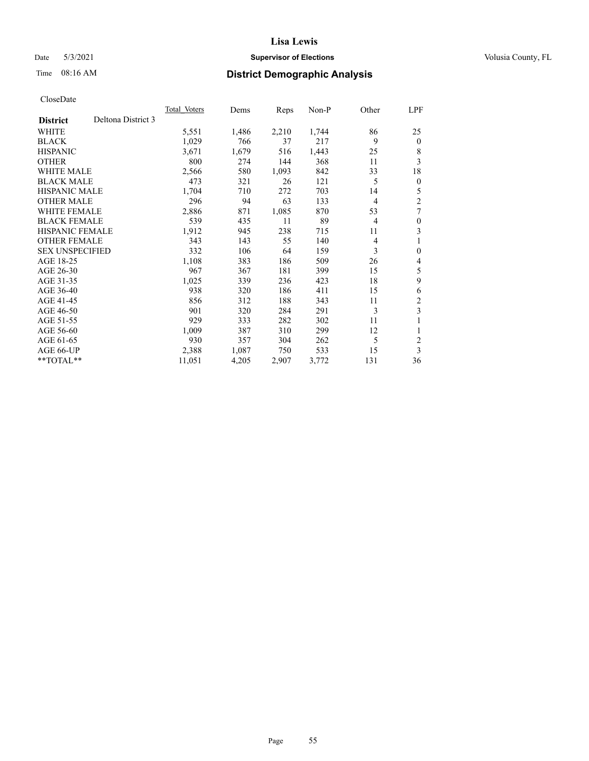## Date 5/3/2021 **Supervisor of Elections Supervisor of Elections** Volusia County, FL

## Time 08:16 AM **District Demographic Analysis**

|                                       | Total Voters | Dems  | Reps  | $Non-P$ | Other          | LPF            |
|---------------------------------------|--------------|-------|-------|---------|----------------|----------------|
| Deltona District 3<br><b>District</b> |              |       |       |         |                |                |
| WHITE                                 | 5,551        | 1,486 | 2,210 | 1,744   | 86             | 25             |
| <b>BLACK</b>                          | 1,029        | 766   | 37    | 217     | 9              | $\theta$       |
| <b>HISPANIC</b>                       | 3,671        | 1,679 | 516   | 1,443   | 25             | 8              |
| <b>OTHER</b>                          | 800          | 274   | 144   | 368     | 11             | 3              |
| <b>WHITE MALE</b>                     | 2,566        | 580   | 1,093 | 842     | 33             | 18             |
| <b>BLACK MALE</b>                     | 473          | 321   | 26    | 121     | 5              | $\theta$       |
| <b>HISPANIC MALE</b>                  | 1,704        | 710   | 272   | 703     | 14             | 5              |
| <b>OTHER MALE</b>                     | 296          | 94    | 63    | 133     | $\overline{4}$ | 2              |
| WHITE FEMALE                          | 2,886        | 871   | 1,085 | 870     | 53             | 7              |
| <b>BLACK FEMALE</b>                   | 539          | 435   | 11    | 89      | $\overline{4}$ | $\theta$       |
| <b>HISPANIC FEMALE</b>                | 1,912        | 945   | 238   | 715     | 11             | 3              |
| <b>OTHER FEMALE</b>                   | 343          | 143   | 55    | 140     | 4              | 1              |
| <b>SEX UNSPECIFIED</b>                | 332          | 106   | 64    | 159     | 3              | $\theta$       |
| AGE 18-25                             | 1,108        | 383   | 186   | 509     | 26             | 4              |
| AGE 26-30                             | 967          | 367   | 181   | 399     | 15             | 5              |
| AGE 31-35                             | 1,025        | 339   | 236   | 423     | 18             | 9              |
| AGE 36-40                             | 938          | 320   | 186   | 411     | 15             | 6              |
| AGE 41-45                             | 856          | 312   | 188   | 343     | 11             | 2              |
| AGE 46-50                             | 901          | 320   | 284   | 291     | 3              | 3              |
| AGE 51-55                             | 929          | 333   | 282   | 302     | 11             |                |
| AGE 56-60                             | 1,009        | 387   | 310   | 299     | 12             | 1              |
| AGE 61-65                             | 930          | 357   | 304   | 262     | 5              | $\overline{c}$ |
| AGE 66-UP                             | 2,388        | 1,087 | 750   | 533     | 15             | 3              |
| $*$ $TOTAL**$                         | 11,051       | 4,205 | 2,907 | 3,772   | 131            | 36             |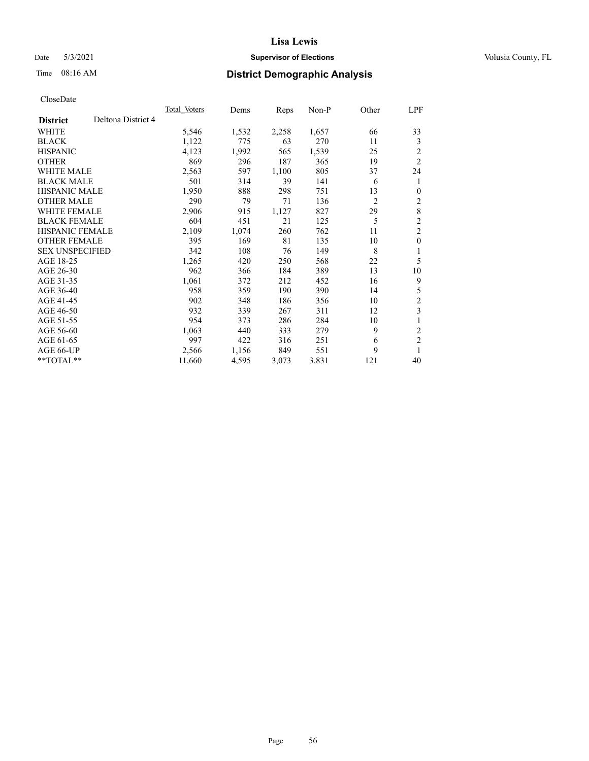## Date 5/3/2021 **Supervisor of Elections Supervisor of Elections** Volusia County, FL

## Time 08:16 AM **District Demographic Analysis**

|                        |                    | Total Voters | Dems  | Reps  | Non-P | Other          | LPF            |
|------------------------|--------------------|--------------|-------|-------|-------|----------------|----------------|
| <b>District</b>        | Deltona District 4 |              |       |       |       |                |                |
| WHITE                  |                    | 5,546        | 1,532 | 2,258 | 1,657 | 66             | 33             |
| <b>BLACK</b>           |                    | 1,122        | 775   | 63    | 270   | 11             | 3              |
| <b>HISPANIC</b>        |                    | 4,123        | 1,992 | 565   | 1,539 | 25             | 2              |
| <b>OTHER</b>           |                    | 869          | 296   | 187   | 365   | 19             | $\overline{2}$ |
| WHITE MALE             |                    | 2,563        | 597   | 1,100 | 805   | 37             | 24             |
| <b>BLACK MALE</b>      |                    | 501          | 314   | 39    | 141   | 6              | 1              |
| <b>HISPANIC MALE</b>   |                    | 1,950        | 888   | 298   | 751   | 13             | $\theta$       |
| <b>OTHER MALE</b>      |                    | 290          | 79    | 71    | 136   | $\overline{2}$ | 2              |
| WHITE FEMALE           |                    | 2,906        | 915   | 1,127 | 827   | 29             | $\,8\,$        |
| <b>BLACK FEMALE</b>    |                    | 604          | 451   | 21    | 125   | 5              | $\overline{c}$ |
| <b>HISPANIC FEMALE</b> |                    | 2,109        | 1,074 | 260   | 762   | 11             | $\overline{2}$ |
| <b>OTHER FEMALE</b>    |                    | 395          | 169   | 81    | 135   | 10             | $\mathbf{0}$   |
| <b>SEX UNSPECIFIED</b> |                    | 342          | 108   | 76    | 149   | 8              | 1              |
| AGE 18-25              |                    | 1,265        | 420   | 250   | 568   | 22             | 5              |
| AGE 26-30              |                    | 962          | 366   | 184   | 389   | 13             | 10             |
| AGE 31-35              |                    | 1,061        | 372   | 212   | 452   | 16             | 9              |
| AGE 36-40              |                    | 958          | 359   | 190   | 390   | 14             | 5              |
| AGE 41-45              |                    | 902          | 348   | 186   | 356   | 10             | 2              |
| AGE 46-50              |                    | 932          | 339   | 267   | 311   | 12             | 3              |
| AGE 51-55              |                    | 954          | 373   | 286   | 284   | 10             | 1              |
| AGE 56-60              |                    | 1,063        | 440   | 333   | 279   | 9              | $\mathfrak{2}$ |
| AGE 61-65              |                    | 997          | 422   | 316   | 251   | 6              | $\overline{2}$ |
| AGE 66-UP              |                    | 2,566        | 1,156 | 849   | 551   | 9              |                |
| **TOTAL**              |                    | 11,660       | 4,595 | 3,073 | 3,831 | 121            | 40             |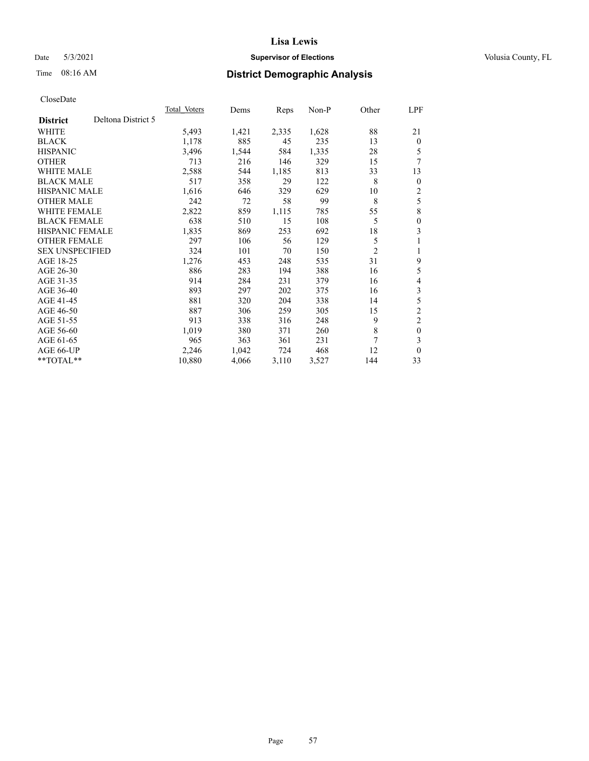## Date 5/3/2021 **Supervisor of Elections Supervisor of Elections** Volusia County, FL

## Time 08:16 AM **District Demographic Analysis**

|                                       | <b>Total Voters</b> | Dems  | Reps  | $Non-P$ | Other          | LPF            |
|---------------------------------------|---------------------|-------|-------|---------|----------------|----------------|
| Deltona District 5<br><b>District</b> |                     |       |       |         |                |                |
| WHITE                                 | 5,493               | 1,421 | 2,335 | 1,628   | 88             | 21             |
| <b>BLACK</b>                          | 1,178               | 885   | 45    | 235     | 13             | $\theta$       |
| <b>HISPANIC</b>                       | 3,496               | 1,544 | 584   | 1,335   | 28             | 5              |
| <b>OTHER</b>                          | 713                 | 216   | 146   | 329     | 15             | 7              |
| WHITE MALE                            | 2,588               | 544   | 1,185 | 813     | 33             | 13             |
| <b>BLACK MALE</b>                     | 517                 | 358   | 29    | 122     | 8              | $\theta$       |
| <b>HISPANIC MALE</b>                  | 1,616               | 646   | 329   | 629     | 10             | 2              |
| <b>OTHER MALE</b>                     | 242                 | 72    | 58    | 99      | 8              | 5              |
| <b>WHITE FEMALE</b>                   | 2,822               | 859   | 1,115 | 785     | 55             | 8              |
| <b>BLACK FEMALE</b>                   | 638                 | 510   | 15    | 108     | 5              | $\theta$       |
| <b>HISPANIC FEMALE</b>                | 1,835               | 869   | 253   | 692     | 18             | 3              |
| <b>OTHER FEMALE</b>                   | 297                 | 106   | 56    | 129     | 5              | 1              |
| <b>SEX UNSPECIFIED</b>                | 324                 | 101   | 70    | 150     | $\overline{2}$ | 1              |
| AGE 18-25                             | 1,276               | 453   | 248   | 535     | 31             | 9              |
| AGE 26-30                             | 886                 | 283   | 194   | 388     | 16             | 5              |
| AGE 31-35                             | 914                 | 284   | 231   | 379     | 16             | 4              |
| AGE 36-40                             | 893                 | 297   | 202   | 375     | 16             | 3              |
| AGE 41-45                             | 881                 | 320   | 204   | 338     | 14             | 5              |
| AGE 46-50                             | 887                 | 306   | 259   | 305     | 15             | $\overline{c}$ |
| AGE 51-55                             | 913                 | 338   | 316   | 248     | 9              | $\overline{c}$ |
| AGE 56-60                             | 1,019               | 380   | 371   | 260     | 8              | $\mathbf{0}$   |
| AGE 61-65                             | 965                 | 363   | 361   | 231     | 7              | 3              |
| AGE 66-UP                             | 2,246               | 1,042 | 724   | 468     | 12             | $\mathbf{0}$   |
| **TOTAL**                             | 10,880              | 4,066 | 3,110 | 3,527   | 144            | 33             |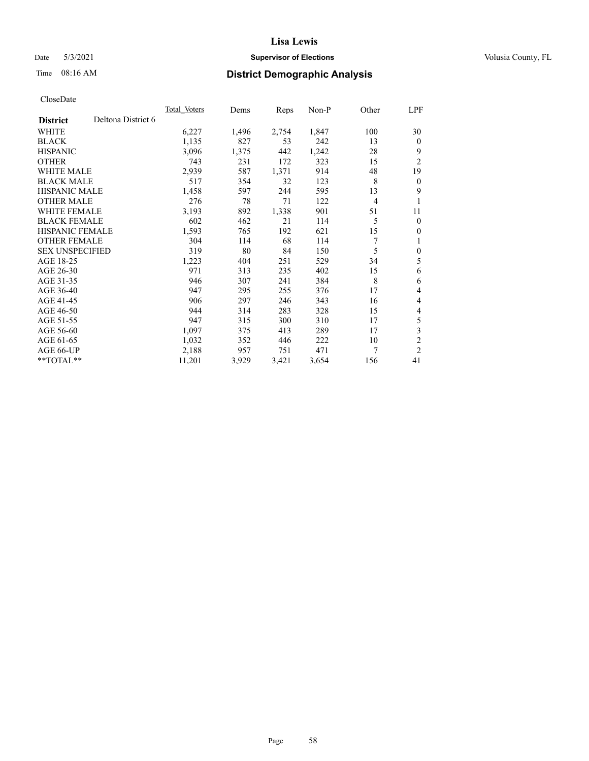## Date 5/3/2021 **Supervisor of Elections Supervisor of Elections** Volusia County, FL

## Time 08:16 AM **District Demographic Analysis**

|                                       | <b>Total Voters</b> | Dems  | Reps  | $Non-P$ | Other | LPF            |
|---------------------------------------|---------------------|-------|-------|---------|-------|----------------|
| Deltona District 6<br><b>District</b> |                     |       |       |         |       |                |
| WHITE                                 | 6,227               | 1,496 | 2,754 | 1,847   | 100   | 30             |
| <b>BLACK</b>                          | 1,135               | 827   | 53    | 242     | 13    | $\theta$       |
| <b>HISPANIC</b>                       | 3,096               | 1,375 | 442   | 1,242   | 28    | 9              |
| <b>OTHER</b>                          | 743                 | 231   | 172   | 323     | 15    | $\overline{2}$ |
| <b>WHITE MALE</b>                     | 2,939               | 587   | 1,371 | 914     | 48    | 19             |
| <b>BLACK MALE</b>                     | 517                 | 354   | 32    | 123     | 8     | $\mathbf{0}$   |
| <b>HISPANIC MALE</b>                  | 1,458               | 597   | 244   | 595     | 13    | 9              |
| <b>OTHER MALE</b>                     | 276                 | 78    | 71    | 122     | 4     | 1              |
| <b>WHITE FEMALE</b>                   | 3,193               | 892   | 1,338 | 901     | 51    | 11             |
| <b>BLACK FEMALE</b>                   | 602                 | 462   | 21    | 114     | 5     | $\mathbf{0}$   |
| <b>HISPANIC FEMALE</b>                | 1,593               | 765   | 192   | 621     | 15    | $\mathbf{0}$   |
| <b>OTHER FEMALE</b>                   | 304                 | 114   | 68    | 114     | 7     | 1              |
| <b>SEX UNSPECIFIED</b>                | 319                 | 80    | 84    | 150     | 5     | $\theta$       |
| AGE 18-25                             | 1,223               | 404   | 251   | 529     | 34    | 5              |
| AGE 26-30                             | 971                 | 313   | 235   | 402     | 15    | 6              |
| AGE 31-35                             | 946                 | 307   | 241   | 384     | 8     | 6              |
| AGE 36-40                             | 947                 | 295   | 255   | 376     | 17    | 4              |
| AGE 41-45                             | 906                 | 297   | 246   | 343     | 16    | 4              |
| AGE 46-50                             | 944                 | 314   | 283   | 328     | 15    | 4              |
| AGE 51-55                             | 947                 | 315   | 300   | 310     | 17    | 5              |
| AGE 56-60                             | 1,097               | 375   | 413   | 289     | 17    | 3              |
| AGE 61-65                             | 1,032               | 352   | 446   | 222     | 10    | $\overline{c}$ |
| AGE 66-UP                             | 2,188               | 957   | 751   | 471     | 7     | $\overline{2}$ |
| $*$ $TOTAL**$                         | 11,201              | 3,929 | 3,421 | 3,654   | 156   | 41             |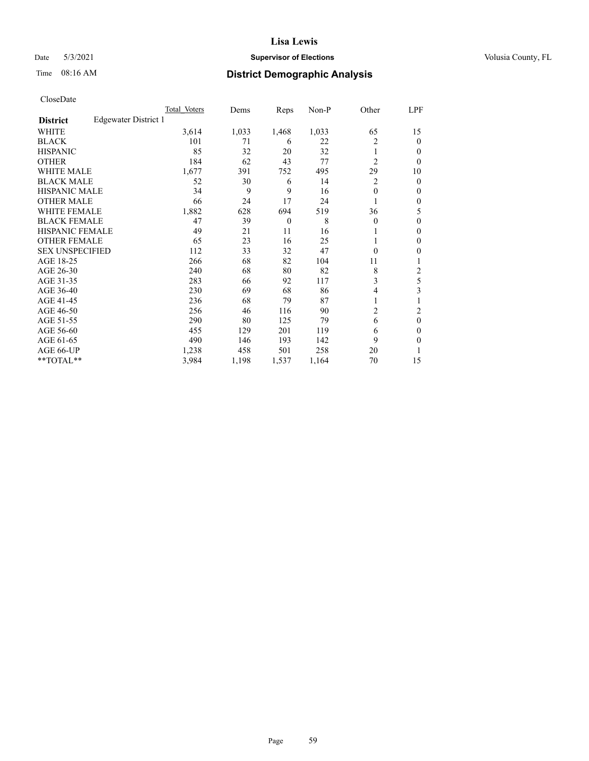## Date 5/3/2021 **Supervisor of Elections Supervisor of Elections** Volusia County, FL

# Time 08:16 AM **District Demographic Analysis**

|                        |                      | Total Voters | Dems  | Reps     | Non-P | Other          | LPF    |
|------------------------|----------------------|--------------|-------|----------|-------|----------------|--------|
| <b>District</b>        | Edgewater District 1 |              |       |          |       |                |        |
| WHITE                  |                      | 3,614        | 1,033 | 1,468    | 1,033 | 65             | 15     |
| <b>BLACK</b>           |                      | 101          | 71    | 6        | 22    | 2              | 0      |
| <b>HISPANIC</b>        |                      | 85           | 32    | 20       | 32    | 1              | $_{0}$ |
| <b>OTHER</b>           |                      | 184          | 62    | 43       | 77    | $\overline{2}$ | 0      |
| WHITE MALE             |                      | 1,677        | 391   | 752      | 495   | 29             | 10     |
| <b>BLACK MALE</b>      |                      | 52           | 30    | 6        | 14    | 2              | 0      |
| <b>HISPANIC MALE</b>   |                      | 34           | 9     | 9        | 16    | $\theta$       | 0      |
| <b>OTHER MALE</b>      |                      | 66           | 24    | 17       | 24    |                | 0      |
| <b>WHITE FEMALE</b>    |                      | 1,882        | 628   | 694      | 519   | 36             | 5      |
| <b>BLACK FEMALE</b>    |                      | 47           | 39    | $\theta$ | 8     | $\Omega$       | 0      |
| <b>HISPANIC FEMALE</b> |                      | 49           | 21    | 11       | 16    |                | 0      |
| <b>OTHER FEMALE</b>    |                      | 65           | 23    | 16       | 25    |                | 0      |
| <b>SEX UNSPECIFIED</b> |                      | 112          | 33    | 32       | 47    | $\Omega$       | 0      |
| AGE 18-25              |                      | 266          | 68    | 82       | 104   | 11             |        |
| AGE 26-30              |                      | 240          | 68    | 80       | 82    | 8              | 2      |
| AGE 31-35              |                      | 283          | 66    | 92       | 117   | 3              | 5      |
| AGE 36-40              |                      | 230          | 69    | 68       | 86    | 4              | 3      |
| AGE 41-45              |                      | 236          | 68    | 79       | 87    |                |        |
| AGE 46-50              |                      | 256          | 46    | 116      | 90    | 2              | 2      |
| AGE 51-55              |                      | 290          | 80    | 125      | 79    | 6              | 0      |
| AGE 56-60              |                      | 455          | 129   | 201      | 119   | 6              | 0      |
| AGE 61-65              |                      | 490          | 146   | 193      | 142   | 9              | 0      |
| AGE 66-UP              |                      | 1,238        | 458   | 501      | 258   | 20             |        |
| **TOTAL**              |                      | 3,984        | 1,198 | 1,537    | 1,164 | 70             | 15     |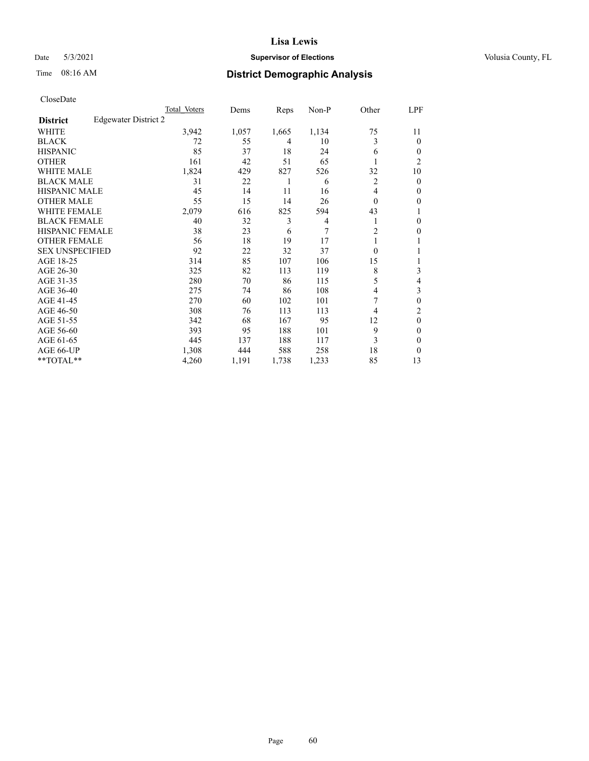## Date 5/3/2021 **Supervisor of Elections Supervisor of Elections** Volusia County, FL

# Time 08:16 AM **District Demographic Analysis**

|                        |                      | Total Voters | Dems  | Reps  | Non-P | Other          | LPF            |
|------------------------|----------------------|--------------|-------|-------|-------|----------------|----------------|
| <b>District</b>        | Edgewater District 2 |              |       |       |       |                |                |
| WHITE                  |                      | 3,942        | 1,057 | 1,665 | 1,134 | 75             | 11             |
| <b>BLACK</b>           |                      | 72           | 55    | 4     | 10    | 3              | 0              |
| <b>HISPANIC</b>        |                      | 85           | 37    | 18    | 24    | 6              | $_{0}$         |
| <b>OTHER</b>           |                      | 161          | 42    | 51    | 65    |                | $\overline{c}$ |
| WHITE MALE             |                      | 1,824        | 429   | 827   | 526   | 32             | 10             |
| <b>BLACK MALE</b>      |                      | 31           | 22    | 1     | 6     | 2              | 0              |
| <b>HISPANIC MALE</b>   |                      | 45           | 14    | 11    | 16    | 4              | 0              |
| <b>OTHER MALE</b>      |                      | 55           | 15    | 14    | 26    | $\Omega$       | 0              |
| <b>WHITE FEMALE</b>    |                      | 2,079        | 616   | 825   | 594   | 43             |                |
| <b>BLACK FEMALE</b>    |                      | 40           | 32    | 3     | 4     |                | 0              |
| <b>HISPANIC FEMALE</b> |                      | 38           | 23    | 6     | 7     | $\overline{2}$ | 0              |
| <b>OTHER FEMALE</b>    |                      | 56           | 18    | 19    | 17    |                |                |
| <b>SEX UNSPECIFIED</b> |                      | 92           | 22    | 32    | 37    | $\Omega$       |                |
| AGE 18-25              |                      | 314          | 85    | 107   | 106   | 15             |                |
| AGE 26-30              |                      | 325          | 82    | 113   | 119   | 8              | 3              |
| AGE 31-35              |                      | 280          | 70    | 86    | 115   | 5              | 4              |
| AGE 36-40              |                      | 275          | 74    | 86    | 108   | 4              | 3              |
| AGE 41-45              |                      | 270          | 60    | 102   | 101   | 7              | 0              |
| AGE 46-50              |                      | 308          | 76    | 113   | 113   | 4              | 2              |
| AGE 51-55              |                      | 342          | 68    | 167   | 95    | 12             | 0              |
| AGE 56-60              |                      | 393          | 95    | 188   | 101   | 9              | 0              |
| AGE 61-65              |                      | 445          | 137   | 188   | 117   | 3              | 0              |
| AGE 66-UP              |                      | 1,308        | 444   | 588   | 258   | 18             | 0              |
| **TOTAL**              |                      | 4,260        | 1,191 | 1,738 | 1,233 | 85             | 13             |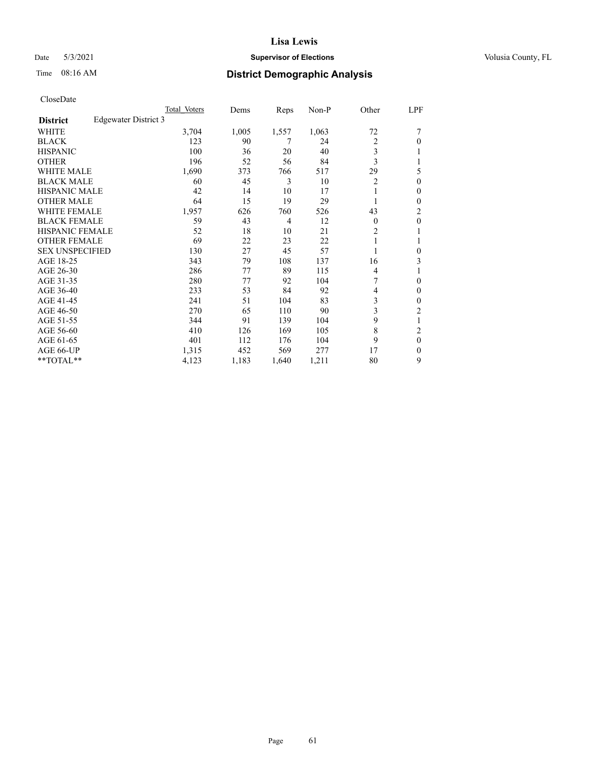## Date 5/3/2021 **Supervisor of Elections Supervisor of Elections** Volusia County, FL

# Time 08:16 AM **District Demographic Analysis**

|                                         | Total Voters | Dems  | Reps           | $Non-P$ | Other          | LPF              |
|-----------------------------------------|--------------|-------|----------------|---------|----------------|------------------|
| Edgewater District 3<br><b>District</b> |              |       |                |         |                |                  |
| WHITE                                   | 3,704        | 1,005 | 1,557          | 1,063   | 72             |                  |
| <b>BLACK</b>                            | 123          | 90    | 7              | 24      | $\overline{2}$ | 0                |
| <b>HISPANIC</b>                         | 100          | 36    | 20             | 40      | 3              |                  |
| <b>OTHER</b>                            | 196          | 52    | 56             | 84      | 3              |                  |
| <b>WHITE MALE</b>                       | 1,690        | 373   | 766            | 517     | 29             | 5                |
| <b>BLACK MALE</b>                       | 60           | 45    | 3              | 10      | $\overline{2}$ | 0                |
| HISPANIC MALE                           | 42           | 14    | 10             | 17      |                | 0                |
| <b>OTHER MALE</b>                       | 64           | 15    | 19             | 29      |                | 0                |
| <b>WHITE FEMALE</b>                     | 1,957        | 626   | 760            | 526     | 43             | 2                |
| <b>BLACK FEMALE</b>                     | 59           | 43    | $\overline{4}$ | 12      | $\theta$       | $\boldsymbol{0}$ |
| <b>HISPANIC FEMALE</b>                  | 52           | 18    | 10             | 21      | 2              |                  |
| <b>OTHER FEMALE</b>                     | 69           | 22    | 23             | 22      |                |                  |
| <b>SEX UNSPECIFIED</b>                  | 130          | 27    | 45             | 57      |                | 0                |
| AGE 18-25                               | 343          | 79    | 108            | 137     | 16             | 3                |
| AGE 26-30                               | 286          | 77    | 89             | 115     | 4              |                  |
| AGE 31-35                               | 280          | 77    | 92             | 104     | 7              | 0                |
| AGE 36-40                               | 233          | 53    | 84             | 92      | 4              | 0                |
| AGE 41-45                               | 241          | 51    | 104            | 83      | 3              | 0                |
| AGE 46-50                               | 270          | 65    | 110            | 90      | 3              | $\overline{c}$   |
| AGE 51-55                               | 344          | 91    | 139            | 104     | 9              |                  |
| AGE 56-60                               | 410          | 126   | 169            | 105     | 8              | $\overline{c}$   |
| AGE 61-65                               | 401          | 112   | 176            | 104     | 9              | $\theta$         |
| AGE 66-UP                               | 1,315        | 452   | 569            | 277     | 17             | 0                |
| **TOTAL**                               | 4,123        | 1,183 | 1,640          | 1,211   | 80             | 9                |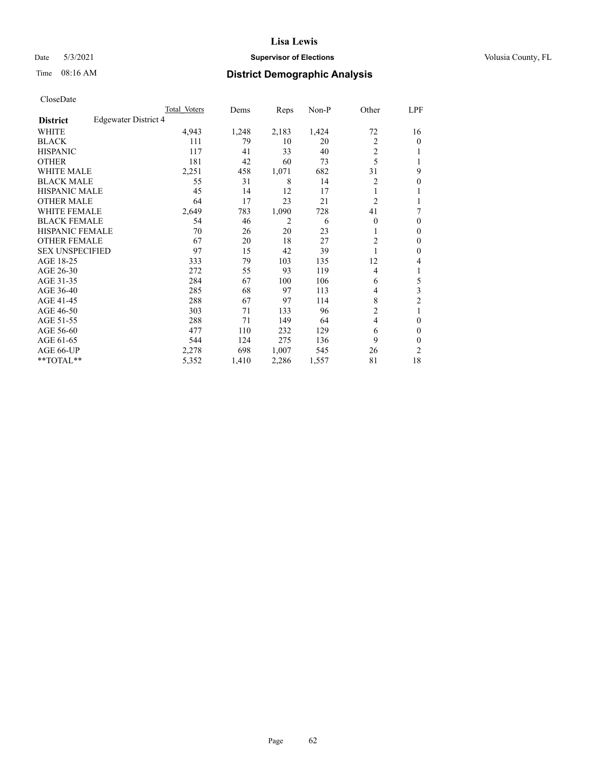## Date 5/3/2021 **Supervisor of Elections Supervisor of Elections** Volusia County, FL

# Time 08:16 AM **District Demographic Analysis**

|                        |                      | Total Voters | Dems  | Reps           | Non-P | Other          | LPF            |
|------------------------|----------------------|--------------|-------|----------------|-------|----------------|----------------|
| <b>District</b>        | Edgewater District 4 |              |       |                |       |                |                |
| WHITE                  |                      | 4,943        | 1,248 | 2,183          | 1,424 | 72             | 16             |
| <b>BLACK</b>           |                      | 111          | 79    | 10             | 20    | $\overline{2}$ | 0              |
| <b>HISPANIC</b>        |                      | 117          | 41    | 33             | 40    | 2              |                |
| <b>OTHER</b>           |                      | 181          | 42    | 60             | 73    | 5              |                |
| WHITE MALE             |                      | 2,251        | 458   | 1,071          | 682   | 31             | 9              |
| <b>BLACK MALE</b>      |                      | 55           | 31    | 8              | 14    | 2              | 0              |
| <b>HISPANIC MALE</b>   |                      | 45           | 14    | 12             | 17    |                |                |
| <b>OTHER MALE</b>      |                      | 64           | 17    | 23             | 21    | $\overline{2}$ |                |
| <b>WHITE FEMALE</b>    |                      | 2,649        | 783   | 1,090          | 728   | 41             | 7              |
| <b>BLACK FEMALE</b>    |                      | 54           | 46    | $\overline{2}$ | 6     | $\Omega$       | 0              |
| <b>HISPANIC FEMALE</b> |                      | 70           | 26    | 20             | 23    |                | 0              |
| <b>OTHER FEMALE</b>    |                      | 67           | 20    | 18             | 27    | 2              | 0              |
| <b>SEX UNSPECIFIED</b> |                      | 97           | 15    | 42             | 39    |                | 0              |
| AGE 18-25              |                      | 333          | 79    | 103            | 135   | 12             | 4              |
| AGE 26-30              |                      | 272          | 55    | 93             | 119   | 4              | 1              |
| AGE 31-35              |                      | 284          | 67    | 100            | 106   | 6              | 5              |
| AGE 36-40              |                      | 285          | 68    | 97             | 113   | 4              | 3              |
| AGE 41-45              |                      | 288          | 67    | 97             | 114   | 8              | $\overline{c}$ |
| AGE 46-50              |                      | 303          | 71    | 133            | 96    | 2              | 1              |
| AGE 51-55              |                      | 288          | 71    | 149            | 64    | $\overline{4}$ | 0              |
| AGE 56-60              |                      | 477          | 110   | 232            | 129   | 6              | 0              |
| AGE 61-65              |                      | 544          | 124   | 275            | 136   | 9              | 0              |
| AGE 66-UP              |                      | 2,278        | 698   | 1,007          | 545   | 26             | $\overline{c}$ |
| **TOTAL**              |                      | 5,352        | 1,410 | 2,286          | 1,557 | 81             | 18             |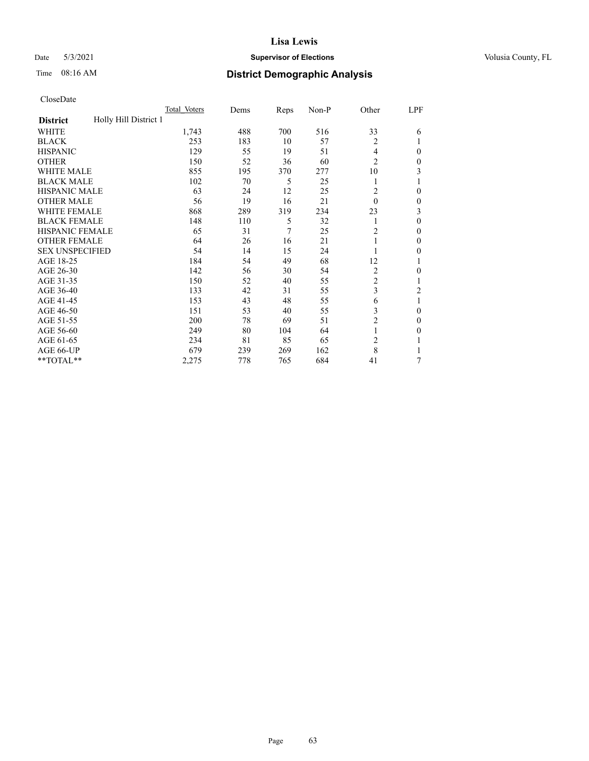## Date 5/3/2021 **Supervisor of Elections Supervisor of Elections** Volusia County, FL

| CloseDate |
|-----------|
|-----------|

|                                          | Total Voters | Dems | <b>Reps</b> | Non-P | Other          | LPF          |
|------------------------------------------|--------------|------|-------------|-------|----------------|--------------|
| Holly Hill District 1<br><b>District</b> |              |      |             |       |                |              |
| WHITE                                    | 1,743        | 488  | 700         | 516   | 33             | 6            |
| <b>BLACK</b>                             | 253          | 183  | 10          | 57    | 2              |              |
| <b>HISPANIC</b>                          | 129          | 55   | 19          | 51    | 4              | $\mathbf{0}$ |
| <b>OTHER</b>                             | 150          | 52   | 36          | 60    | 2              | 0            |
| <b>WHITE MALE</b>                        | 855          | 195  | 370         | 277   | 10             | 3            |
| <b>BLACK MALE</b>                        | 102          | 70   | 5           | 25    | 1              |              |
| <b>HISPANIC MALE</b>                     | 63           | 24   | 12          | 25    | 2              | $\Omega$     |
| <b>OTHER MALE</b>                        | 56           | 19   | 16          | 21    | $\theta$       | $\theta$     |
| <b>WHITE FEMALE</b>                      | 868          | 289  | 319         | 234   | 23             | 3            |
| <b>BLACK FEMALE</b>                      | 148          | 110  | 5           | 32    | 1              | $\theta$     |
| <b>HISPANIC FEMALE</b>                   | 65           | 31   | 7           | 25    | 2              | $\Omega$     |
| <b>OTHER FEMALE</b>                      | 64           | 26   | 16          | 21    | 1              | $\theta$     |
| <b>SEX UNSPECIFIED</b>                   | 54           | 14   | 15          | 24    |                | $\Omega$     |
| AGE 18-25                                | 184          | 54   | 49          | 68    | 12             |              |
| AGE 26-30                                | 142          | 56   | 30          | 54    | 2              | $\Omega$     |
| AGE 31-35                                | 150          | 52   | 40          | 55    | 2              |              |
| AGE 36-40                                | 133          | 42   | 31          | 55    | 3              | 2            |
| AGE 41-45                                | 153          | 43   | 48          | 55    | 6              |              |
| AGE 46-50                                | 151          | 53   | 40          | 55    | 3              | $\Omega$     |
| AGE 51-55                                | 200          | 78   | 69          | 51    | $\overline{c}$ | $\theta$     |
| AGE 56-60                                | 249          | 80   | 104         | 64    |                | $\Omega$     |
| AGE 61-65                                | 234          | 81   | 85          | 65    | 2              |              |
| AGE 66-UP                                | 679          | 239  | 269         | 162   | 8              |              |
| **TOTAL**                                | 2,275        | 778  | 765         | 684   | 41             | 7            |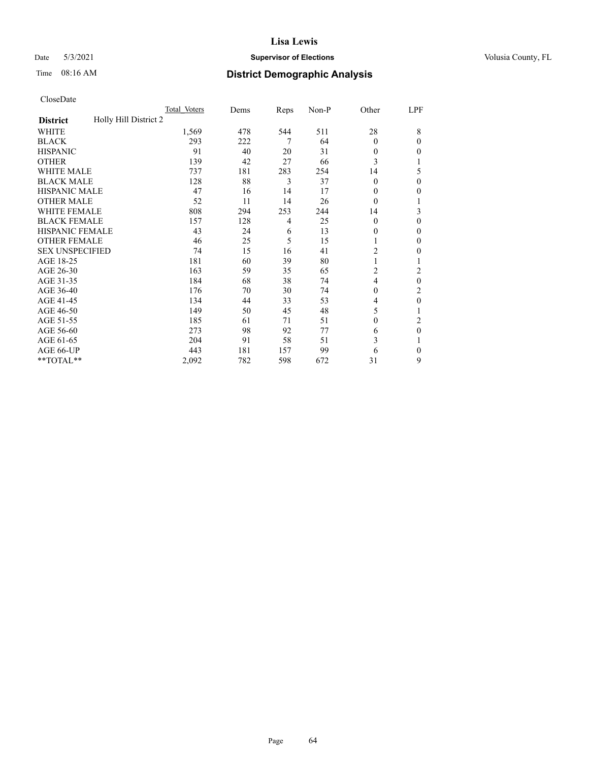## Date 5/3/2021 **Supervisor of Elections Supervisor of Elections** Volusia County, FL

|                                          | Total Voters | Dems | Reps | $Non-P$ | Other            | LPF          |
|------------------------------------------|--------------|------|------|---------|------------------|--------------|
| Holly Hill District 2<br><b>District</b> |              |      |      |         |                  |              |
| <b>WHITE</b>                             | 1,569        | 478  | 544  | 511     | 28               | 8            |
| <b>BLACK</b>                             | 293          | 222  | 7    | 64      | $\Omega$         | $\theta$     |
| <b>HISPANIC</b>                          | 91           | 40   | 20   | 31      | 0                | 0            |
| <b>OTHER</b>                             | 139          | 42   | 27   | 66      | 3                |              |
| <b>WHITE MALE</b>                        | 737          | 181  | 283  | 254     | 14               | 5            |
| <b>BLACK MALE</b>                        | 128          | 88   | 3    | 37      | 0                | $\theta$     |
| <b>HISPANIC MALE</b>                     | 47           | 16   | 14   | 17      | 0                | 0            |
| <b>OTHER MALE</b>                        | 52           | 11   | 14   | 26      | $\theta$         |              |
| <b>WHITE FEMALE</b>                      | 808          | 294  | 253  | 244     | 14               | 3            |
| <b>BLACK FEMALE</b>                      | 157          | 128  | 4    | 25      | $\theta$         | $\theta$     |
| <b>HISPANIC FEMALE</b>                   | 43           | 24   | 6    | 13      | 0                | $\Omega$     |
| <b>OTHER FEMALE</b>                      | 46           | 25   | 5    | 15      |                  | $\theta$     |
| <b>SEX UNSPECIFIED</b>                   | 74           | 15   | 16   | 41      | $\overline{c}$   | 0            |
| AGE 18-25                                | 181          | 60   | 39   | 80      |                  |              |
| AGE 26-30                                | 163          | 59   | 35   | 65      | 2                | 2            |
| AGE 31-35                                | 184          | 68   | 38   | 74      | 4                | $\theta$     |
| AGE 36-40                                | 176          | 70   | 30   | 74      | $\boldsymbol{0}$ | 2            |
| AGE 41-45                                | 134          | 44   | 33   | 53      | 4                | $\theta$     |
| AGE 46-50                                | 149          | 50   | 45   | 48      | 5                |              |
| AGE 51-55                                | 185          | 61   | 71   | 51      | $\theta$         | 2            |
| AGE 56-60                                | 273          | 98   | 92   | 77      | 6                | $\mathbf{0}$ |
| AGE 61-65                                | 204          | 91   | 58   | 51      | 3                |              |
| AGE 66-UP                                | 443          | 181  | 157  | 99      | 6                | 0            |
| **TOTAL**                                | 2,092        | 782  | 598  | 672     | 31               | 9            |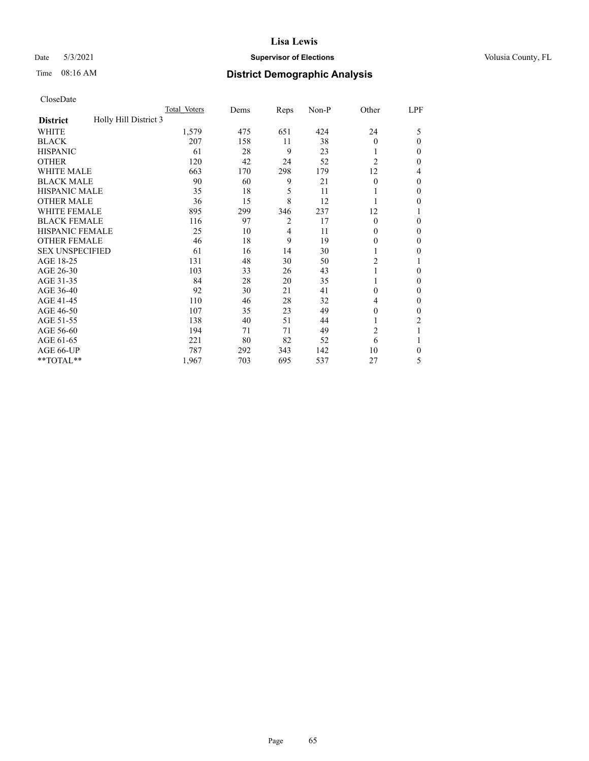## Date 5/3/2021 **Supervisor of Elections Supervisor of Elections** Volusia County, FL

# Time 08:16 AM **District Demographic Analysis**

|                                          | Total Voters | Dems | Reps           | Non-P | Other          | LPF    |
|------------------------------------------|--------------|------|----------------|-------|----------------|--------|
| Holly Hill District 3<br><b>District</b> |              |      |                |       |                |        |
| WHITE                                    | 1,579        | 475  | 651            | 424   | 24             | 5      |
| <b>BLACK</b>                             | 207          | 158  | 11             | 38    | $\Omega$       | 0      |
| <b>HISPANIC</b>                          | 61           | 28   | 9              | 23    |                | $_{0}$ |
| <b>OTHER</b>                             | 120          | 42   | 24             | 52    | $\overline{2}$ | 0      |
| <b>WHITE MALE</b>                        | 663          | 170  | 298            | 179   | 12             | 4      |
| <b>BLACK MALE</b>                        | 90           | 60   | 9              | 21    | $\Omega$       | 0      |
| <b>HISPANIC MALE</b>                     | 35           | 18   | 5              | 11    |                | 0      |
| <b>OTHER MALE</b>                        | 36           | 15   | 8              | 12    |                | 0      |
| <b>WHITE FEMALE</b>                      | 895          | 299  | 346            | 237   | 12             |        |
| <b>BLACK FEMALE</b>                      | 116          | 97   | $\overline{2}$ | 17    | $\theta$       | 0      |
| <b>HISPANIC FEMALE</b>                   | 25           | 10   | 4              | 11    | 0              | 0      |
| <b>OTHER FEMALE</b>                      | 46           | 18   | 9              | 19    | 0              | 0      |
| <b>SEX UNSPECIFIED</b>                   | 61           | 16   | 14             | 30    |                | 0      |
| AGE 18-25                                | 131          | 48   | 30             | 50    | $\overline{c}$ |        |
| AGE 26-30                                | 103          | 33   | 26             | 43    | 1              | 0      |
| AGE 31-35                                | 84           | 28   | 20             | 35    |                | 0      |
| AGE 36-40                                | 92           | 30   | 21             | 41    | $\theta$       | 0      |
| AGE 41-45                                | 110          | 46   | 28             | 32    | 4              | 0      |
| AGE 46-50                                | 107          | 35   | 23             | 49    | $\theta$       | 0      |
| AGE 51-55                                | 138          | 40   | 51             | 44    |                | 2      |
| AGE 56-60                                | 194          | 71   | 71             | 49    | $\overline{2}$ |        |
| AGE 61-65                                | 221          | 80   | 82             | 52    | 6              |        |
| AGE 66-UP                                | 787          | 292  | 343            | 142   | 10             | 0      |
| **TOTAL**                                | 1,967        | 703  | 695            | 537   | 27             | 5      |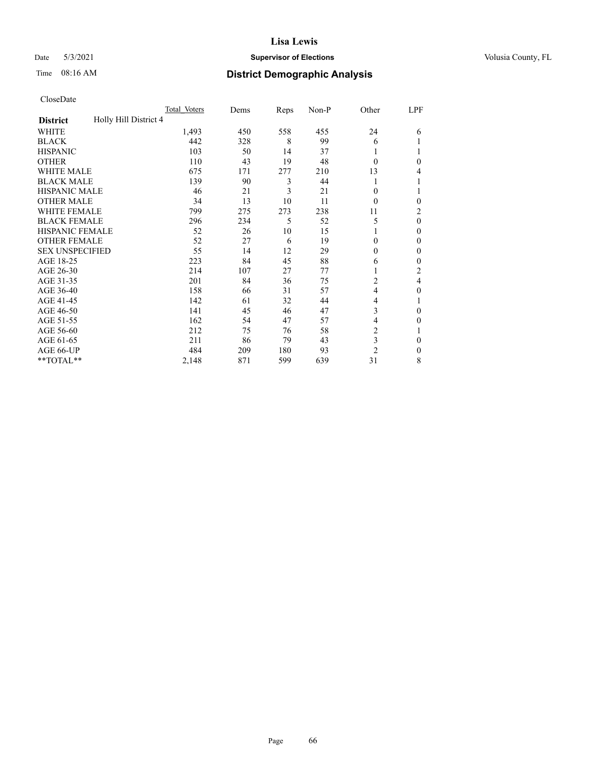## Date 5/3/2021 **Supervisor of Elections Supervisor of Elections** Volusia County, FL

# Time 08:16 AM **District Demographic Analysis**

|                                          | Total Voters | Dems | Reps | Non-P | Other          | LPF      |
|------------------------------------------|--------------|------|------|-------|----------------|----------|
| Holly Hill District 4<br><b>District</b> |              |      |      |       |                |          |
| WHITE                                    | 1,493        | 450  | 558  | 455   | 24             | 6        |
| <b>BLACK</b>                             | 442          | 328  | 8    | 99    | 6              |          |
| <b>HISPANIC</b>                          | 103          | 50   | 14   | 37    |                |          |
| <b>OTHER</b>                             | 110          | 43   | 19   | 48    | $\Omega$       | 0        |
| WHITE MALE                               | 675          | 171  | 277  | 210   | 13             | 4        |
| <b>BLACK MALE</b>                        | 139          | 90   | 3    | 44    |                |          |
| <b>HISPANIC MALE</b>                     | 46           | 21   | 3    | 21    | $\theta$       |          |
| <b>OTHER MALE</b>                        | 34           | 13   | 10   | 11    | $\Omega$       | 0        |
| <b>WHITE FEMALE</b>                      | 799          | 275  | 273  | 238   | 11             | 2        |
| <b>BLACK FEMALE</b>                      | 296          | 234  | 5    | 52    | 5              | $\theta$ |
| <b>HISPANIC FEMALE</b>                   | 52           | 26   | 10   | 15    |                | 0        |
| <b>OTHER FEMALE</b>                      | 52           | 27   | 6    | 19    | $\theta$       | 0        |
| <b>SEX UNSPECIFIED</b>                   | 55           | 14   | 12   | 29    | $\theta$       | 0        |
| AGE 18-25                                | 223          | 84   | 45   | 88    | 6              | 0        |
| AGE 26-30                                | 214          | 107  | 27   | 77    | 1              | 2        |
| AGE 31-35                                | 201          | 84   | 36   | 75    | 2              | 4        |
| AGE 36-40                                | 158          | 66   | 31   | 57    | $\overline{4}$ | 0        |
| AGE 41-45                                | 142          | 61   | 32   | 44    | 4              |          |
| AGE 46-50                                | 141          | 45   | 46   | 47    | 3              | 0        |
| AGE 51-55                                | 162          | 54   | 47   | 57    | 4              | 0        |
| AGE 56-60                                | 212          | 75   | 76   | 58    | $\overline{c}$ |          |
| AGE 61-65                                | 211          | 86   | 79   | 43    | 3              | 0        |
| AGE 66-UP                                | 484          | 209  | 180  | 93    | $\overline{2}$ | 0        |
| **TOTAL**                                | 2,148        | 871  | 599  | 639   | 31             | 8        |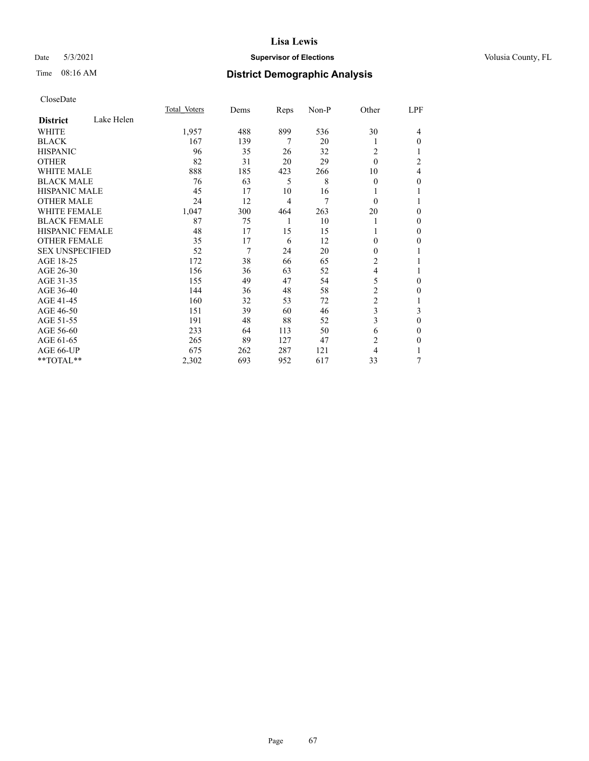## Date 5/3/2021 **Supervisor of Elections Supervisor of Elections** Volusia County, FL

## Time 08:16 AM **District Demographic Analysis**

|                        | Total Voters | Dems | Reps           | Non-P | Other          | LPF            |
|------------------------|--------------|------|----------------|-------|----------------|----------------|
| <b>District</b>        | Lake Helen   |      |                |       |                |                |
| WHITE                  | 1,957        | 488  | 899            | 536   | 30             | 4              |
| <b>BLACK</b>           | 167          | 139  | 7              | 20    | 1              | 0              |
| <b>HISPANIC</b>        | 96           | 35   | 26             | 32    | 2              |                |
| <b>OTHER</b>           | 82           | 31   | 20             | 29    | $\theta$       | $\overline{c}$ |
| <b>WHITE MALE</b>      | 888          | 185  | 423            | 266   | 10             | 4              |
| <b>BLACK MALE</b>      | 76           | 63   | 5              | 8     | $\theta$       | 0              |
| <b>HISPANIC MALE</b>   | 45           | 17   | 10             | 16    | 1              |                |
| <b>OTHER MALE</b>      | 24           | 12   | $\overline{4}$ | 7     | $\theta$       | 1              |
| <b>WHITE FEMALE</b>    | 1,047        | 300  | 464            | 263   | 20             | 0              |
| <b>BLACK FEMALE</b>    | 87           | 75   | 1              | 10    | 1              | 0              |
| <b>HISPANIC FEMALE</b> | 48           | 17   | 15             | 15    |                | 0              |
| <b>OTHER FEMALE</b>    | 35           | 17   | 6              | 12    | $\Omega$       | 0              |
| <b>SEX UNSPECIFIED</b> | 52           | 7    | 24             | 20    | $\theta$       |                |
| AGE 18-25              | 172          | 38   | 66             | 65    | 2              |                |
| AGE 26-30              | 156          | 36   | 63             | 52    | 4              |                |
| AGE 31-35              | 155          | 49   | 47             | 54    | 5              | 0              |
| AGE 36-40              | 144          | 36   | 48             | 58    | 2              | 0              |
| AGE 41-45              | 160          | 32   | 53             | 72    | $\overline{c}$ | 1              |
| AGE 46-50              | 151          | 39   | 60             | 46    | 3              | 3              |
| AGE 51-55              | 191          | 48   | 88             | 52    | 3              | $\mathbf{0}$   |
| AGE 56-60              | 233          | 64   | 113            | 50    | 6              | 0              |
| AGE 61-65              | 265          | 89   | 127            | 47    | $\overline{c}$ | 0              |
| AGE 66-UP              | 675          | 262  | 287            | 121   | 4              |                |
| **TOTAL**              | 2,302        | 693  | 952            | 617   | 33             | 7              |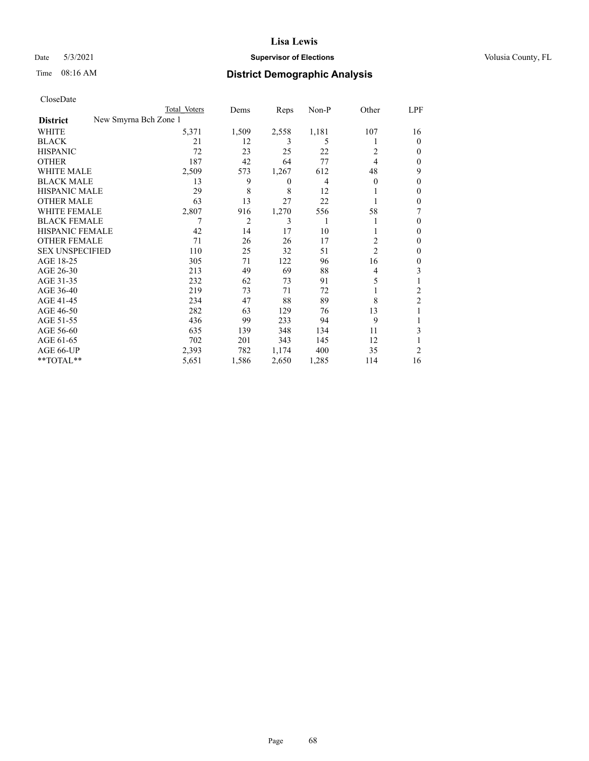## Date 5/3/2021 **Supervisor of Elections Supervisor of Elections** Volusia County, FL

| CloseDate |
|-----------|
|-----------|

|                                          | Total Voters | Dems           | Reps  | Non-P | Other          | LPF            |
|------------------------------------------|--------------|----------------|-------|-------|----------------|----------------|
| New Smyrna Bch Zone 1<br><b>District</b> |              |                |       |       |                |                |
| WHITE                                    | 5,371        | 1,509          | 2,558 | 1,181 | 107            | 16             |
| <b>BLACK</b>                             | 21           | 12             | 3     | 5     |                | $\Omega$       |
| <b>HISPANIC</b>                          | 72           | 23             | 25    | 22    | 2              | 0              |
| <b>OTHER</b>                             | 187          | 42             | 64    | 77    | $\overline{4}$ | 0              |
| <b>WHITE MALE</b>                        | 2,509        | 573            | 1,267 | 612   | 48             | 9              |
| <b>BLACK MALE</b>                        | 13           | 9              | 0     | 4     | $\Omega$       | 0              |
| <b>HISPANIC MALE</b>                     | 29           | 8              | 8     | 12    |                | 0              |
| <b>OTHER MALE</b>                        | 63           | 13             | 27    | 22    |                | 0              |
| <b>WHITE FEMALE</b>                      | 2,807        | 916            | 1,270 | 556   | 58             |                |
| <b>BLACK FEMALE</b>                      |              | $\overline{2}$ | 3     | 1     |                | 0              |
| <b>HISPANIC FEMALE</b>                   | 42           | 14             | 17    | 10    |                | 0              |
| <b>OTHER FEMALE</b>                      | 71           | 26             | 26    | 17    | 2              | 0              |
| <b>SEX UNSPECIFIED</b>                   | 110          | 25             | 32    | 51    | $\overline{2}$ | 0              |
| AGE 18-25                                | 305          | 71             | 122   | 96    | 16             | 0              |
| AGE 26-30                                | 213          | 49             | 69    | 88    | 4              | 3              |
| AGE 31-35                                | 232          | 62             | 73    | 91    | 5              |                |
| AGE 36-40                                | 219          | 73             | 71    | 72    |                | 2              |
| AGE 41-45                                | 234          | 47             | 88    | 89    | 8              | $\overline{2}$ |
| AGE 46-50                                | 282          | 63             | 129   | 76    | 13             |                |
| AGE 51-55                                | 436          | 99             | 233   | 94    | 9              |                |
| AGE 56-60                                | 635          | 139            | 348   | 134   | 11             | 3              |
| AGE 61-65                                | 702          | 201            | 343   | 145   | 12             |                |
| AGE 66-UP                                | 2,393        | 782            | 1,174 | 400   | 35             | 2              |
| **TOTAL**                                | 5,651        | 1,586          | 2,650 | 1,285 | 114            | 16             |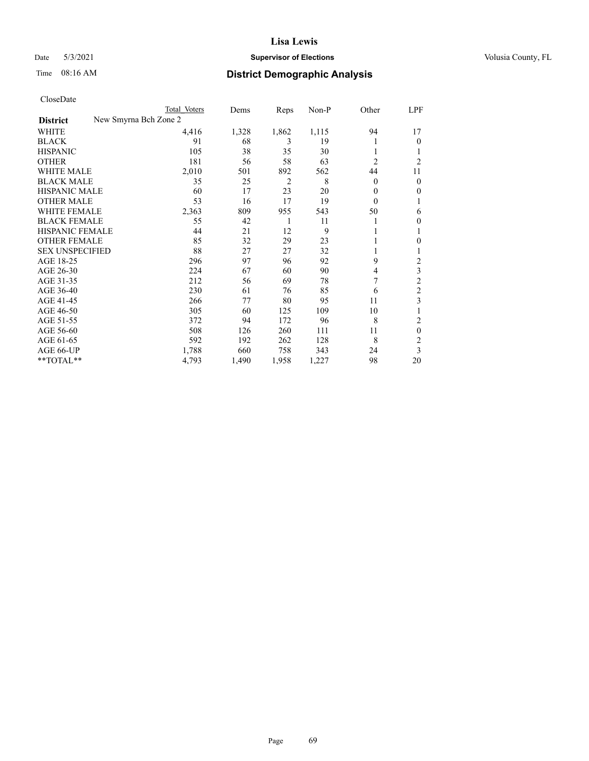## Date 5/3/2021 **Supervisor of Elections Supervisor of Elections** Volusia County, FL

| CloseDate |
|-----------|
|-----------|

|                                          | Total Voters | Dems  | Reps           | $Non-P$ | Other          | LPF            |
|------------------------------------------|--------------|-------|----------------|---------|----------------|----------------|
| New Smyrna Bch Zone 2<br><b>District</b> |              |       |                |         |                |                |
| WHITE                                    | 4,416        | 1,328 | 1,862          | 1,115   | 94             | 17             |
| <b>BLACK</b>                             | 91           | 68    | 3              | 19      | 1              | 0              |
| <b>HISPANIC</b>                          | 105          | 38    | 35             | 30      | 1              |                |
| <b>OTHER</b>                             | 181          | 56    | 58             | 63      | $\overline{c}$ | $\overline{c}$ |
| <b>WHITE MALE</b>                        | 2,010        | 501   | 892            | 562     | 44             | 11             |
| <b>BLACK MALE</b>                        | 35           | 25    | $\overline{2}$ | 8       | $\theta$       | $\overline{0}$ |
| <b>HISPANIC MALE</b>                     | 60           | 17    | 23             | 20      | $\theta$       | 0              |
| <b>OTHER MALE</b>                        | 53           | 16    | 17             | 19      | $\Omega$       |                |
| <b>WHITE FEMALE</b>                      | 2,363        | 809   | 955            | 543     | 50             | 6              |
| <b>BLACK FEMALE</b>                      | 55           | 42    | 1              | 11      | 1              | 0              |
| HISPANIC FEMALE                          | 44           | 21    | 12             | 9       | 1              | 1              |
| <b>OTHER FEMALE</b>                      | 85           | 32    | 29             | 23      | 1              | 0              |
| <b>SEX UNSPECIFIED</b>                   | 88           | 27    | 27             | 32      | 1              |                |
| AGE 18-25                                | 296          | 97    | 96             | 92      | 9              | 2              |
| AGE 26-30                                | 224          | 67    | 60             | 90      | $\overline{4}$ | 3              |
| AGE 31-35                                | 212          | 56    | 69             | 78      | 7              | 2              |
| AGE 36-40                                | 230          | 61    | 76             | 85      | 6              | $\overline{2}$ |
| AGE 41-45                                | 266          | 77    | 80             | 95      | 11             | 3              |
| AGE 46-50                                | 305          | 60    | 125            | 109     | 10             |                |
| AGE 51-55                                | 372          | 94    | 172            | 96      | 8              | 2              |
| AGE 56-60                                | 508          | 126   | 260            | 111     | 11             | 0              |
| AGE 61-65                                | 592          | 192   | 262            | 128     | 8              | $\overline{c}$ |
| AGE 66-UP                                | 1,788        | 660   | 758            | 343     | 24             | 3              |
| **TOTAL**                                | 4,793        | 1,490 | 1,958          | 1,227   | 98             | 20             |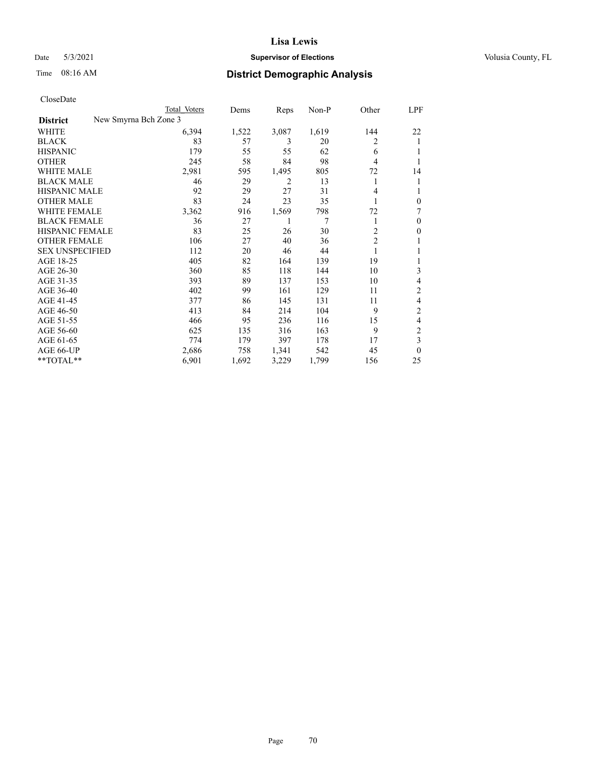## Date 5/3/2021 **Supervisor of Elections Supervisor of Elections** Volusia County, FL

| CloseDate |
|-----------|
|-----------|

|                                          | Total Voters | Dems  | Reps  | $Non-P$ | Other          | LPF      |
|------------------------------------------|--------------|-------|-------|---------|----------------|----------|
| New Smyrna Bch Zone 3<br><b>District</b> |              |       |       |         |                |          |
| WHITE                                    | 6,394        | 1,522 | 3,087 | 1,619   | 144            | 22       |
| <b>BLACK</b>                             | 83           | 57    | 3     | 20      | 2              | 1        |
| <b>HISPANIC</b>                          | 179          | 55    | 55    | 62      | 6              |          |
| <b>OTHER</b>                             | 245          | 58    | 84    | 98      | 4              | 1        |
| <b>WHITE MALE</b>                        | 2,981        | 595   | 1,495 | 805     | 72             | 14       |
| <b>BLACK MALE</b>                        | 46           | 29    | 2     | 13      | 1              |          |
| <b>HISPANIC MALE</b>                     | 92           | 29    | 27    | 31      | 4              |          |
| <b>OTHER MALE</b>                        | 83           | 24    | 23    | 35      | 1              | 0        |
| <b>WHITE FEMALE</b>                      | 3,362        | 916   | 1,569 | 798     | 72             | 7        |
| <b>BLACK FEMALE</b>                      | 36           | 27    |       | 7       | 1              | 0        |
| <b>HISPANIC FEMALE</b>                   | 83           | 25    | 26    | 30      | 2              | 0        |
| <b>OTHER FEMALE</b>                      | 106          | 27    | 40    | 36      | $\overline{c}$ |          |
| <b>SEX UNSPECIFIED</b>                   | 112          | 20    | 46    | 44      | 1              |          |
| AGE 18-25                                | 405          | 82    | 164   | 139     | 19             |          |
| AGE 26-30                                | 360          | 85    | 118   | 144     | 10             | 3        |
| AGE 31-35                                | 393          | 89    | 137   | 153     | 10             | 4        |
| AGE 36-40                                | 402          | 99    | 161   | 129     | 11             | 2        |
| AGE 41-45                                | 377          | 86    | 145   | 131     | 11             | 4        |
| AGE 46-50                                | 413          | 84    | 214   | 104     | 9              | 2        |
| AGE 51-55                                | 466          | 95    | 236   | 116     | 15             | 4        |
| AGE 56-60                                | 625          | 135   | 316   | 163     | 9              | 2        |
| AGE 61-65                                | 774          | 179   | 397   | 178     | 17             | 3        |
| AGE 66-UP                                | 2,686        | 758   | 1,341 | 542     | 45             | $\theta$ |
| **TOTAL**                                | 6,901        | 1,692 | 3,229 | 1,799   | 156            | 25       |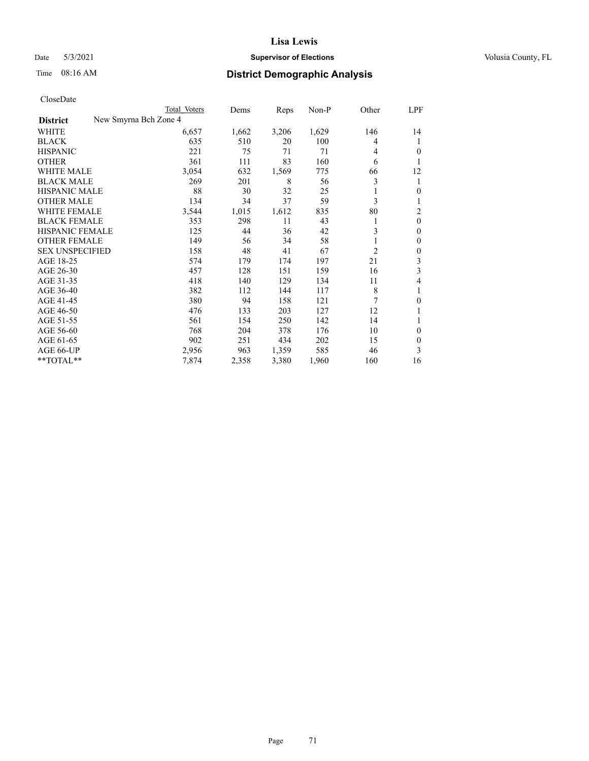## Date 5/3/2021 **Supervisor of Elections Supervisor of Elections** Volusia County, FL

| CloseDate |
|-----------|
|-----------|

|                        |                       | Total Voters | Dems  | Reps  | $Non-P$ | Other          | LPF            |
|------------------------|-----------------------|--------------|-------|-------|---------|----------------|----------------|
| <b>District</b>        | New Smyrna Bch Zone 4 |              |       |       |         |                |                |
| WHITE                  |                       | 6,657        | 1,662 | 3,206 | 1,629   | 146            | 14             |
| <b>BLACK</b>           |                       | 635          | 510   | 20    | 100     | 4              | 1              |
| <b>HISPANIC</b>        |                       | 221          | 75    | 71    | 71      | 4              | 0              |
| <b>OTHER</b>           |                       | 361          | 111   | 83    | 160     | 6              | 1              |
| <b>WHITE MALE</b>      |                       | 3,054        | 632   | 1,569 | 775     | 66             | 12             |
| <b>BLACK MALE</b>      |                       | 269          | 201   | 8     | 56      | 3              | 1              |
| <b>HISPANIC MALE</b>   |                       | 88           | 30    | 32    | 25      |                | 0              |
| <b>OTHER MALE</b>      |                       | 134          | 34    | 37    | 59      | 3              | 1              |
| WHITE FEMALE           |                       | 3,544        | 1,015 | 1,612 | 835     | 80             | $\overline{2}$ |
| <b>BLACK FEMALE</b>    |                       | 353          | 298   | 11    | 43      |                | $\mathbf{0}$   |
| HISPANIC FEMALE        |                       | 125          | 44    | 36    | 42      | 3              | $\mathbf{0}$   |
| <b>OTHER FEMALE</b>    |                       | 149          | 56    | 34    | 58      |                | $\mathbf{0}$   |
| <b>SEX UNSPECIFIED</b> |                       | 158          | 48    | 41    | 67      | $\overline{c}$ | 0              |
| AGE 18-25              |                       | 574          | 179   | 174   | 197     | 21             | 3              |
| AGE 26-30              |                       | 457          | 128   | 151   | 159     | 16             | 3              |
| AGE 31-35              |                       | 418          | 140   | 129   | 134     | 11             | 4              |
| AGE 36-40              |                       | 382          | 112   | 144   | 117     | 8              | 1              |
| AGE 41-45              |                       | 380          | 94    | 158   | 121     | 7              | 0              |
| AGE 46-50              |                       | 476          | 133   | 203   | 127     | 12             |                |
| AGE 51-55              |                       | 561          | 154   | 250   | 142     | 14             | 1              |
| AGE 56-60              |                       | 768          | 204   | 378   | 176     | 10             | $\theta$       |
| AGE 61-65              |                       | 902          | 251   | 434   | 202     | 15             | 0              |
| AGE 66-UP              |                       | 2,956        | 963   | 1,359 | 585     | 46             | 3              |
| **TOTAL**              |                       | 7,874        | 2,358 | 3,380 | 1,960   | 160            | 16             |
|                        |                       |              |       |       |         |                |                |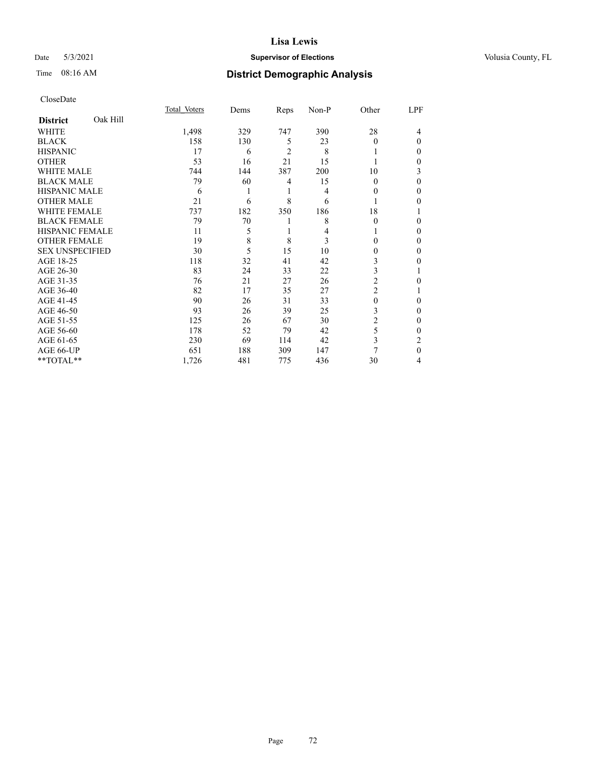## Date 5/3/2021 **Supervisor of Elections Supervisor of Elections** Volusia County, FL

## Time 08:16 AM **District Demographic Analysis**

|                        |          | Total Voters | Dems | Reps           | Non-P | Other    | LPF |
|------------------------|----------|--------------|------|----------------|-------|----------|-----|
| <b>District</b>        | Oak Hill |              |      |                |       |          |     |
| WHITE                  |          | 1,498        | 329  | 747            | 390   | 28       | 4   |
| <b>BLACK</b>           |          | 158          | 130  | 5              | 23    | $\theta$ | 0   |
| <b>HISPANIC</b>        |          | 17           | 6    | $\overline{2}$ | 8     |          | 0   |
| <b>OTHER</b>           |          | 53           | 16   | 21             | 15    |          | 0   |
| WHITE MALE             |          | 744          | 144  | 387            | 200   | 10       | 3   |
| <b>BLACK MALE</b>      |          | 79           | 60   | 4              | 15    | $\Omega$ | 0   |
| <b>HISPANIC MALE</b>   |          | 6            |      | 1              | 4     | 0        | 0   |
| <b>OTHER MALE</b>      |          | 21           | 6    | 8              | 6     | 1        | 0   |
| <b>WHITE FEMALE</b>    |          | 737          | 182  | 350            | 186   | 18       |     |
| <b>BLACK FEMALE</b>    |          | 79           | 70   | 1              | 8     | $\Omega$ | 0   |
| <b>HISPANIC FEMALE</b> |          | 11           | 5    | 1              | 4     |          | 0   |
| <b>OTHER FEMALE</b>    |          | 19           | 8    | 8              | 3     | 0        | 0   |
| <b>SEX UNSPECIFIED</b> |          | 30           | 5    | 15             | 10    | 0        | 0   |
| AGE 18-25              |          | 118          | 32   | 41             | 42    | 3        | 0   |
| AGE 26-30              |          | 83           | 24   | 33             | 22    | 3        |     |
| AGE 31-35              |          | 76           | 21   | 27             | 26    | 2        | 0   |
| AGE 36-40              |          | 82           | 17   | 35             | 27    | 2        |     |
| AGE 41-45              |          | 90           | 26   | 31             | 33    | 0        | 0   |
| AGE 46-50              |          | 93           | 26   | 39             | 25    | 3        | 0   |
| AGE 51-55              |          | 125          | 26   | 67             | 30    | 2        | 0   |
| AGE 56-60              |          | 178          | 52   | 79             | 42    | 5        | 0   |
| AGE 61-65              |          | 230          | 69   | 114            | 42    | 3        | 2   |
| AGE 66-UP              |          | 651          | 188  | 309            | 147   | 7        | 0   |
| **TOTAL**              |          | 1,726        | 481  | 775            | 436   | 30       | 4   |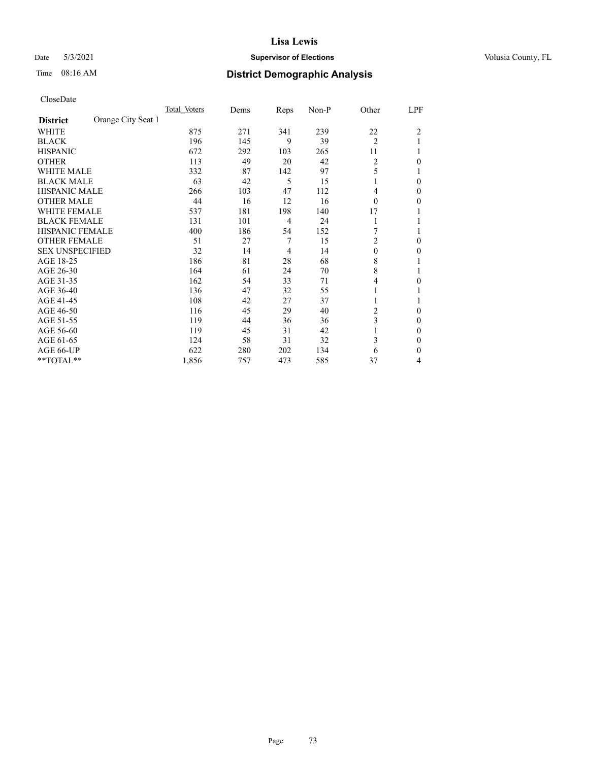## Date 5/3/2021 **Supervisor of Elections Supervisor of Elections** Volusia County, FL

# Time 08:16 AM **District Demographic Analysis**

|                        |                    | Total Voters | Dems | Reps | Non-P | Other          | LPF            |
|------------------------|--------------------|--------------|------|------|-------|----------------|----------------|
| <b>District</b>        | Orange City Seat 1 |              |      |      |       |                |                |
| WHITE                  |                    | 875          | 271  | 341  | 239   | 22             | $\overline{2}$ |
| <b>BLACK</b>           |                    | 196          | 145  | 9    | 39    | $\overline{2}$ |                |
| <b>HISPANIC</b>        |                    | 672          | 292  | 103  | 265   | 11             |                |
| <b>OTHER</b>           |                    | 113          | 49   | 20   | 42    | $\overline{2}$ | 0              |
| WHITE MALE             |                    | 332          | 87   | 142  | 97    | 5              |                |
| <b>BLACK MALE</b>      |                    | 63           | 42   | 5    | 15    | 1              | $\Omega$       |
| HISPANIC MALE          |                    | 266          | 103  | 47   | 112   | 4              | 0              |
| <b>OTHER MALE</b>      |                    | 44           | 16   | 12   | 16    | $\theta$       | 0              |
| WHITE FEMALE           |                    | 537          | 181  | 198  | 140   | 17             |                |
| <b>BLACK FEMALE</b>    |                    | 131          | 101  | 4    | 24    | 1              |                |
| <b>HISPANIC FEMALE</b> |                    | 400          | 186  | 54   | 152   |                |                |
| <b>OTHER FEMALE</b>    |                    | 51           | 27   | 7    | 15    | $\mathbf{2}$   | 0              |
| <b>SEX UNSPECIFIED</b> |                    | 32           | 14   | 4    | 14    | $\theta$       | 0              |
| AGE 18-25              |                    | 186          | 81   | 28   | 68    | 8              |                |
| AGE 26-30              |                    | 164          | 61   | 24   | 70    | 8              |                |
| AGE 31-35              |                    | 162          | 54   | 33   | 71    | 4              | 0              |
| AGE 36-40              |                    | 136          | 47   | 32   | 55    | 1              |                |
| AGE 41-45              |                    | 108          | 42   | 27   | 37    |                |                |
| AGE 46-50              |                    | 116          | 45   | 29   | 40    | 2              | $\Omega$       |
| AGE 51-55              |                    | 119          | 44   | 36   | 36    | 3              | 0              |
| AGE 56-60              |                    | 119          | 45   | 31   | 42    |                | 0              |
| AGE 61-65              |                    | 124          | 58   | 31   | 32    | 3              | 0              |
| AGE 66-UP              |                    | 622          | 280  | 202  | 134   | 6              | 0              |
| **TOTAL**              |                    | 1,856        | 757  | 473  | 585   | 37             | 4              |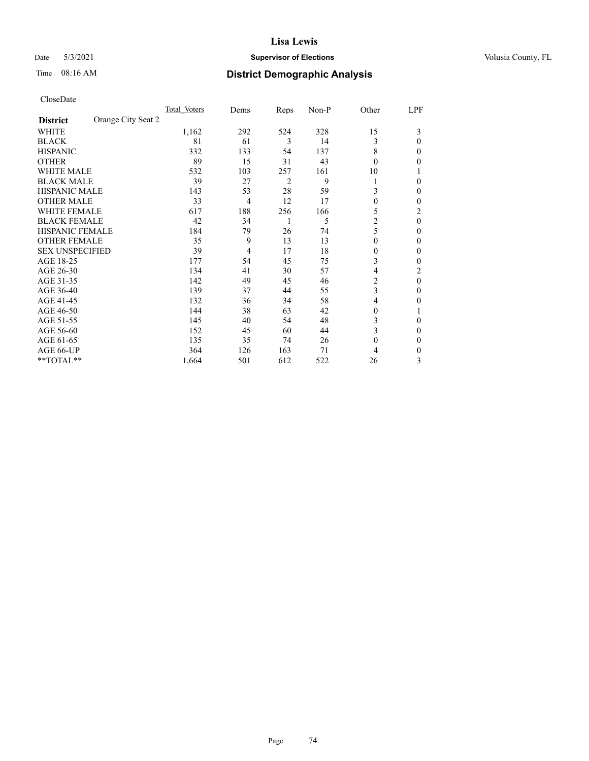## Date 5/3/2021 **Supervisor of Elections Supervisor of Elections** Volusia County, FL

# Time 08:16 AM **District Demographic Analysis**

|                                       | Total Voters | Dems | Reps           | Non-P | Other          | LPF      |
|---------------------------------------|--------------|------|----------------|-------|----------------|----------|
| Orange City Seat 2<br><b>District</b> |              |      |                |       |                |          |
| WHITE                                 | 1,162        | 292  | 524            | 328   | 15             | 3        |
| <b>BLACK</b>                          | 81           | 61   | 3              | 14    | 3              | 0        |
| <b>HISPANIC</b>                       | 332          | 133  | 54             | 137   | 8              | 0        |
| <b>OTHER</b>                          | 89           | 15   | 31             | 43    | $\theta$       | 0        |
| <b>WHITE MALE</b>                     | 532          | 103  | 257            | 161   | 10             |          |
| <b>BLACK MALE</b>                     | 39           | 27   | $\overline{2}$ | 9     | 1              | 0        |
| <b>HISPANIC MALE</b>                  | 143          | 53   | 28             | 59    | 3              | 0        |
| <b>OTHER MALE</b>                     | 33           | 4    | 12             | 17    | $\mathbf{0}$   | 0        |
| <b>WHITE FEMALE</b>                   | 617          | 188  | 256            | 166   | 5              | 2        |
| <b>BLACK FEMALE</b>                   | 42           | 34   | 1              | 5     | $\overline{2}$ | $\theta$ |
| <b>HISPANIC FEMALE</b>                | 184          | 79   | 26             | 74    | 5              | 0        |
| <b>OTHER FEMALE</b>                   | 35           | 9    | 13             | 13    | $\theta$       | 0        |
| <b>SEX UNSPECIFIED</b>                | 39           | 4    | 17             | 18    | $\theta$       | 0        |
| AGE 18-25                             | 177          | 54   | 45             | 75    | 3              | 0        |
| AGE 26-30                             | 134          | 41   | 30             | 57    | 4              | 2        |
| AGE 31-35                             | 142          | 49   | 45             | 46    | 2              | $\theta$ |
| AGE 36-40                             | 139          | 37   | 44             | 55    | 3              | 0        |
| AGE 41-45                             | 132          | 36   | 34             | 58    | $\overline{4}$ | 0        |
| AGE 46-50                             | 144          | 38   | 63             | 42    | $\theta$       |          |
| AGE 51-55                             | 145          | 40   | 54             | 48    | 3              | 0        |
| AGE 56-60                             | 152          | 45   | 60             | 44    | 3              | 0        |
| AGE 61-65                             | 135          | 35   | 74             | 26    | $\mathbf{0}$   | 0        |
| AGE 66-UP                             | 364          | 126  | 163            | 71    | 4              | 0        |
| **TOTAL**                             | 1,664        | 501  | 612            | 522   | 26             | 3        |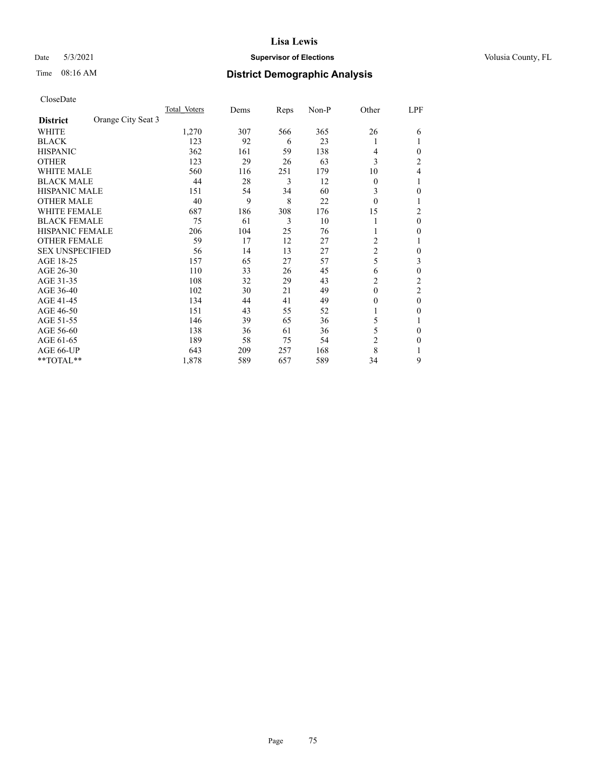## Date 5/3/2021 **Supervisor of Elections Supervisor of Elections** Volusia County, FL

# Time 08:16 AM **District Demographic Analysis**

|                        |                    | Total Voters | Dems | Reps | Non-P | Other          | LPF            |
|------------------------|--------------------|--------------|------|------|-------|----------------|----------------|
| <b>District</b>        | Orange City Seat 3 |              |      |      |       |                |                |
| WHITE                  |                    | 1,270        | 307  | 566  | 365   | 26             | 6              |
| <b>BLACK</b>           |                    | 123          | 92   | 6    | 23    |                |                |
| <b>HISPANIC</b>        |                    | 362          | 161  | 59   | 138   | 4              | 0              |
| <b>OTHER</b>           |                    | 123          | 29   | 26   | 63    | 3              | $\overline{c}$ |
| WHITE MALE             |                    | 560          | 116  | 251  | 179   | 10             | 4              |
| <b>BLACK MALE</b>      |                    | 44           | 28   | 3    | 12    | $\Omega$       |                |
| HISPANIC MALE          |                    | 151          | 54   | 34   | 60    | 3              | 0              |
| <b>OTHER MALE</b>      |                    | 40           | 9    | 8    | 22    | $\Omega$       | 1              |
| WHITE FEMALE           |                    | 687          | 186  | 308  | 176   | 15             | 2              |
| <b>BLACK FEMALE</b>    |                    | 75           | 61   | 3    | 10    |                | 0              |
| <b>HISPANIC FEMALE</b> |                    | 206          | 104  | 25   | 76    |                | 0              |
| <b>OTHER FEMALE</b>    |                    | 59           | 17   | 12   | 27    | 2              |                |
| <b>SEX UNSPECIFIED</b> |                    | 56           | 14   | 13   | 27    | $\overline{c}$ | 0              |
| AGE 18-25              |                    | 157          | 65   | 27   | 57    | 5              | 3              |
| AGE 26-30              |                    | 110          | 33   | 26   | 45    | 6              | 0              |
| AGE 31-35              |                    | 108          | 32   | 29   | 43    | $\overline{2}$ | $\overline{c}$ |
| AGE 36-40              |                    | 102          | 30   | 21   | 49    | $\theta$       | 2              |
| AGE 41-45              |                    | 134          | 44   | 41   | 49    | $_{0}$         | 0              |
| AGE 46-50              |                    | 151          | 43   | 55   | 52    |                | 0              |
| AGE 51-55              |                    | 146          | 39   | 65   | 36    | 5              |                |
| AGE 56-60              |                    | 138          | 36   | 61   | 36    | 5              | 0              |
| AGE 61-65              |                    | 189          | 58   | 75   | 54    | $\overline{2}$ | 0              |
| AGE 66-UP              |                    | 643          | 209  | 257  | 168   | 8              |                |
| **TOTAL**              |                    | 1,878        | 589  | 657  | 589   | 34             | 9              |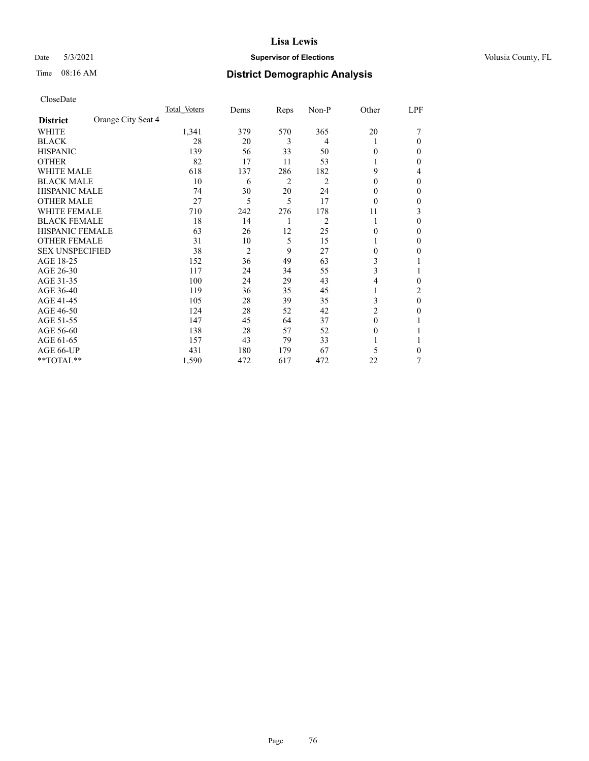## Date 5/3/2021 **Supervisor of Elections Supervisor of Elections** Volusia County, FL

# Time 08:16 AM **District Demographic Analysis**

|                        |                    | Total Voters | Dems           | Reps | Non-P          | Other    | LPF    |
|------------------------|--------------------|--------------|----------------|------|----------------|----------|--------|
| <b>District</b>        | Orange City Seat 4 |              |                |      |                |          |        |
| WHITE                  |                    | 1,341        | 379            | 570  | 365            | 20       |        |
| <b>BLACK</b>           |                    | 28           | 20             | 3    | 4              |          | 0      |
| <b>HISPANIC</b>        |                    | 139          | 56             | 33   | 50             | 0        | $_{0}$ |
| <b>OTHER</b>           |                    | 82           | 17             | 11   | 53             |          | 0      |
| <b>WHITE MALE</b>      |                    | 618          | 137            | 286  | 182            | 9        | 4      |
| <b>BLACK MALE</b>      |                    | 10           | 6              | 2    | 2              | $\theta$ | 0      |
| <b>HISPANIC MALE</b>   |                    | 74           | 30             | 20   | 24             | 0        | 0      |
| <b>OTHER MALE</b>      |                    | 27           | 5              | 5    | 17             | $\theta$ | 0      |
| WHITE FEMALE           |                    | 710          | 242            | 276  | 178            | 11       | 3      |
| <b>BLACK FEMALE</b>    |                    | 18           | 14             | 1    | $\overline{2}$ | 1        | 0      |
| <b>HISPANIC FEMALE</b> |                    | 63           | 26             | 12   | 25             | 0        | 0      |
| <b>OTHER FEMALE</b>    |                    | 31           | 10             | 5    | 15             |          | 0      |
| <b>SEX UNSPECIFIED</b> |                    | 38           | $\overline{2}$ | 9    | 27             | $\Omega$ | 0      |
| AGE 18-25              |                    | 152          | 36             | 49   | 63             | 3        |        |
| AGE 26-30              |                    | 117          | 24             | 34   | 55             | 3        |        |
| AGE 31-35              |                    | 100          | 24             | 29   | 43             | 4        | 0      |
| AGE 36-40              |                    | 119          | 36             | 35   | 45             |          | 2      |
| AGE 41-45              |                    | 105          | 28             | 39   | 35             | 3        | 0      |
| AGE 46-50              |                    | 124          | 28             | 52   | 42             | 2        | 0      |
| AGE 51-55              |                    | 147          | 45             | 64   | 37             | $\Omega$ |        |
| AGE 56-60              |                    | 138          | 28             | 57   | 52             | $\theta$ |        |
| AGE 61-65              |                    | 157          | 43             | 79   | 33             |          |        |
| AGE 66-UP              |                    | 431          | 180            | 179  | 67             | 5        | 0      |
| **TOTAL**              |                    | 1,590        | 472            | 617  | 472            | 22       | 7      |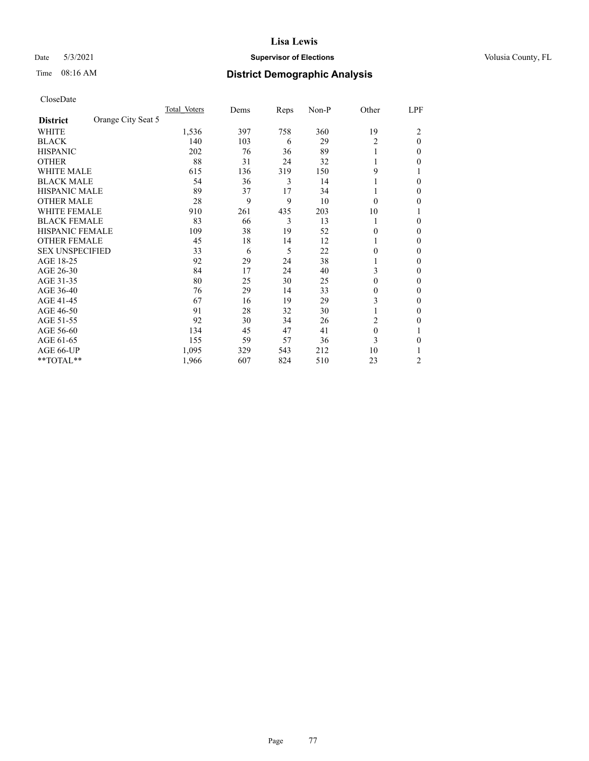## Date 5/3/2021 **Supervisor of Elections Supervisor of Elections** Volusia County, FL

# Time 08:16 AM **District Demographic Analysis**

|                        |                    | Total Voters | Dems | Reps | Non-P | Other    | LPF    |
|------------------------|--------------------|--------------|------|------|-------|----------|--------|
| <b>District</b>        | Orange City Seat 5 |              |      |      |       |          |        |
| WHITE                  |                    | 1,536        | 397  | 758  | 360   | 19       | 2      |
| <b>BLACK</b>           |                    | 140          | 103  | 6    | 29    | 2        | 0      |
| <b>HISPANIC</b>        |                    | 202          | 76   | 36   | 89    |          | $_{0}$ |
| <b>OTHER</b>           |                    | 88           | 31   | 24   | 32    |          | 0      |
| WHITE MALE             |                    | 615          | 136  | 319  | 150   | 9        |        |
| <b>BLACK MALE</b>      |                    | 54           | 36   | 3    | 14    |          | 0      |
| <b>HISPANIC MALE</b>   |                    | 89           | 37   | 17   | 34    |          | 0      |
| <b>OTHER MALE</b>      |                    | 28           | 9    | 9    | 10    | $\Omega$ | 0      |
| WHITE FEMALE           |                    | 910          | 261  | 435  | 203   | 10       |        |
| <b>BLACK FEMALE</b>    |                    | 83           | 66   | 3    | 13    | 1        | 0      |
| <b>HISPANIC FEMALE</b> |                    | 109          | 38   | 19   | 52    | 0        | 0      |
| <b>OTHER FEMALE</b>    |                    | 45           | 18   | 14   | 12    |          | 0      |
| <b>SEX UNSPECIFIED</b> |                    | 33           | 6    | 5    | 22    | 0        | 0      |
| AGE 18-25              |                    | 92           | 29   | 24   | 38    |          | 0      |
| AGE 26-30              |                    | 84           | 17   | 24   | 40    | 3        | 0      |
| AGE 31-35              |                    | 80           | 25   | 30   | 25    | 0        | 0      |
| AGE 36-40              |                    | 76           | 29   | 14   | 33    | 0        | 0      |
| AGE 41-45              |                    | 67           | 16   | 19   | 29    | 3        | 0      |
| AGE 46-50              |                    | 91           | 28   | 32   | 30    |          | 0      |
| AGE 51-55              |                    | 92           | 30   | 34   | 26    | 2        | 0      |
| AGE 56-60              |                    | 134          | 45   | 47   | 41    | $\theta$ |        |
| AGE 61-65              |                    | 155          | 59   | 57   | 36    | 3        | 0      |
| AGE 66-UP              |                    | 1,095        | 329  | 543  | 212   | 10       |        |
| **TOTAL**              |                    | 1,966        | 607  | 824  | 510   | 23       | 2      |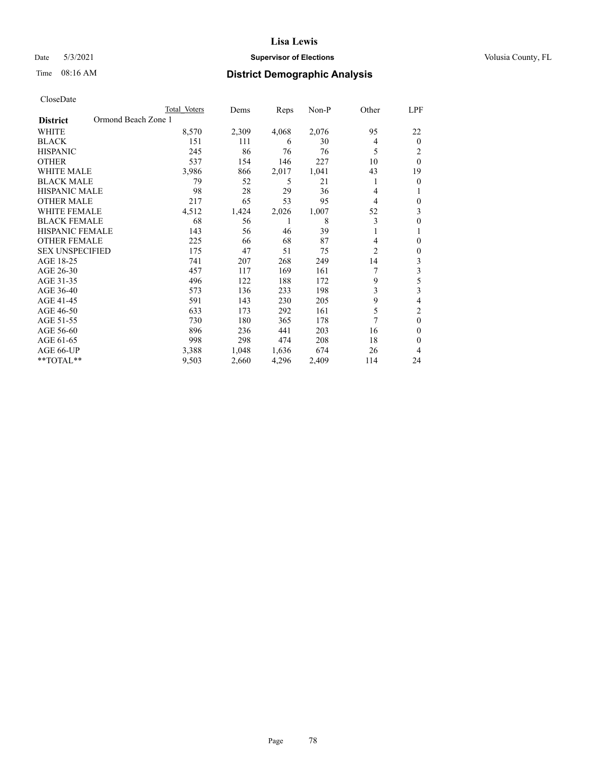## Date 5/3/2021 **Supervisor of Elections Supervisor of Elections** Volusia County, FL

# Time 08:16 AM **District Demographic Analysis**

|                                        | Total Voters | Dems  | Reps  | $Non-P$ | Other          | LPF      |
|----------------------------------------|--------------|-------|-------|---------|----------------|----------|
| Ormond Beach Zone 1<br><b>District</b> |              |       |       |         |                |          |
| <b>WHITE</b>                           | 8,570        | 2,309 | 4,068 | 2,076   | 95             | 22       |
| <b>BLACK</b>                           | 151          | 111   | 6     | 30      | 4              | $\Omega$ |
| <b>HISPANIC</b>                        | 245          | 86    | 76    | 76      | 5              | 2        |
| <b>OTHER</b>                           | 537          | 154   | 146   | 227     | 10             | $\theta$ |
| <b>WHITE MALE</b>                      | 3,986        | 866   | 2,017 | 1,041   | 43             | 19       |
| <b>BLACK MALE</b>                      | 79           | 52    | 5     | 21      |                | 0        |
| HISPANIC MALE                          | 98           | 28    | 29    | 36      | 4              |          |
| <b>OTHER MALE</b>                      | 217          | 65    | 53    | 95      | 4              | 0        |
| <b>WHITE FEMALE</b>                    | 4,512        | 1,424 | 2,026 | 1,007   | 52             | 3        |
| <b>BLACK FEMALE</b>                    | 68           | 56    | 1     | 8       | 3              | 0        |
| <b>HISPANIC FEMALE</b>                 | 143          | 56    | 46    | 39      | 1              | 1        |
| <b>OTHER FEMALE</b>                    | 225          | 66    | 68    | 87      | 4              | 0        |
| <b>SEX UNSPECIFIED</b>                 | 175          | 47    | 51    | 75      | $\overline{c}$ | 0        |
| AGE 18-25                              | 741          | 207   | 268   | 249     | 14             | 3        |
| AGE 26-30                              | 457          | 117   | 169   | 161     |                | 3        |
| AGE 31-35                              | 496          | 122   | 188   | 172     | 9              | 5        |
| AGE 36-40                              | 573          | 136   | 233   | 198     | 3              | 3        |
| AGE 41-45                              | 591          | 143   | 230   | 205     | 9              | 4        |
| AGE 46-50                              | 633          | 173   | 292   | 161     | 5              | 2        |
| AGE 51-55                              | 730          | 180   | 365   | 178     | 7              | $\theta$ |
| AGE 56-60                              | 896          | 236   | 441   | 203     | 16             | 0        |
| AGE 61-65                              | 998          | 298   | 474   | 208     | 18             | 0        |
| AGE 66-UP                              | 3,388        | 1,048 | 1,636 | 674     | 26             | 4        |
| **TOTAL**                              | 9,503        | 2,660 | 4,296 | 2,409   | 114            | 24       |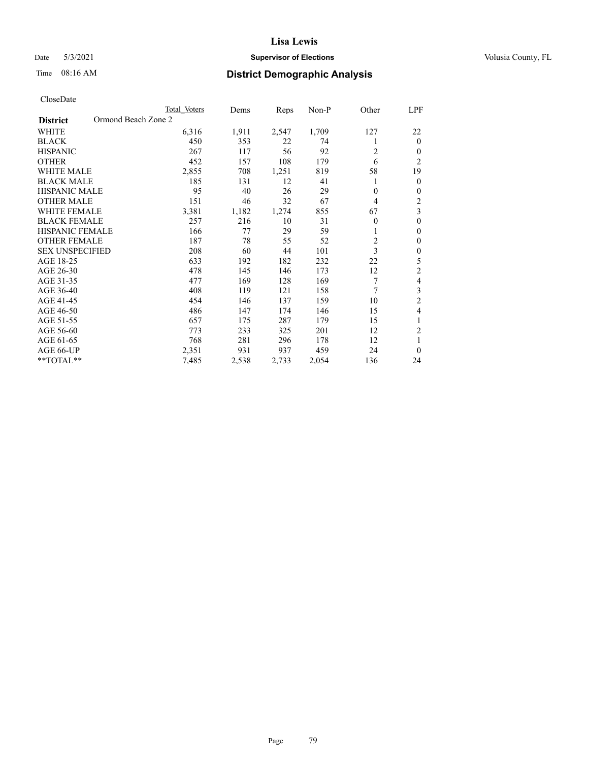## Date 5/3/2021 **Supervisor of Elections Supervisor of Elections** Volusia County, FL

# Time 08:16 AM **District Demographic Analysis**

|                                        | Total Voters | Dems  | Reps  | Non-P | Other          | LPF            |
|----------------------------------------|--------------|-------|-------|-------|----------------|----------------|
| Ormond Beach Zone 2<br><b>District</b> |              |       |       |       |                |                |
| WHITE                                  | 6,316        | 1,911 | 2,547 | 1,709 | 127            | 22             |
| <b>BLACK</b>                           | 450          | 353   | 22    | 74    |                | $\mathbf{0}$   |
| <b>HISPANIC</b>                        | 267          | 117   | 56    | 92    | 2              | $\Omega$       |
| <b>OTHER</b>                           | 452          | 157   | 108   | 179   | 6              | $\overline{2}$ |
| <b>WHITE MALE</b>                      | 2,855        | 708   | 1,251 | 819   | 58             | 19             |
| <b>BLACK MALE</b>                      | 185          | 131   | 12    | 41    | 1              | $\theta$       |
| <b>HISPANIC MALE</b>                   | 95           | 40    | 26    | 29    | $\mathbf{0}$   | $\theta$       |
| <b>OTHER MALE</b>                      | 151          | 46    | 32    | 67    | $\overline{4}$ | $\overline{2}$ |
| WHITE FEMALE                           | 3,381        | 1,182 | 1,274 | 855   | 67             | 3              |
| <b>BLACK FEMALE</b>                    | 257          | 216   | 10    | 31    | $\mathbf{0}$   | $\mathbf{0}$   |
| <b>HISPANIC FEMALE</b>                 | 166          | 77    | 29    | 59    |                | $\theta$       |
| <b>OTHER FEMALE</b>                    | 187          | 78    | 55    | 52    | $\overline{c}$ | $\theta$       |
| <b>SEX UNSPECIFIED</b>                 | 208          | 60    | 44    | 101   | 3              | $\theta$       |
| AGE 18-25                              | 633          | 192   | 182   | 232   | 22             | 5              |
| AGE 26-30                              | 478          | 145   | 146   | 173   | 12             | $\overline{c}$ |
| AGE 31-35                              | 477          | 169   | 128   | 169   | 7              | 4              |
| AGE 36-40                              | 408          | 119   | 121   | 158   | 7              | 3              |
| AGE 41-45                              | 454          | 146   | 137   | 159   | 10             | $\overline{c}$ |
| AGE 46-50                              | 486          | 147   | 174   | 146   | 15             | 4              |
| AGE 51-55                              | 657          | 175   | 287   | 179   | 15             | 1              |
| AGE 56-60                              | 773          | 233   | 325   | 201   | 12             | $\overline{2}$ |
| AGE 61-65                              | 768          | 281   | 296   | 178   | 12             | 1              |
| AGE 66-UP                              | 2,351        | 931   | 937   | 459   | 24             | $\theta$       |
| **TOTAL**                              | 7,485        | 2,538 | 2,733 | 2,054 | 136            | 24             |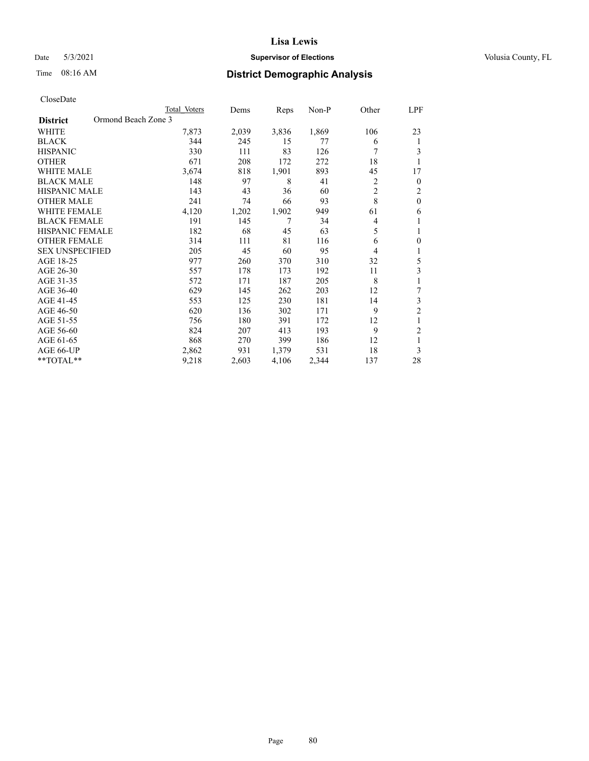## Date 5/3/2021 **Supervisor of Elections Supervisor of Elections** Volusia County, FL

# Time 08:16 AM **District Demographic Analysis**

|                                        | Total Voters | Dems  | Reps  | Non-P | Other | LPF              |
|----------------------------------------|--------------|-------|-------|-------|-------|------------------|
| Ormond Beach Zone 3<br><b>District</b> |              |       |       |       |       |                  |
| WHITE                                  | 7,873        | 2,039 | 3,836 | 1,869 | 106   | 23               |
| <b>BLACK</b>                           | 344          | 245   | 15    | 77    | 6     | 1                |
| <b>HISPANIC</b>                        | 330          | 111   | 83    | 126   | 7     | 3                |
| <b>OTHER</b>                           | 671          | 208   | 172   | 272   | 18    | 1                |
| <b>WHITE MALE</b>                      | 3,674        | 818   | 1,901 | 893   | 45    | 17               |
| <b>BLACK MALE</b>                      | 148          | 97    | 8     | 41    | 2     | $\boldsymbol{0}$ |
| <b>HISPANIC MALE</b>                   | 143          | 43    | 36    | 60    | 2     | $\overline{2}$   |
| <b>OTHER MALE</b>                      | 241          | 74    | 66    | 93    | 8     | $\theta$         |
| <b>WHITE FEMALE</b>                    | 4,120        | 1,202 | 1,902 | 949   | 61    | 6                |
| <b>BLACK FEMALE</b>                    | 191          | 145   | 7     | 34    | 4     | 1                |
| HISPANIC FEMALE                        | 182          | 68    | 45    | 63    | 5     | 1                |
| <b>OTHER FEMALE</b>                    | 314          | 111   | 81    | 116   | 6     | $\theta$         |
| <b>SEX UNSPECIFIED</b>                 | 205          | 45    | 60    | 95    | 4     | 1                |
| AGE 18-25                              | 977          | 260   | 370   | 310   | 32    | 5                |
| AGE 26-30                              | 557          | 178   | 173   | 192   | 11    | 3                |
| AGE 31-35                              | 572          | 171   | 187   | 205   | 8     | 1                |
| AGE 36-40                              | 629          | 145   | 262   | 203   | 12    | 7                |
| AGE 41-45                              | 553          | 125   | 230   | 181   | 14    | 3                |
| AGE 46-50                              | 620          | 136   | 302   | 171   | 9     | $\overline{2}$   |
| AGE 51-55                              | 756          | 180   | 391   | 172   | 12    | 1                |
| AGE 56-60                              | 824          | 207   | 413   | 193   | 9     | $\mathfrak{2}$   |
| AGE 61-65                              | 868          | 270   | 399   | 186   | 12    | 1                |
| AGE 66-UP                              | 2,862        | 931   | 1,379 | 531   | 18    | 3                |
| **TOTAL**                              | 9,218        | 2,603 | 4,106 | 2,344 | 137   | 28               |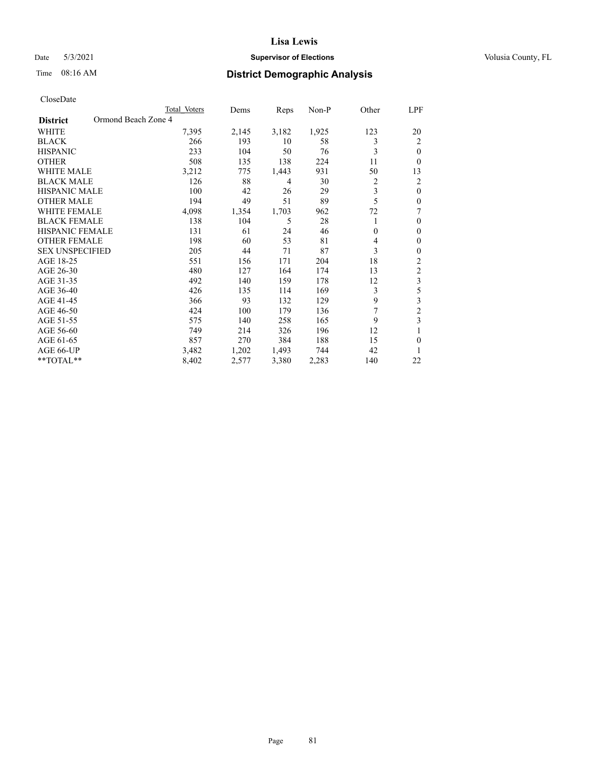## Date 5/3/2021 **Supervisor of Elections Supervisor of Elections** Volusia County, FL

# Time 08:16 AM **District Demographic Analysis**

|                                        | Total Voters | Dems  | Reps  | Non-P | Other    | LPF            |
|----------------------------------------|--------------|-------|-------|-------|----------|----------------|
| Ormond Beach Zone 4<br><b>District</b> |              |       |       |       |          |                |
| WHITE                                  | 7,395        | 2,145 | 3,182 | 1,925 | 123      | 20             |
| <b>BLACK</b>                           | 266          | 193   | 10    | 58    | 3        | 2              |
| <b>HISPANIC</b>                        | 233          | 104   | 50    | 76    | 3        | 0              |
| <b>OTHER</b>                           | 508          | 135   | 138   | 224   | 11       | 0              |
| WHITE MALE                             | 3,212        | 775   | 1,443 | 931   | 50       | 13             |
| <b>BLACK MALE</b>                      | 126          | 88    | 4     | 30    | 2        | 2              |
| <b>HISPANIC MALE</b>                   | 100          | 42    | 26    | 29    | 3        | $\mathbf{0}$   |
| <b>OTHER MALE</b>                      | 194          | 49    | 51    | 89    | 5        | 0              |
| <b>WHITE FEMALE</b>                    | 4,098        | 1,354 | 1,703 | 962   | 72       | 7              |
| <b>BLACK FEMALE</b>                    | 138          | 104   | 5     | 28    | 1        | 0              |
| <b>HISPANIC FEMALE</b>                 | 131          | 61    | 24    | 46    | $\theta$ | 0              |
| <b>OTHER FEMALE</b>                    | 198          | 60    | 53    | 81    | 4        | 0              |
| <b>SEX UNSPECIFIED</b>                 | 205          | 44    | 71    | 87    | 3        | 0              |
| AGE 18-25                              | 551          | 156   | 171   | 204   | 18       | 2              |
| AGE 26-30                              | 480          | 127   | 164   | 174   | 13       | 2              |
| AGE 31-35                              | 492          | 140   | 159   | 178   | 12       | 3              |
| AGE 36-40                              | 426          | 135   | 114   | 169   | 3        | 5              |
| AGE 41-45                              | 366          | 93    | 132   | 129   | 9        | 3              |
| AGE 46-50                              | 424          | 100   | 179   | 136   | 7        | $\overline{2}$ |
| AGE 51-55                              | 575          | 140   | 258   | 165   | 9        | 3              |
| AGE 56-60                              | 749          | 214   | 326   | 196   | 12       |                |
| AGE 61-65                              | 857          | 270   | 384   | 188   | 15       | 0              |
| AGE 66-UP                              | 3,482        | 1,202 | 1,493 | 744   | 42       |                |
| **TOTAL**                              | 8,402        | 2,577 | 3,380 | 2,283 | 140      | 22             |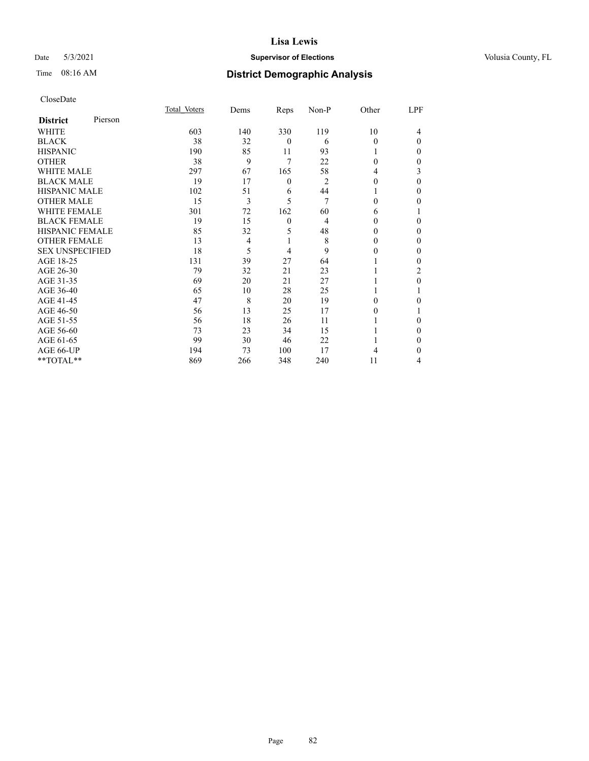## Date 5/3/2021 **Supervisor of Elections Supervisor of Elections** Volusia County, FL

# Time 08:16 AM **District Demographic Analysis**

| CloseDate |
|-----------|
|-----------|

|                        |         | Total Voters | Dems           | Reps             | Non-P | Other    | LPF      |
|------------------------|---------|--------------|----------------|------------------|-------|----------|----------|
| <b>District</b>        | Pierson |              |                |                  |       |          |          |
| WHITE                  |         | 603          | 140            | 330              | 119   | 10       | 4        |
| <b>BLACK</b>           |         | 38           | 32             | $\theta$         | 6     | $\Omega$ | $\Omega$ |
| <b>HISPANIC</b>        |         | 190          | 85             | 11               | 93    | 1        | 0        |
| <b>OTHER</b>           |         | 38           | 9              | 7                | 22    | $\Omega$ | 0        |
| <b>WHITE MALE</b>      |         | 297          | 67             | 165              | 58    | 4        | 3        |
| <b>BLACK MALE</b>      |         | 19           | 17             | $\boldsymbol{0}$ | 2     | $\theta$ | 0        |
| <b>HISPANIC MALE</b>   |         | 102          | 51             | 6                | 44    |          | 0        |
| <b>OTHER MALE</b>      |         | 15           | 3              | 5                | 7     | 0        | 0        |
| <b>WHITE FEMALE</b>    |         | 301          | 72             | 162              | 60    | 6        |          |
| <b>BLACK FEMALE</b>    |         | 19           | 15             | $\theta$         | 4     | 0        | 0        |
| <b>HISPANIC FEMALE</b> |         | 85           | 32             | 5                | 48    | 0        | 0        |
| <b>OTHER FEMALE</b>    |         | 13           | $\overline{4}$ | 1                | 8     | $\theta$ | 0        |
| <b>SEX UNSPECIFIED</b> |         | 18           | 5              | 4                | 9     | 0        | 0        |
| AGE 18-25              |         | 131          | 39             | 27               | 64    |          | 0        |
| AGE 26-30              |         | 79           | 32             | 21               | 23    |          | 2        |
| AGE 31-35              |         | 69           | 20             | 21               | 27    |          | 0        |
| AGE 36-40              |         | 65           | 10             | 28               | 25    |          |          |
| AGE 41-45              |         | 47           | 8              | 20               | 19    | 0        | 0        |
| AGE 46-50              |         | 56           | 13             | 25               | 17    | 0        |          |
| AGE 51-55              |         | 56           | 18             | 26               | 11    |          | 0        |
| AGE 56-60              |         | 73           | 23             | 34               | 15    |          | $_{0}$   |
| AGE 61-65              |         | 99           | 30             | 46               | 22    |          | 0        |
| AGE 66-UP              |         | 194          | 73             | 100              | 17    | 4        | 0        |
| **TOTAL**              |         | 869          | 266            | 348              | 240   | 11       | 4        |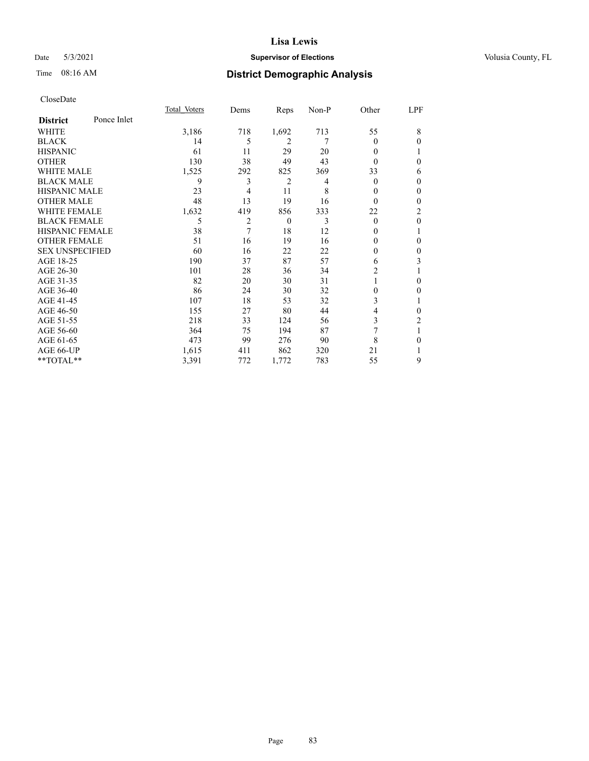## Date 5/3/2021 **Supervisor of Elections Supervisor of Elections** Volusia County, FL

# Time 08:16 AM **District Demographic Analysis**

|                        |             | Total Voters | Dems | Reps     | Non-P | Other    | LPF            |
|------------------------|-------------|--------------|------|----------|-------|----------|----------------|
| <b>District</b>        | Ponce Inlet |              |      |          |       |          |                |
| WHITE                  |             | 3,186        | 718  | 1,692    | 713   | 55       | 8              |
| <b>BLACK</b>           |             | 14           | 5    | 2        | 7     | 0        | 0              |
| <b>HISPANIC</b>        |             | 61           | 11   | 29       | 20    | 0        |                |
| <b>OTHER</b>           |             | 130          | 38   | 49       | 43    | 0        | 0              |
| WHITE MALE             |             | 1,525        | 292  | 825      | 369   | 33       | 6              |
| <b>BLACK MALE</b>      |             | 9            | 3    | 2        | 4     | 0        | 0              |
| <b>HISPANIC MALE</b>   |             | 23           | 4    | 11       | 8     | 0        | $\theta$       |
| <b>OTHER MALE</b>      |             | 48           | 13   | 19       | 16    | $\Omega$ | $\mathbf{0}$   |
| <b>WHITE FEMALE</b>    |             | 1,632        | 419  | 856      | 333   | 22       | $\overline{2}$ |
| <b>BLACK FEMALE</b>    |             | 5            | 2    | $\theta$ | 3     | $\theta$ | $\mathbf{0}$   |
| <b>HISPANIC FEMALE</b> |             | 38           | 7    | 18       | 12    | 0        | 1              |
| <b>OTHER FEMALE</b>    |             | 51           | 16   | 19       | 16    | 0        | 0              |
| <b>SEX UNSPECIFIED</b> |             | 60           | 16   | 22       | 22    | 0        | 0              |
| AGE 18-25              |             | 190          | 37   | 87       | 57    | 6        | 3              |
| AGE 26-30              |             | 101          | 28   | 36       | 34    | 2        | 1              |
| AGE 31-35              |             | 82           | 20   | 30       | 31    |          | 0              |
| AGE 36-40              |             | 86           | 24   | 30       | 32    | 0        | 0              |
| AGE 41-45              |             | 107          | 18   | 53       | 32    | 3        |                |
| AGE 46-50              |             | 155          | 27   | 80       | 44    | 4        | 0              |
| AGE 51-55              |             | 218          | 33   | 124      | 56    | 3        | 2              |
| AGE 56-60              |             | 364          | 75   | 194      | 87    | 7        | 1              |
| AGE 61-65              |             | 473          | 99   | 276      | 90    | 8        | 0              |
| AGE 66-UP              |             | 1,615        | 411  | 862      | 320   | 21       |                |
| **TOTAL**              |             | 3,391        | 772  | 1,772    | 783   | 55       | 9              |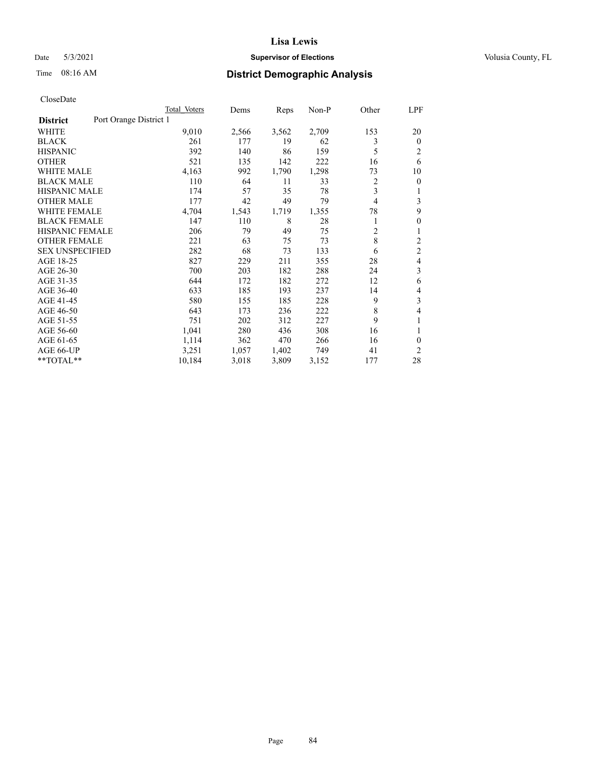## Date 5/3/2021 **Supervisor of Elections Supervisor of Elections** Volusia County, FL

# Time 08:16 AM **District Demographic Analysis**

|                                           | Total Voters | Dems  | Reps  | $Non-P$ | Other          | LPF            |
|-------------------------------------------|--------------|-------|-------|---------|----------------|----------------|
| Port Orange District 1<br><b>District</b> |              |       |       |         |                |                |
| <b>WHITE</b>                              | 9,010        | 2,566 | 3,562 | 2,709   | 153            | 20             |
| <b>BLACK</b>                              | 261          | 177   | 19    | 62      | 3              | $\mathbf{0}$   |
| <b>HISPANIC</b>                           | 392          | 140   | 86    | 159     | 5              | $\overline{2}$ |
| <b>OTHER</b>                              | 521          | 135   | 142   | 222     | 16             | 6              |
| <b>WHITE MALE</b>                         | 4,163        | 992   | 1,790 | 1,298   | 73             | 10             |
| <b>BLACK MALE</b>                         | 110          | 64    | 11    | 33      | 2              | $\theta$       |
| <b>HISPANIC MALE</b>                      | 174          | 57    | 35    | 78      | 3              |                |
| <b>OTHER MALE</b>                         | 177          | 42    | 49    | 79      | $\overline{4}$ | 3              |
| <b>WHITE FEMALE</b>                       | 4,704        | 1,543 | 1,719 | 1,355   | 78             | 9              |
| <b>BLACK FEMALE</b>                       | 147          | 110   | 8     | 28      | 1              | $\theta$       |
| <b>HISPANIC FEMALE</b>                    | 206          | 79    | 49    | 75      | $\overline{c}$ | 1              |
| <b>OTHER FEMALE</b>                       | 221          | 63    | 75    | 73      | 8              | $\overline{c}$ |
| <b>SEX UNSPECIFIED</b>                    | 282          | 68    | 73    | 133     | 6              | $\overline{c}$ |
| AGE 18-25                                 | 827          | 229   | 211   | 355     | 28             | 4              |
| AGE 26-30                                 | 700          | 203   | 182   | 288     | 24             | 3              |
| AGE 31-35                                 | 644          | 172   | 182   | 272     | 12             | 6              |
| AGE 36-40                                 | 633          | 185   | 193   | 237     | 14             | 4              |
| AGE 41-45                                 | 580          | 155   | 185   | 228     | 9              | 3              |
| AGE 46-50                                 | 643          | 173   | 236   | 222     | 8              | 4              |
| AGE 51-55                                 | 751          | 202   | 312   | 227     | 9              |                |
| AGE 56-60                                 | 1,041        | 280   | 436   | 308     | 16             | 1              |
| AGE 61-65                                 | 1,114        | 362   | 470   | 266     | 16             | $\theta$       |
| AGE 66-UP                                 | 3,251        | 1,057 | 1,402 | 749     | 41             | $\overline{2}$ |
| **TOTAL**                                 | 10,184       | 3,018 | 3,809 | 3,152   | 177            | 28             |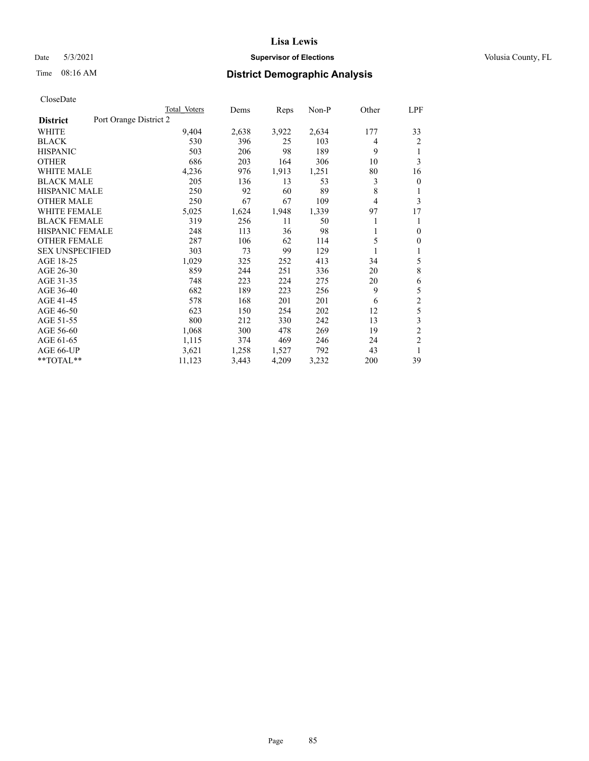## Date 5/3/2021 **Supervisor of Elections Supervisor of Elections** Volusia County, FL

# Time 08:16 AM **District Demographic Analysis**

|                                           | Total Voters | Dems  | Reps  | $Non-P$ | Other | <u>LPF</u>     |
|-------------------------------------------|--------------|-------|-------|---------|-------|----------------|
| Port Orange District 2<br><b>District</b> |              |       |       |         |       |                |
| WHITE                                     | 9,404        | 2,638 | 3,922 | 2,634   | 177   | 33             |
| <b>BLACK</b>                              | 530          | 396   | 25    | 103     | 4     | 2              |
| <b>HISPANIC</b>                           | 503          | 206   | 98    | 189     | 9     | 1              |
| <b>OTHER</b>                              | 686          | 203   | 164   | 306     | 10    | 3              |
| <b>WHITE MALE</b>                         | 4,236        | 976   | 1,913 | 1,251   | 80    | 16             |
| <b>BLACK MALE</b>                         | 205          | 136   | 13    | 53      | 3     | $\overline{0}$ |
| <b>HISPANIC MALE</b>                      | 250          | 92    | 60    | 89      | 8     | 1              |
| <b>OTHER MALE</b>                         | 250          | 67    | 67    | 109     | 4     | 3              |
| <b>WHITE FEMALE</b>                       | 5,025        | 1,624 | 1,948 | 1,339   | 97    | 17             |
| <b>BLACK FEMALE</b>                       | 319          | 256   | 11    | 50      |       | 1              |
| <b>HISPANIC FEMALE</b>                    | 248          | 113   | 36    | 98      | 1     | $\mathbf{0}$   |
| <b>OTHER FEMALE</b>                       | 287          | 106   | 62    | 114     | 5     | $\overline{0}$ |
| <b>SEX UNSPECIFIED</b>                    | 303          | 73    | 99    | 129     |       | 1              |
| AGE 18-25                                 | 1,029        | 325   | 252   | 413     | 34    | 5              |
| AGE 26-30                                 | 859          | 244   | 251   | 336     | 20    | 8              |
| AGE 31-35                                 | 748          | 223   | 224   | 275     | 20    | 6              |
| AGE 36-40                                 | 682          | 189   | 223   | 256     | 9     | 5              |
| AGE 41-45                                 | 578          | 168   | 201   | 201     | 6     | $\overline{c}$ |
| AGE 46-50                                 | 623          | 150   | 254   | 202     | 12    | 5              |
| AGE 51-55                                 | 800          | 212   | 330   | 242     | 13    | 3              |
| AGE 56-60                                 | 1,068        | 300   | 478   | 269     | 19    | $\overline{2}$ |
| AGE 61-65                                 | 1,115        | 374   | 469   | 246     | 24    | $\overline{2}$ |
| AGE 66-UP                                 | 3,621        | 1,258 | 1,527 | 792     | 43    | 1              |
| **TOTAL**                                 | 11,123       | 3,443 | 4,209 | 3,232   | 200   | 39             |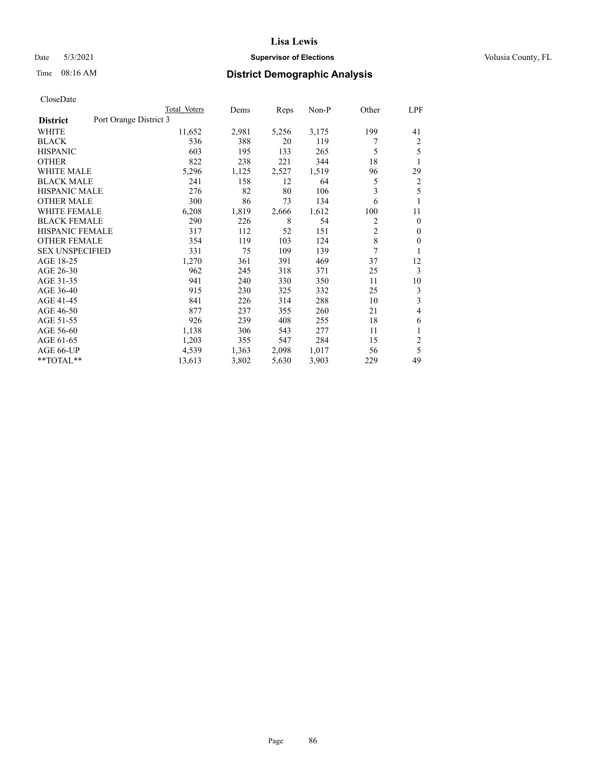## Date 5/3/2021 **Supervisor of Elections Supervisor of Elections** Volusia County, FL

# Time 08:16 AM **District Demographic Analysis**

|                                           | Total Voters | Dems  | Reps  | Non-P | Other          | LPF          |
|-------------------------------------------|--------------|-------|-------|-------|----------------|--------------|
| Port Orange District 3<br><b>District</b> |              |       |       |       |                |              |
| WHITE                                     | 11,652       | 2,981 | 5,256 | 3,175 | 199            | 41           |
| <b>BLACK</b>                              | 536          | 388   | 20    | 119   | 7              | 2            |
| <b>HISPANIC</b>                           | 603          | 195   | 133   | 265   | 5              | 5            |
| <b>OTHER</b>                              | 822          | 238   | 221   | 344   | 18             | 1            |
| <b>WHITE MALE</b>                         | 5,296        | 1,125 | 2,527 | 1,519 | 96             | 29           |
| <b>BLACK MALE</b>                         | 241          | 158   | 12    | 64    | 5              | 2            |
| <b>HISPANIC MALE</b>                      | 276          | 82    | 80    | 106   | 3              | 5            |
| <b>OTHER MALE</b>                         | 300          | 86    | 73    | 134   | 6              | 1            |
| WHITE FEMALE                              | 6,208        | 1,819 | 2,666 | 1,612 | 100            | 11           |
| <b>BLACK FEMALE</b>                       | 290          | 226   | 8     | 54    | 2              | $\mathbf{0}$ |
| <b>HISPANIC FEMALE</b>                    | 317          | 112   | 52    | 151   | $\overline{2}$ | $\Omega$     |
| <b>OTHER FEMALE</b>                       | 354          | 119   | 103   | 124   | 8              | $\theta$     |
| <b>SEX UNSPECIFIED</b>                    | 331          | 75    | 109   | 139   | 7              | 1            |
| AGE 18-25                                 | 1,270        | 361   | 391   | 469   | 37             | 12           |
| AGE 26-30                                 | 962          | 245   | 318   | 371   | 25             | 3            |
| AGE 31-35                                 | 941          | 240   | 330   | 350   | 11             | 10           |
| AGE 36-40                                 | 915          | 230   | 325   | 332   | 25             | 3            |
| AGE 41-45                                 | 841          | 226   | 314   | 288   | 10             | 3            |
| AGE 46-50                                 | 877          | 237   | 355   | 260   | 21             | 4            |
| AGE 51-55                                 | 926          | 239   | 408   | 255   | 18             | 6            |
| AGE 56-60                                 | 1,138        | 306   | 543   | 277   | 11             | 1            |
| AGE 61-65                                 | 1,203        | 355   | 547   | 284   | 15             | 2            |
| AGE 66-UP                                 | 4,539        | 1,363 | 2,098 | 1,017 | 56             | 5            |
| $*$ $TOTAL**$                             | 13,613       | 3,802 | 5,630 | 3,903 | 229            | 49           |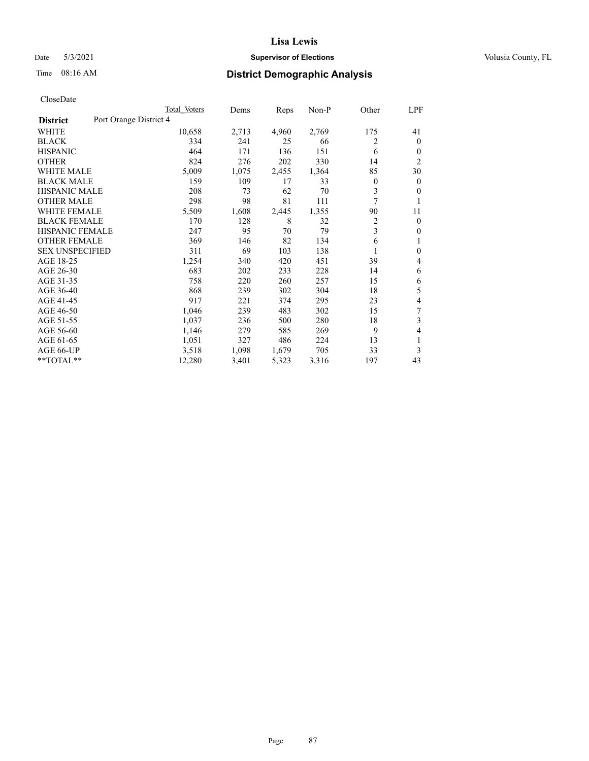## Date 5/3/2021 **Supervisor of Elections Supervisor of Elections** Volusia County, FL

# Time 08:16 AM **District Demographic Analysis**

|                                           | Total Voters | Dems  | Reps  | Non-P | Other | LPF            |
|-------------------------------------------|--------------|-------|-------|-------|-------|----------------|
| Port Orange District 4<br><b>District</b> |              |       |       |       |       |                |
| WHITE                                     | 10,658       | 2,713 | 4,960 | 2,769 | 175   | 41             |
| <b>BLACK</b>                              | 334          | 241   | 25    | 66    | 2     | $\mathbf{0}$   |
| <b>HISPANIC</b>                           | 464          | 171   | 136   | 151   | 6     | $\mathbf{0}$   |
| <b>OTHER</b>                              | 824          | 276   | 202   | 330   | 14    | $\overline{2}$ |
| <b>WHITE MALE</b>                         | 5,009        | 1,075 | 2,455 | 1,364 | 85    | 30             |
| <b>BLACK MALE</b>                         | 159          | 109   | 17    | 33    | 0     | $\mathbf{0}$   |
| <b>HISPANIC MALE</b>                      | 208          | 73    | 62    | 70    | 3     | $\mathbf{0}$   |
| <b>OTHER MALE</b>                         | 298          | 98    | 81    | 111   | 7     | 1              |
| <b>WHITE FEMALE</b>                       | 5,509        | 1,608 | 2,445 | 1,355 | 90    | 11             |
| <b>BLACK FEMALE</b>                       | 170          | 128   | 8     | 32    | 2     | $\mathbf{0}$   |
| <b>HISPANIC FEMALE</b>                    | 247          | 95    | 70    | 79    | 3     | $\theta$       |
| <b>OTHER FEMALE</b>                       | 369          | 146   | 82    | 134   | 6     | 1              |
| <b>SEX UNSPECIFIED</b>                    | 311          | 69    | 103   | 138   | 1     | $\mathbf{0}$   |
| AGE 18-25                                 | 1,254        | 340   | 420   | 451   | 39    | 4              |
| AGE 26-30                                 | 683          | 202   | 233   | 228   | 14    | 6              |
| AGE 31-35                                 | 758          | 220   | 260   | 257   | 15    | 6              |
| AGE 36-40                                 | 868          | 239   | 302   | 304   | 18    | 5              |
| AGE 41-45                                 | 917          | 221   | 374   | 295   | 23    | 4              |
| AGE 46-50                                 | 1,046        | 239   | 483   | 302   | 15    | 7              |
| AGE 51-55                                 | 1,037        | 236   | 500   | 280   | 18    | 3              |
| AGE 56-60                                 | 1,146        | 279   | 585   | 269   | 9     | 4              |
| AGE 61-65                                 | 1,051        | 327   | 486   | 224   | 13    | 1              |
| AGE 66-UP                                 | 3,518        | 1,098 | 1,679 | 705   | 33    | 3              |
| **TOTAL**                                 | 12,280       | 3,401 | 5,323 | 3,316 | 197   | 43             |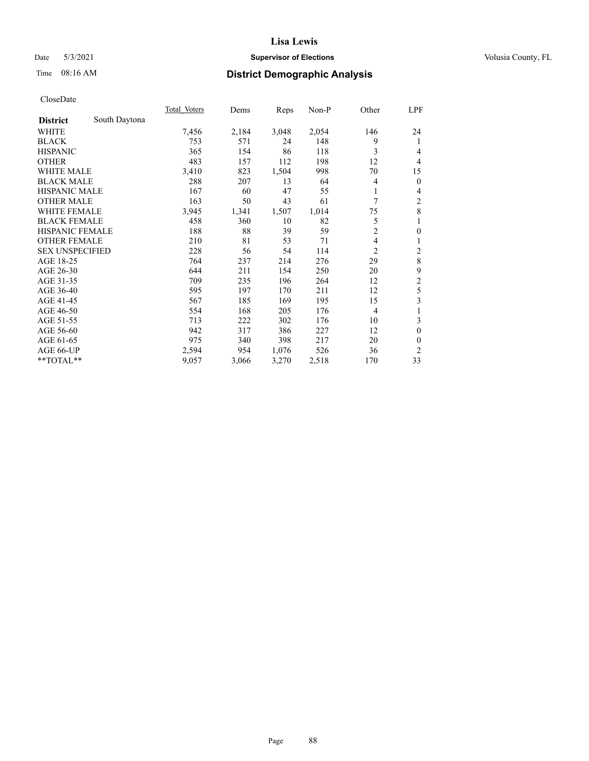## Date 5/3/2021 **Supervisor of Elections Supervisor of Elections** Volusia County, FL

# Time 08:16 AM **District Demographic Analysis**

|                                  | Total Voters | Dems  | Reps  | Non-P | Other          | LPF              |
|----------------------------------|--------------|-------|-------|-------|----------------|------------------|
| South Daytona<br><b>District</b> |              |       |       |       |                |                  |
| WHITE                            | 7,456        | 2,184 | 3,048 | 2,054 | 146            | 24               |
| <b>BLACK</b>                     | 753          | 571   | 24    | 148   | 9              | 1                |
| <b>HISPANIC</b>                  | 365          | 154   | 86    | 118   | 3              | 4                |
| <b>OTHER</b>                     | 483          | 157   | 112   | 198   | 12             | $\overline{4}$   |
| <b>WHITE MALE</b>                | 3,410        | 823   | 1,504 | 998   | 70             | 15               |
| <b>BLACK MALE</b>                | 288          | 207   | 13    | 64    | 4              | $\boldsymbol{0}$ |
| HISPANIC MALE                    | 167          | 60    | 47    | 55    |                | 4                |
| <b>OTHER MALE</b>                | 163          | 50    | 43    | 61    | 7              | 2                |
| <b>WHITE FEMALE</b>              | 3,945        | 1,341 | 1,507 | 1,014 | 75             | $\,8\,$          |
| <b>BLACK FEMALE</b>              | 458          | 360   | 10    | 82    | 5              | 1                |
| <b>HISPANIC FEMALE</b>           | 188          | 88    | 39    | 59    | $\overline{c}$ | $\boldsymbol{0}$ |
| <b>OTHER FEMALE</b>              | 210          | 81    | 53    | 71    | 4              | 1                |
| <b>SEX UNSPECIFIED</b>           | 228          | 56    | 54    | 114   | $\overline{2}$ | $\overline{c}$   |
| AGE 18-25                        | 764          | 237   | 214   | 276   | 29             | $\,$ 8 $\,$      |
| AGE 26-30                        | 644          | 211   | 154   | 250   | 20             | 9                |
| AGE 31-35                        | 709          | 235   | 196   | 264   | 12             | $\overline{c}$   |
| AGE 36-40                        | 595          | 197   | 170   | 211   | 12             | 5                |
| AGE 41-45                        | 567          | 185   | 169   | 195   | 15             | 3                |
| AGE 46-50                        | 554          | 168   | 205   | 176   | 4              | 1                |
| AGE 51-55                        | 713          | 222   | 302   | 176   | 10             | 3                |
| AGE 56-60                        | 942          | 317   | 386   | 227   | 12             | $\mathbf{0}$     |
| AGE 61-65                        | 975          | 340   | 398   | 217   | 20             | $\mathbf{0}$     |
| AGE 66-UP                        | 2,594        | 954   | 1,076 | 526   | 36             | $\overline{c}$   |
| **TOTAL**                        | 9,057        | 3,066 | 3,270 | 2,518 | 170            | 33               |